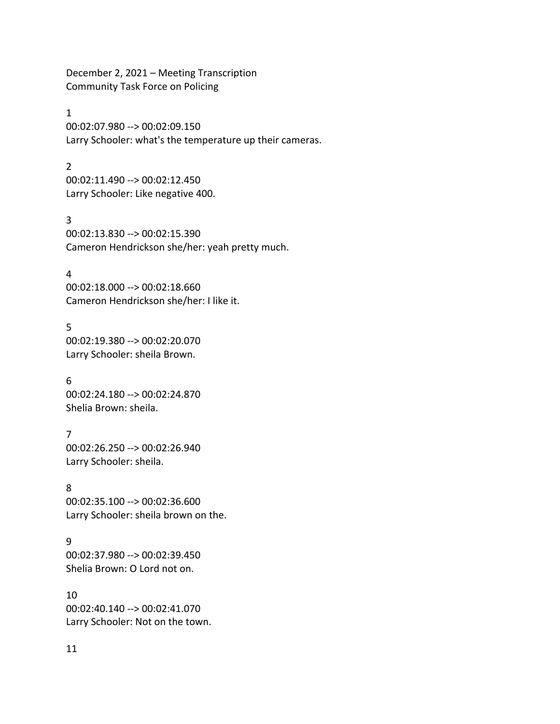December 2, 2021 – Meeting Transcription Community Task Force on Policing

#### 1

00:02:07.980 --> 00:02:09.150 Larry Schooler: what's the temperature up their cameras.

# 2

00:02:11.490 --> 00:02:12.450 Larry Schooler: Like negative 400.

#### 3

00:02:13.830 --> 00:02:15.390 Cameron Hendrickson she/her: yeah pretty much.

### 4

00:02:18.000 --> 00:02:18.660 Cameron Hendrickson she/her: I like it.

### 5

00:02:19.380 --> 00:02:20.070 Larry Schooler: sheila Brown.

#### 6

00:02:24.180 --> 00:02:24.870 Shelia Brown: sheila.

# 7

00:02:26.250 --> 00:02:26.940 Larry Schooler: sheila.

# 8

00:02:35.100 --> 00:02:36.600 Larry Schooler: sheila brown on the.

# 9

00:02:37.980 --> 00:02:39.450 Shelia Brown: O Lord not on.

#### 10

00:02:40.140 --> 00:02:41.070 Larry Schooler: Not on the town.

# 11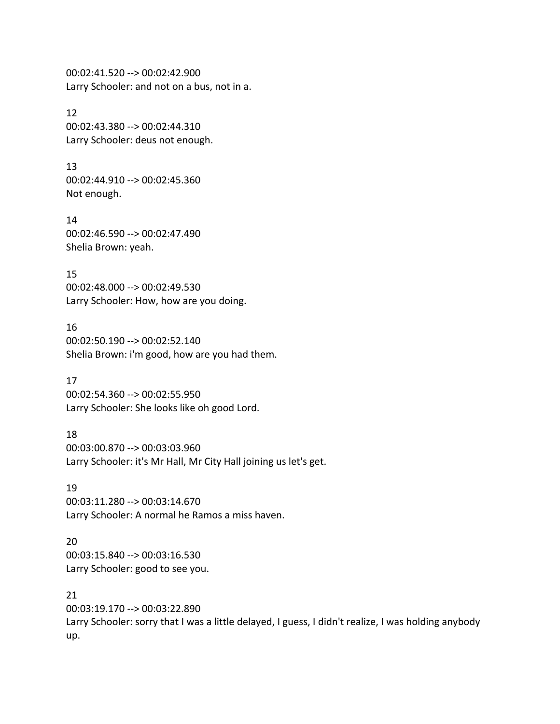00:02:41.520 --> 00:02:42.900 Larry Schooler: and not on a bus, not in a.

### 12 00:02:43.380 --> 00:02:44.310 Larry Schooler: deus not enough.

13 00:02:44.910 --> 00:02:45.360 Not enough.

14 00:02:46.590 --> 00:02:47.490 Shelia Brown: yeah.

15 00:02:48.000 --> 00:02:49.530 Larry Schooler: How, how are you doing.

16 00:02:50.190 --> 00:02:52.140 Shelia Brown: i'm good, how are you had them.

17 00:02:54.360 --> 00:02:55.950 Larry Schooler: She looks like oh good Lord.

18 00:03:00.870 --> 00:03:03.960 Larry Schooler: it's Mr Hall, Mr City Hall joining us let's get.

19 00:03:11.280 --> 00:03:14.670 Larry Schooler: A normal he Ramos a miss haven.

20 00:03:15.840 --> 00:03:16.530 Larry Schooler: good to see you.

21 00:03:19.170 --> 00:03:22.890 Larry Schooler: sorry that I was a little delayed, I guess, I didn't realize, I was holding anybody up.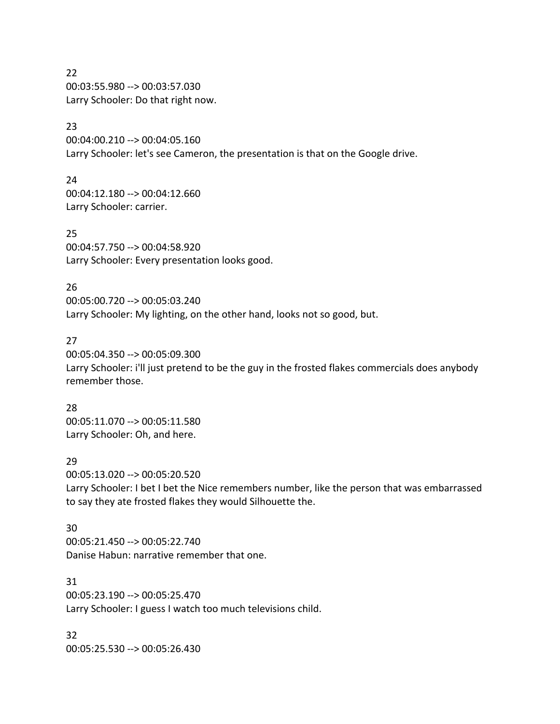22 00:03:55.980 --> 00:03:57.030 Larry Schooler: Do that right now.

# 23

00:04:00.210 --> 00:04:05.160 Larry Schooler: let's see Cameron, the presentation is that on the Google drive.

24 00:04:12.180 --> 00:04:12.660 Larry Schooler: carrier.

25 00:04:57.750 --> 00:04:58.920 Larry Schooler: Every presentation looks good.

26 00:05:00.720 --> 00:05:03.240 Larry Schooler: My lighting, on the other hand, looks not so good, but.

#### 27

00:05:04.350 --> 00:05:09.300 Larry Schooler: i'll just pretend to be the guy in the frosted flakes commercials does anybody remember those.

28

00:05:11.070 --> 00:05:11.580 Larry Schooler: Oh, and here.

#### 29

00:05:13.020 --> 00:05:20.520 Larry Schooler: I bet I bet the Nice remembers number, like the person that was embarrassed to say they ate frosted flakes they would Silhouette the.

#### 30

00:05:21.450 --> 00:05:22.740 Danise Habun: narrative remember that one.

31

00:05:23.190 --> 00:05:25.470 Larry Schooler: I guess I watch too much televisions child.

32 00:05:25.530 --> 00:05:26.430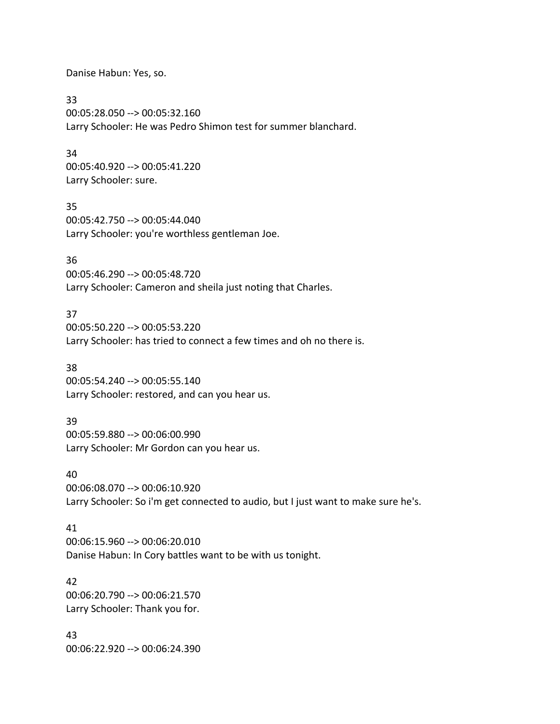Danise Habun: Yes, so.

33 00:05:28.050 --> 00:05:32.160 Larry Schooler: He was Pedro Shimon test for summer blanchard.

#### 34

00:05:40.920 --> 00:05:41.220 Larry Schooler: sure.

#### 35

00:05:42.750 --> 00:05:44.040 Larry Schooler: you're worthless gentleman Joe.

### 36

00:05:46.290 --> 00:05:48.720 Larry Schooler: Cameron and sheila just noting that Charles.

### 37

00:05:50.220 --> 00:05:53.220 Larry Schooler: has tried to connect a few times and oh no there is.

#### 38

00:05:54.240 --> 00:05:55.140 Larry Schooler: restored, and can you hear us.

# 39

00:05:59.880 --> 00:06:00.990 Larry Schooler: Mr Gordon can you hear us.

#### 40

00:06:08.070 --> 00:06:10.920 Larry Schooler: So i'm get connected to audio, but I just want to make sure he's.

#### 41

00:06:15.960 --> 00:06:20.010 Danise Habun: In Cory battles want to be with us tonight.

# 42

00:06:20.790 --> 00:06:21.570 Larry Schooler: Thank you for.

43 00:06:22.920 --> 00:06:24.390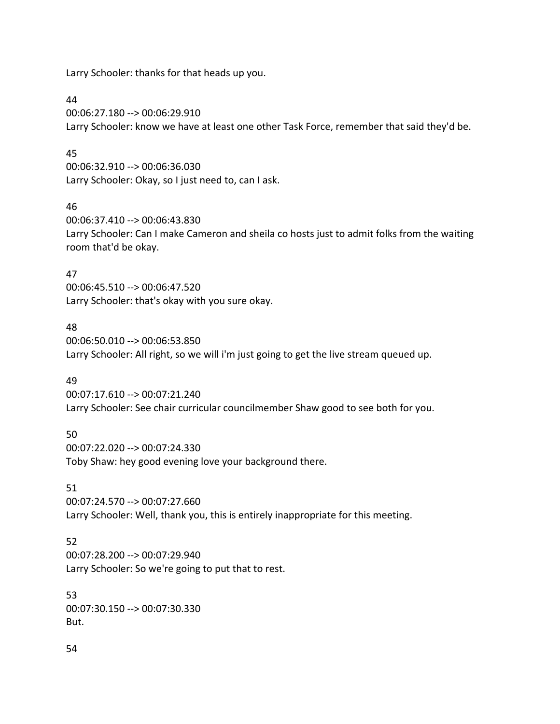Larry Schooler: thanks for that heads up you.

### 44

00:06:27.180 --> 00:06:29.910 Larry Schooler: know we have at least one other Task Force, remember that said they'd be.

# 45

00:06:32.910 --> 00:06:36.030 Larry Schooler: Okay, so I just need to, can I ask.

# 46

00:06:37.410 --> 00:06:43.830 Larry Schooler: Can I make Cameron and sheila co hosts just to admit folks from the waiting room that'd be okay.

# 47

00:06:45.510 --> 00:06:47.520 Larry Schooler: that's okay with you sure okay.

# 48

00:06:50.010 --> 00:06:53.850 Larry Schooler: All right, so we will i'm just going to get the live stream queued up.

# 49

00:07:17.610 --> 00:07:21.240 Larry Schooler: See chair curricular councilmember Shaw good to see both for you.

# 50

00:07:22.020 --> 00:07:24.330 Toby Shaw: hey good evening love your background there.

# 51

00:07:24.570 --> 00:07:27.660 Larry Schooler: Well, thank you, this is entirely inappropriate for this meeting.

# 52

00:07:28.200 --> 00:07:29.940 Larry Schooler: So we're going to put that to rest.

### 53

00:07:30.150 --> 00:07:30.330 But.

#### 54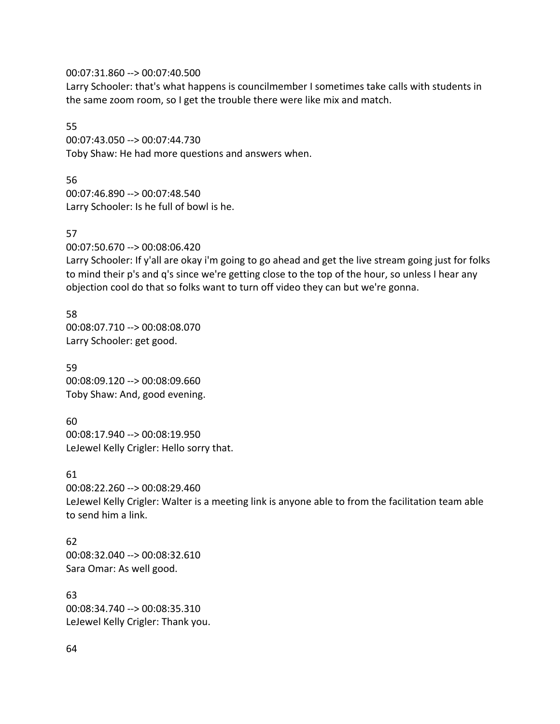00:07:31.860 --> 00:07:40.500

Larry Schooler: that's what happens is councilmember I sometimes take calls with students in the same zoom room, so I get the trouble there were like mix and match.

55 00:07:43.050 --> 00:07:44.730 Toby Shaw: He had more questions and answers when.

56 00:07:46.890 --> 00:07:48.540 Larry Schooler: Is he full of bowl is he.

#### 57

00:07:50.670 --> 00:08:06.420

Larry Schooler: If y'all are okay i'm going to go ahead and get the live stream going just for folks to mind their p's and q's since we're getting close to the top of the hour, so unless I hear any objection cool do that so folks want to turn off video they can but we're gonna.

58 00:08:07.710 --> 00:08:08.070 Larry Schooler: get good.

59 00:08:09.120 --> 00:08:09.660 Toby Shaw: And, good evening.

60 00:08:17.940 --> 00:08:19.950 LeJewel Kelly Crigler: Hello sorry that.

#### 61

00:08:22.260 --> 00:08:29.460 LeJewel Kelly Crigler: Walter is a meeting link is anyone able to from the facilitation team able to send him a link.

62 00:08:32.040 --> 00:08:32.610 Sara Omar: As well good.

63 00:08:34.740 --> 00:08:35.310 LeJewel Kelly Crigler: Thank you.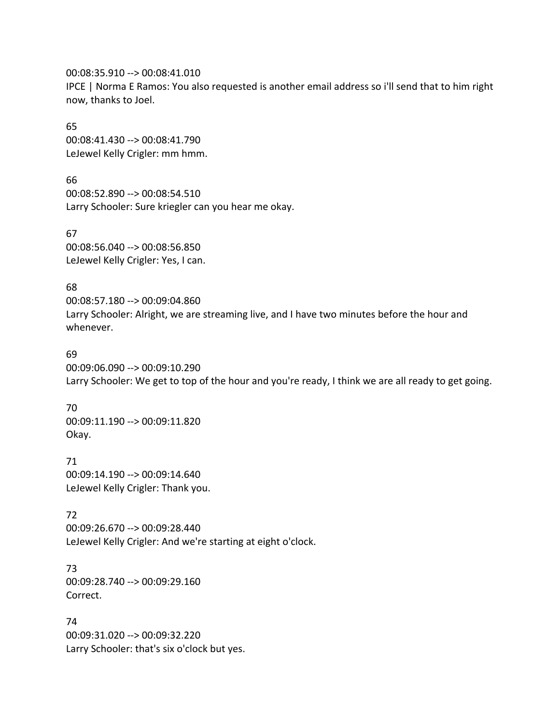00:08:35.910 --> 00:08:41.010

IPCE | Norma E Ramos: You also requested is another email address so i'll send that to him right now, thanks to Joel.

65

00:08:41.430 --> 00:08:41.790 LeJewel Kelly Crigler: mm hmm.

66 00:08:52.890 --> 00:08:54.510 Larry Schooler: Sure kriegler can you hear me okay.

67 00:08:56.040 --> 00:08:56.850 LeJewel Kelly Crigler: Yes, I can.

68

00:08:57.180 --> 00:09:04.860 Larry Schooler: Alright, we are streaming live, and I have two minutes before the hour and whenever.

69

00:09:06.090 --> 00:09:10.290 Larry Schooler: We get to top of the hour and you're ready, I think we are all ready to get going.

70 00:09:11.190 --> 00:09:11.820 Okay.

71 00:09:14.190 --> 00:09:14.640 LeJewel Kelly Crigler: Thank you.

72 00:09:26.670 --> 00:09:28.440 LeJewel Kelly Crigler: And we're starting at eight o'clock.

73 00:09:28.740 --> 00:09:29.160 Correct.

74 00:09:31.020 --> 00:09:32.220 Larry Schooler: that's six o'clock but yes.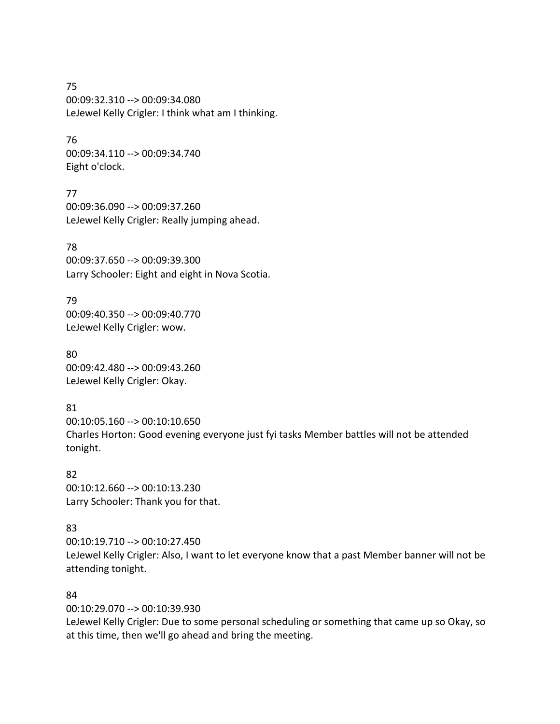75 00:09:32.310 --> 00:09:34.080 LeJewel Kelly Crigler: I think what am I thinking.

76 00:09:34.110 --> 00:09:34.740 Eight o'clock.

77 00:09:36.090 --> 00:09:37.260 LeJewel Kelly Crigler: Really jumping ahead.

78 00:09:37.650 --> 00:09:39.300 Larry Schooler: Eight and eight in Nova Scotia.

79 00:09:40.350 --> 00:09:40.770 LeJewel Kelly Crigler: wow.

80 00:09:42.480 --> 00:09:43.260 LeJewel Kelly Crigler: Okay.

81 00:10:05.160 --> 00:10:10.650 Charles Horton: Good evening everyone just fyi tasks Member battles will not be attended tonight.

82 00:10:12.660 --> 00:10:13.230 Larry Schooler: Thank you for that.

#### 83

00:10:19.710 --> 00:10:27.450 LeJewel Kelly Crigler: Also, I want to let everyone know that a past Member banner will not be attending tonight.

#### 84

00:10:29.070 --> 00:10:39.930

LeJewel Kelly Crigler: Due to some personal scheduling or something that came up so Okay, so at this time, then we'll go ahead and bring the meeting.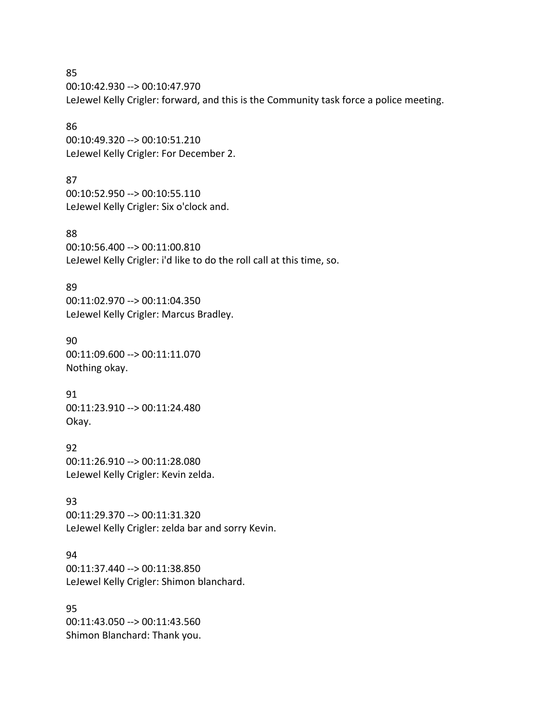85 00:10:42.930 --> 00:10:47.970 LeJewel Kelly Crigler: forward, and this is the Community task force a police meeting.

86 00:10:49.320 --> 00:10:51.210 LeJewel Kelly Crigler: For December 2.

87 00:10:52.950 --> 00:10:55.110 LeJewel Kelly Crigler: Six o'clock and.

88 00:10:56.400 --> 00:11:00.810 LeJewel Kelly Crigler: i'd like to do the roll call at this time, so.

89 00:11:02.970 --> 00:11:04.350 LeJewel Kelly Crigler: Marcus Bradley.

90 00:11:09.600 --> 00:11:11.070 Nothing okay.

91 00:11:23.910 --> 00:11:24.480 Okay.

92 00:11:26.910 --> 00:11:28.080 LeJewel Kelly Crigler: Kevin zelda.

93 00:11:29.370 --> 00:11:31.320 LeJewel Kelly Crigler: zelda bar and sorry Kevin.

94 00:11:37.440 --> 00:11:38.850 LeJewel Kelly Crigler: Shimon blanchard.

95 00:11:43.050 --> 00:11:43.560 Shimon Blanchard: Thank you.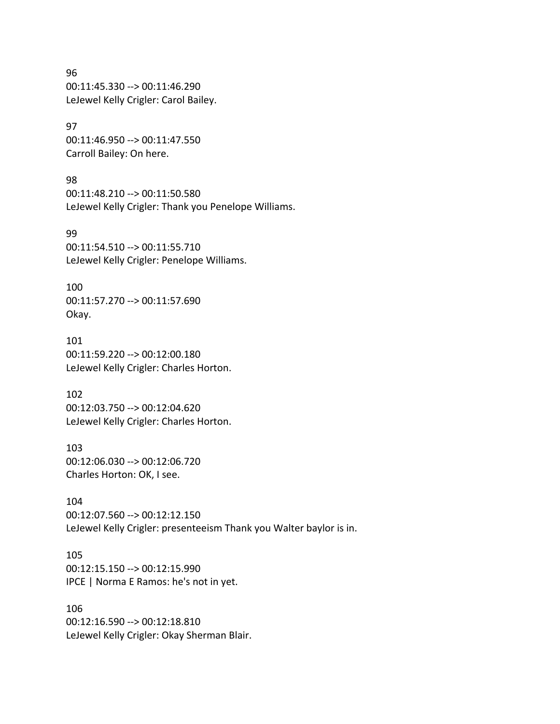96 00:11:45.330 --> 00:11:46.290 LeJewel Kelly Crigler: Carol Bailey.

97 00:11:46.950 --> 00:11:47.550 Carroll Bailey: On here.

98 00:11:48.210 --> 00:11:50.580 LeJewel Kelly Crigler: Thank you Penelope Williams.

99 00:11:54.510 --> 00:11:55.710 LeJewel Kelly Crigler: Penelope Williams.

100 00:11:57.270 --> 00:11:57.690 Okay.

101 00:11:59.220 --> 00:12:00.180 LeJewel Kelly Crigler: Charles Horton.

102 00:12:03.750 --> 00:12:04.620 LeJewel Kelly Crigler: Charles Horton.

103 00:12:06.030 --> 00:12:06.720 Charles Horton: OK, I see.

104 00:12:07.560 --> 00:12:12.150 LeJewel Kelly Crigler: presenteeism Thank you Walter baylor is in.

105 00:12:15.150 --> 00:12:15.990 IPCE | Norma E Ramos: he's not in yet.

106 00:12:16.590 --> 00:12:18.810 LeJewel Kelly Crigler: Okay Sherman Blair.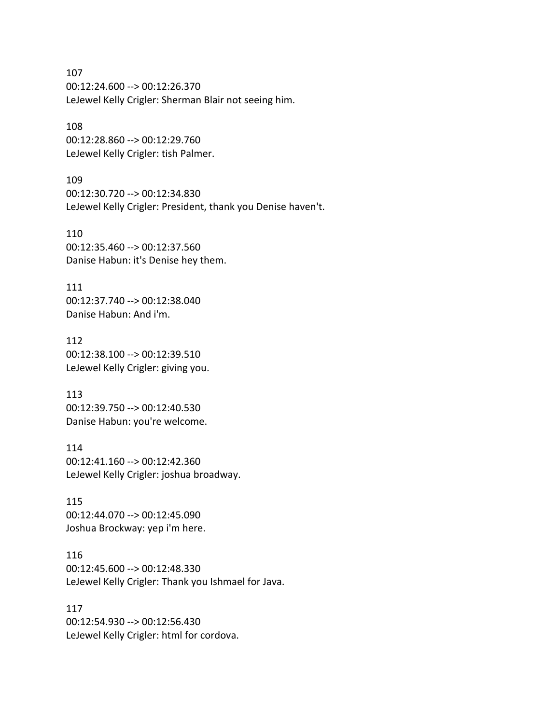107 00:12:24.600 --> 00:12:26.370 LeJewel Kelly Crigler: Sherman Blair not seeing him.

108 00:12:28.860 --> 00:12:29.760 LeJewel Kelly Crigler: tish Palmer.

109 00:12:30.720 --> 00:12:34.830 LeJewel Kelly Crigler: President, thank you Denise haven't.

110 00:12:35.460 --> 00:12:37.560 Danise Habun: it's Denise hey them.

111 00:12:37.740 --> 00:12:38.040 Danise Habun: And i'm.

112 00:12:38.100 --> 00:12:39.510 LeJewel Kelly Crigler: giving you.

113 00:12:39.750 --> 00:12:40.530 Danise Habun: you're welcome.

114 00:12:41.160 --> 00:12:42.360 LeJewel Kelly Crigler: joshua broadway.

115 00:12:44.070 --> 00:12:45.090 Joshua Brockway: yep i'm here.

116 00:12:45.600 --> 00:12:48.330 LeJewel Kelly Crigler: Thank you Ishmael for Java.

117 00:12:54.930 --> 00:12:56.430 LeJewel Kelly Crigler: html for cordova.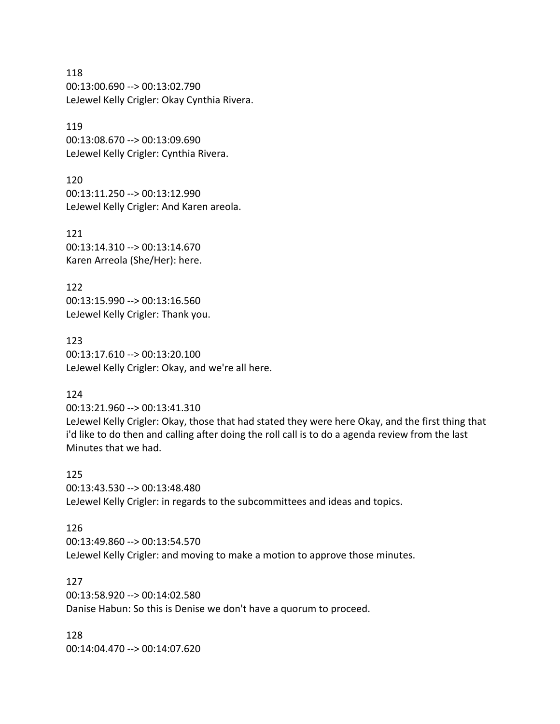118 00:13:00.690 --> 00:13:02.790 LeJewel Kelly Crigler: Okay Cynthia Rivera.

119 00:13:08.670 --> 00:13:09.690 LeJewel Kelly Crigler: Cynthia Rivera.

120 00:13:11.250 --> 00:13:12.990 LeJewel Kelly Crigler: And Karen areola.

121 00:13:14.310 --> 00:13:14.670 Karen Arreola (She/Her): here.

122 00:13:15.990 --> 00:13:16.560 LeJewel Kelly Crigler: Thank you.

123 00:13:17.610 --> 00:13:20.100 LeJewel Kelly Crigler: Okay, and we're all here.

#### 124

00:13:21.960 --> 00:13:41.310

LeJewel Kelly Crigler: Okay, those that had stated they were here Okay, and the first thing that i'd like to do then and calling after doing the roll call is to do a agenda review from the last Minutes that we had.

125 00:13:43.530 --> 00:13:48.480 LeJewel Kelly Crigler: in regards to the subcommittees and ideas and topics.

#### 126

00:13:49.860 --> 00:13:54.570 LeJewel Kelly Crigler: and moving to make a motion to approve those minutes.

127

00:13:58.920 --> 00:14:02.580 Danise Habun: So this is Denise we don't have a quorum to proceed.

128 00:14:04.470 --> 00:14:07.620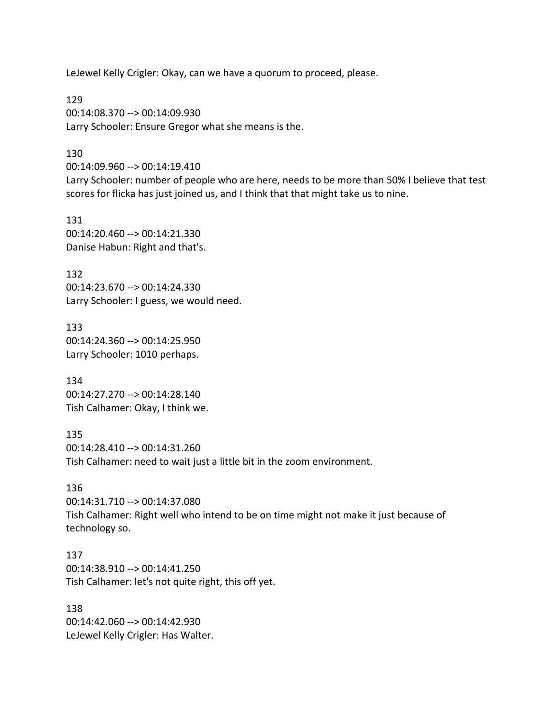LeJewel Kelly Crigler: Okay, can we have a quorum to proceed, please.

129 00:14:08.370 --> 00:14:09.930 Larry Schooler: Ensure Gregor what she means is the.

#### 130

00:14:09.960 --> 00:14:19.410

Larry Schooler: number of people who are here, needs to be more than 50% I believe that test scores for flicka has just joined us, and I think that that might take us to nine.

131 00:14:20.460 --> 00:14:21.330 Danise Habun: Right and that's.

132 00:14:23.670 --> 00:14:24.330 Larry Schooler: I guess, we would need.

133 00:14:24.360 --> 00:14:25.950 Larry Schooler: 1010 perhaps.

134 00:14:27.270 --> 00:14:28.140 Tish Calhamer: Okay, I think we.

135 00:14:28.410 --> 00:14:31.260 Tish Calhamer: need to wait just a little bit in the zoom environment.

#### 136

00:14:31.710 --> 00:14:37.080 Tish Calhamer: Right well who intend to be on time might not make it just because of technology so.

137

00:14:38.910 --> 00:14:41.250 Tish Calhamer: let's not quite right, this off yet.

138 00:14:42.060 --> 00:14:42.930 LeJewel Kelly Crigler: Has Walter.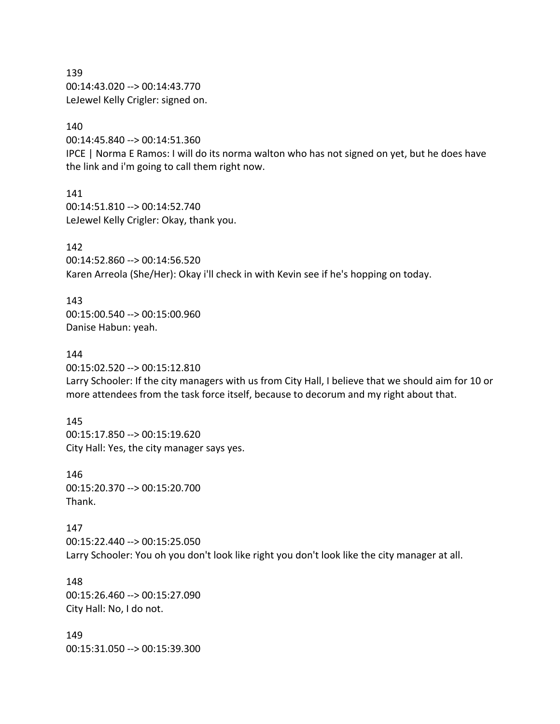139 00:14:43.020 --> 00:14:43.770 LeJewel Kelly Crigler: signed on.

140

00:14:45.840 --> 00:14:51.360

IPCE | Norma E Ramos: I will do its norma walton who has not signed on yet, but he does have the link and i'm going to call them right now.

141 00:14:51.810 --> 00:14:52.740 LeJewel Kelly Crigler: Okay, thank you.

142 00:14:52.860 --> 00:14:56.520 Karen Arreola (She/Her): Okay i'll check in with Kevin see if he's hopping on today.

143 00:15:00.540 --> 00:15:00.960 Danise Habun: yeah.

144 00:15:02.520 --> 00:15:12.810

Larry Schooler: If the city managers with us from City Hall, I believe that we should aim for 10 or more attendees from the task force itself, because to decorum and my right about that.

145 00:15:17.850 --> 00:15:19.620 City Hall: Yes, the city manager says yes.

146 00:15:20.370 --> 00:15:20.700 Thank.

147 00:15:22.440 --> 00:15:25.050 Larry Schooler: You oh you don't look like right you don't look like the city manager at all.

148 00:15:26.460 --> 00:15:27.090 City Hall: No, I do not.

149 00:15:31.050 --> 00:15:39.300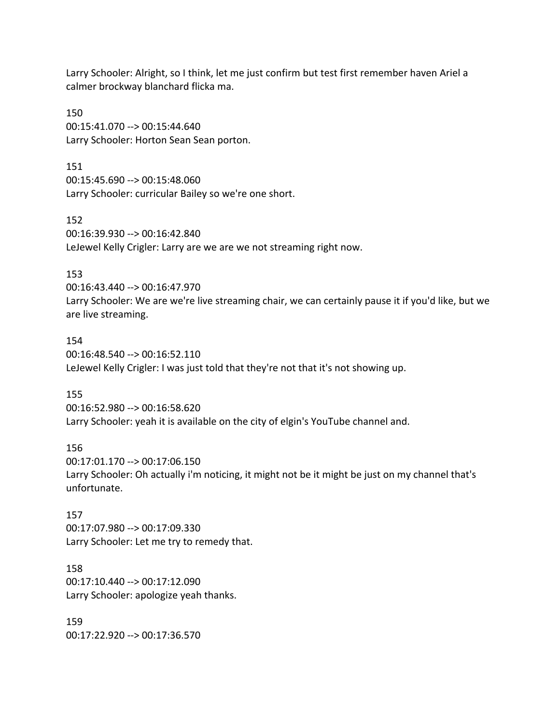Larry Schooler: Alright, so I think, let me just confirm but test first remember haven Ariel a calmer brockway blanchard flicka ma.

150 00:15:41.070 --> 00:15:44.640 Larry Schooler: Horton Sean Sean porton.

151 00:15:45.690 --> 00:15:48.060 Larry Schooler: curricular Bailey so we're one short.

152 00:16:39.930 --> 00:16:42.840 LeJewel Kelly Crigler: Larry are we are we not streaming right now.

#### 153

00:16:43.440 --> 00:16:47.970 Larry Schooler: We are we're live streaming chair, we can certainly pause it if you'd like, but we are live streaming.

#### 154

00:16:48.540 --> 00:16:52.110 LeJewel Kelly Crigler: I was just told that they're not that it's not showing up.

#### 155

00:16:52.980 --> 00:16:58.620 Larry Schooler: yeah it is available on the city of elgin's YouTube channel and.

#### 156

00:17:01.170 --> 00:17:06.150 Larry Schooler: Oh actually i'm noticing, it might not be it might be just on my channel that's unfortunate.

#### 157

00:17:07.980 --> 00:17:09.330 Larry Schooler: Let me try to remedy that.

#### 158

00:17:10.440 --> 00:17:12.090 Larry Schooler: apologize yeah thanks.

159 00:17:22.920 --> 00:17:36.570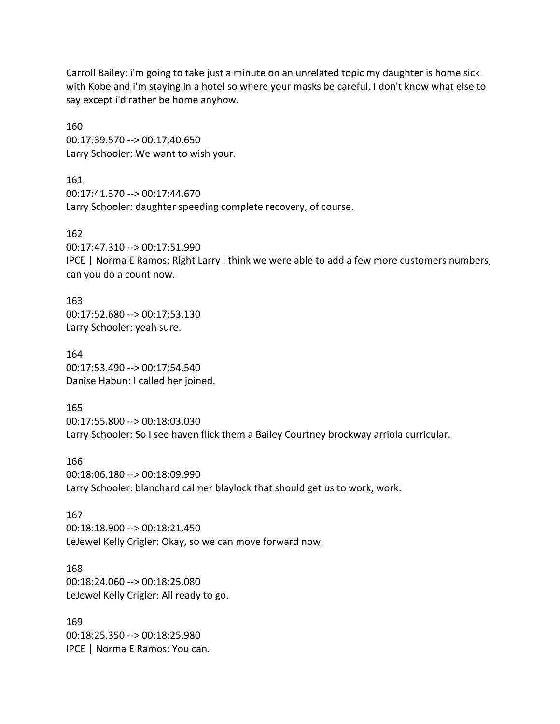Carroll Bailey: i'm going to take just a minute on an unrelated topic my daughter is home sick with Kobe and i'm staying in a hotel so where your masks be careful, I don't know what else to say except i'd rather be home anyhow.

160 00:17:39.570 --> 00:17:40.650 Larry Schooler: We want to wish your.

161 00:17:41.370 --> 00:17:44.670 Larry Schooler: daughter speeding complete recovery, of course.

162 00:17:47.310 --> 00:17:51.990 IPCE | Norma E Ramos: Right Larry I think we were able to add a few more customers numbers, can you do a count now.

163 00:17:52.680 --> 00:17:53.130 Larry Schooler: yeah sure.

164 00:17:53.490 --> 00:17:54.540 Danise Habun: I called her joined.

165 00:17:55.800 --> 00:18:03.030 Larry Schooler: So I see haven flick them a Bailey Courtney brockway arriola curricular.

166 00:18:06.180 --> 00:18:09.990 Larry Schooler: blanchard calmer blaylock that should get us to work, work.

167 00:18:18.900 --> 00:18:21.450 LeJewel Kelly Crigler: Okay, so we can move forward now.

168 00:18:24.060 --> 00:18:25.080 LeJewel Kelly Crigler: All ready to go.

169 00:18:25.350 --> 00:18:25.980 IPCE | Norma E Ramos: You can.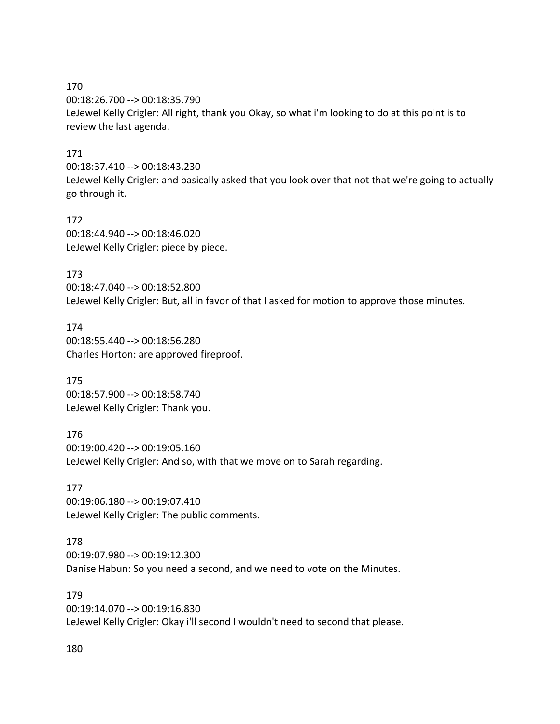170 00:18:26.700 --> 00:18:35.790 LeJewel Kelly Crigler: All right, thank you Okay, so what i'm looking to do at this point is to review the last agenda.

### 171

00:18:37.410 --> 00:18:43.230

LeJewel Kelly Crigler: and basically asked that you look over that not that we're going to actually go through it.

172 00:18:44.940 --> 00:18:46.020 LeJewel Kelly Crigler: piece by piece.

173 00:18:47.040 --> 00:18:52.800 LeJewel Kelly Crigler: But, all in favor of that I asked for motion to approve those minutes.

174 00:18:55.440 --> 00:18:56.280 Charles Horton: are approved fireproof.

175 00:18:57.900 --> 00:18:58.740 LeJewel Kelly Crigler: Thank you.

176 00:19:00.420 --> 00:19:05.160 LeJewel Kelly Crigler: And so, with that we move on to Sarah regarding.

177 00:19:06.180 --> 00:19:07.410 LeJewel Kelly Crigler: The public comments.

178

00:19:07.980 --> 00:19:12.300

Danise Habun: So you need a second, and we need to vote on the Minutes.

179 00:19:14.070 --> 00:19:16.830 LeJewel Kelly Crigler: Okay i'll second I wouldn't need to second that please.

180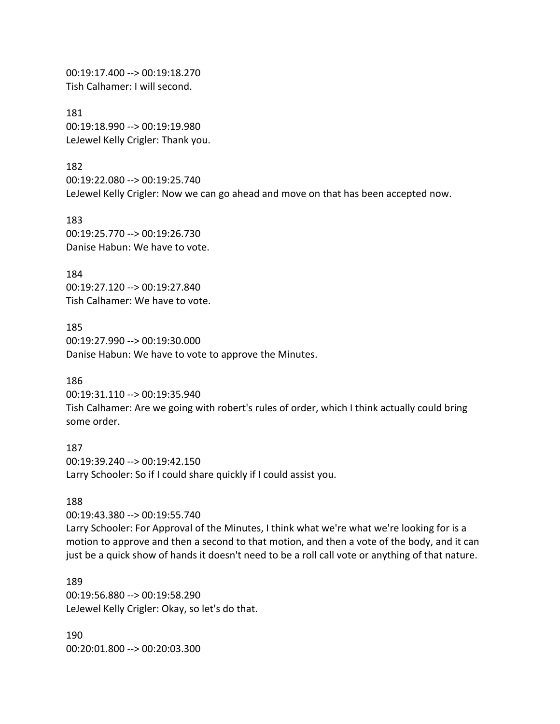00:19:17.400 --> 00:19:18.270 Tish Calhamer: I will second.

181 00:19:18.990 --> 00:19:19.980 LeJewel Kelly Crigler: Thank you.

182 00:19:22.080 --> 00:19:25.740 LeJewel Kelly Crigler: Now we can go ahead and move on that has been accepted now.

183 00:19:25.770 --> 00:19:26.730 Danise Habun: We have to vote.

184 00:19:27.120 --> 00:19:27.840 Tish Calhamer: We have to vote.

185 00:19:27.990 --> 00:19:30.000 Danise Habun: We have to vote to approve the Minutes.

#### 186

00:19:31.110 --> 00:19:35.940 Tish Calhamer: Are we going with robert's rules of order, which I think actually could bring some order.

187 00:19:39.240 --> 00:19:42.150 Larry Schooler: So if I could share quickly if I could assist you.

#### 188

00:19:43.380 --> 00:19:55.740 Larry Schooler: For Approval of the Minutes, I think what we're what we're looking for is a motion to approve and then a second to that motion, and then a vote of the body, and it can just be a quick show of hands it doesn't need to be a roll call vote or anything of that nature.

189 00:19:56.880 --> 00:19:58.290 LeJewel Kelly Crigler: Okay, so let's do that.

190 00:20:01.800 --> 00:20:03.300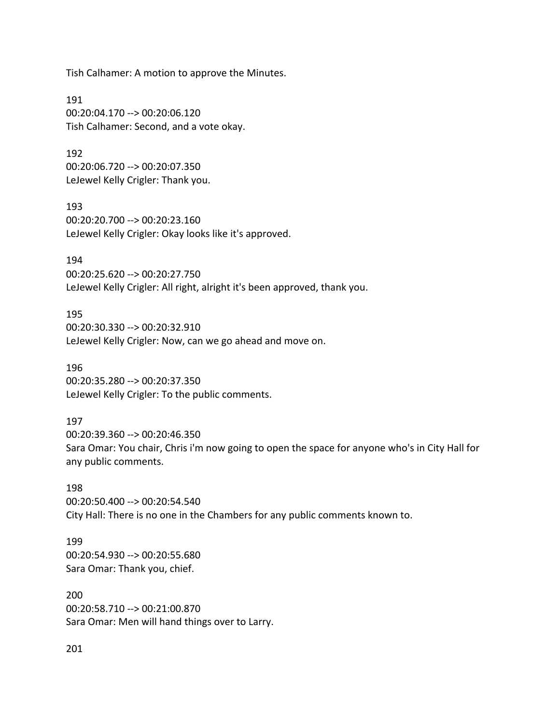Tish Calhamer: A motion to approve the Minutes.

191 00:20:04.170 --> 00:20:06.120 Tish Calhamer: Second, and a vote okay.

192 00:20:06.720 --> 00:20:07.350 LeJewel Kelly Crigler: Thank you.

193 00:20:20.700 --> 00:20:23.160 LeJewel Kelly Crigler: Okay looks like it's approved.

194 00:20:25.620 --> 00:20:27.750 LeJewel Kelly Crigler: All right, alright it's been approved, thank you.

195 00:20:30.330 --> 00:20:32.910 LeJewel Kelly Crigler: Now, can we go ahead and move on.

196 00:20:35.280 --> 00:20:37.350 LeJewel Kelly Crigler: To the public comments.

#### 197

00:20:39.360 --> 00:20:46.350 Sara Omar: You chair, Chris i'm now going to open the space for anyone who's in City Hall for any public comments.

198 00:20:50.400 --> 00:20:54.540 City Hall: There is no one in the Chambers for any public comments known to.

199 00:20:54.930 --> 00:20:55.680 Sara Omar: Thank you, chief.

200 00:20:58.710 --> 00:21:00.870 Sara Omar: Men will hand things over to Larry.

201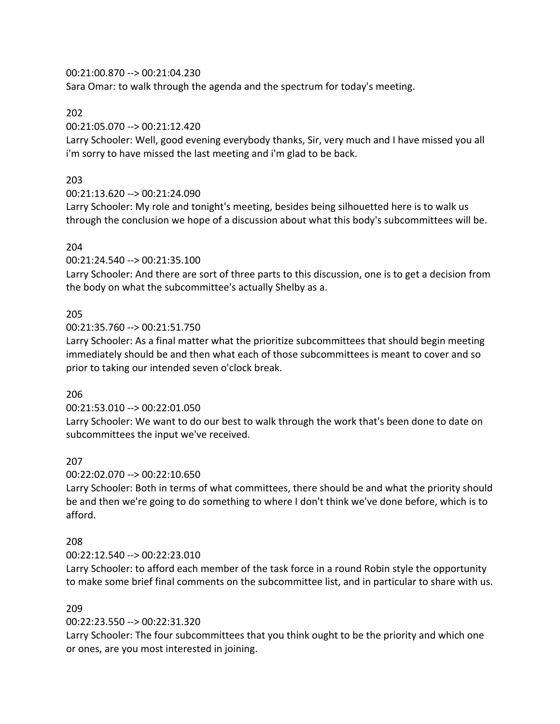00:21:00.870 --> 00:21:04.230

Sara Omar: to walk through the agenda and the spectrum for today's meeting.

# 202

00:21:05.070 --> 00:21:12.420

Larry Schooler: Well, good evening everybody thanks, Sir, very much and I have missed you all i'm sorry to have missed the last meeting and i'm glad to be back.

# 203

00:21:13.620 --> 00:21:24.090

Larry Schooler: My role and tonight's meeting, besides being silhouetted here is to walk us through the conclusion we hope of a discussion about what this body's subcommittees will be.

# 204

00:21:24.540 --> 00:21:35.100

Larry Schooler: And there are sort of three parts to this discussion, one is to get a decision from the body on what the subcommittee's actually Shelby as a.

# 205

00:21:35.760 --> 00:21:51.750

Larry Schooler: As a final matter what the prioritize subcommittees that should begin meeting immediately should be and then what each of those subcommittees is meant to cover and so prior to taking our intended seven o'clock break.

# 206

00:21:53.010 --> 00:22:01.050

Larry Schooler: We want to do our best to walk through the work that's been done to date on subcommittees the input we've received.

# 207

00:22:02.070 --> 00:22:10.650

Larry Schooler: Both in terms of what committees, there should be and what the priority should be and then we're going to do something to where I don't think we've done before, which is to afford.

# 208

# 00:22:12.540 --> 00:22:23.010

Larry Schooler: to afford each member of the task force in a round Robin style the opportunity to make some brief final comments on the subcommittee list, and in particular to share with us.

# 209

00:22:23.550 --> 00:22:31.320

Larry Schooler: The four subcommittees that you think ought to be the priority and which one or ones, are you most interested in joining.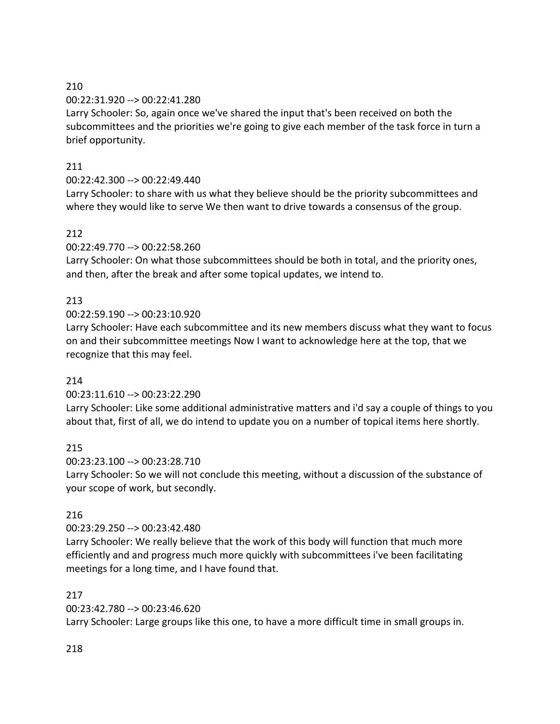# 210

# 00:22:31.920 --> 00:22:41.280

Larry Schooler: So, again once we've shared the input that's been received on both the subcommittees and the priorities we're going to give each member of the task force in turn a brief opportunity.

# 211

# 00:22:42.300 --> 00:22:49.440

Larry Schooler: to share with us what they believe should be the priority subcommittees and where they would like to serve We then want to drive towards a consensus of the group.

# 212

00:22:49.770 --> 00:22:58.260

Larry Schooler: On what those subcommittees should be both in total, and the priority ones, and then, after the break and after some topical updates, we intend to.

# 213

00:22:59.190 --> 00:23:10.920

Larry Schooler: Have each subcommittee and its new members discuss what they want to focus on and their subcommittee meetings Now I want to acknowledge here at the top, that we recognize that this may feel.

# 214

00:23:11.610 --> 00:23:22.290

Larry Schooler: Like some additional administrative matters and i'd say a couple of things to you about that, first of all, we do intend to update you on a number of topical items here shortly.

# 215

00:23:23.100 --> 00:23:28.710

Larry Schooler: So we will not conclude this meeting, without a discussion of the substance of your scope of work, but secondly.

# 216

00:23:29.250 --> 00:23:42.480

Larry Schooler: We really believe that the work of this body will function that much more efficiently and and progress much more quickly with subcommittees i've been facilitating meetings for a long time, and I have found that.

# 217

00:23:42.780 --> 00:23:46.620

Larry Schooler: Large groups like this one, to have a more difficult time in small groups in.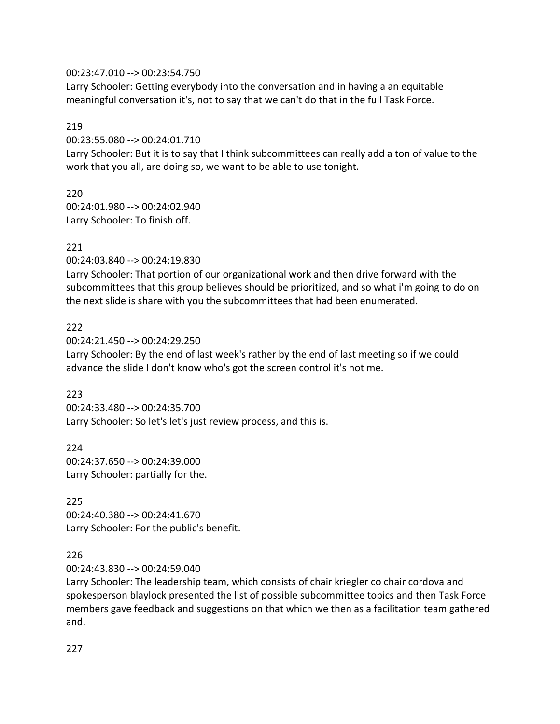#### 00:23:47.010 --> 00:23:54.750

Larry Schooler: Getting everybody into the conversation and in having a an equitable meaningful conversation it's, not to say that we can't do that in the full Task Force.

#### 219

00:23:55.080 --> 00:24:01.710

Larry Schooler: But it is to say that I think subcommittees can really add a ton of value to the work that you all, are doing so, we want to be able to use tonight.

# 220

00:24:01.980 --> 00:24:02.940 Larry Schooler: To finish off.

### 221

00:24:03.840 --> 00:24:19.830

Larry Schooler: That portion of our organizational work and then drive forward with the subcommittees that this group believes should be prioritized, and so what i'm going to do on the next slide is share with you the subcommittees that had been enumerated.

### 222

00:24:21.450 --> 00:24:29.250 Larry Schooler: By the end of last week's rather by the end of last meeting so if we could advance the slide I don't know who's got the screen control it's not me.

# 223

00:24:33.480 --> 00:24:35.700 Larry Schooler: So let's let's just review process, and this is.

224 00:24:37.650 --> 00:24:39.000 Larry Schooler: partially for the.

# 225

00:24:40.380 --> 00:24:41.670 Larry Schooler: For the public's benefit.

# 226

00:24:43.830 --> 00:24:59.040

Larry Schooler: The leadership team, which consists of chair kriegler co chair cordova and spokesperson blaylock presented the list of possible subcommittee topics and then Task Force members gave feedback and suggestions on that which we then as a facilitation team gathered and.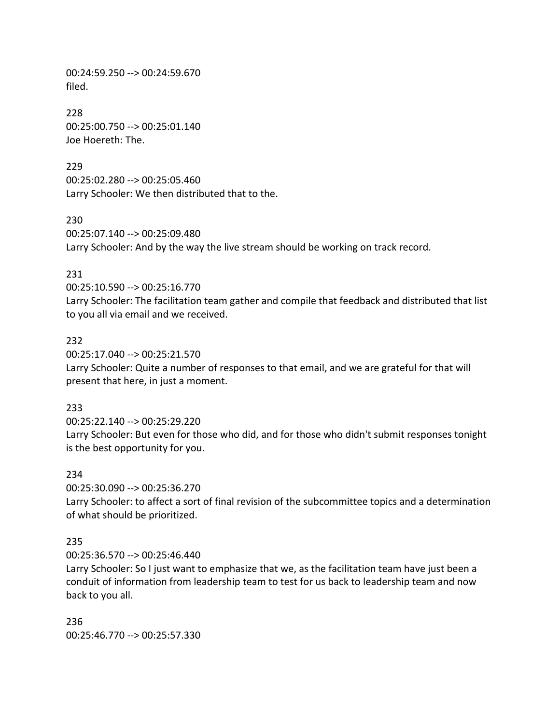00:24:59.250 --> 00:24:59.670 filed.

228 00:25:00.750 --> 00:25:01.140 Joe Hoereth: The.

229 00:25:02.280 --> 00:25:05.460 Larry Schooler: We then distributed that to the.

230 00:25:07.140 --> 00:25:09.480 Larry Schooler: And by the way the live stream should be working on track record.

#### 231

00:25:10.590 --> 00:25:16.770

Larry Schooler: The facilitation team gather and compile that feedback and distributed that list to you all via email and we received.

#### 232

00:25:17.040 --> 00:25:21.570 Larry Schooler: Quite a number of responses to that email, and we are grateful for that will present that here, in just a moment.

#### 233

00:25:22.140 --> 00:25:29.220 Larry Schooler: But even for those who did, and for those who didn't submit responses tonight is the best opportunity for you.

#### 234

00:25:30.090 --> 00:25:36.270

Larry Schooler: to affect a sort of final revision of the subcommittee topics and a determination of what should be prioritized.

#### 235

00:25:36.570 --> 00:25:46.440

Larry Schooler: So I just want to emphasize that we, as the facilitation team have just been a conduit of information from leadership team to test for us back to leadership team and now back to you all.

236

00:25:46.770 --> 00:25:57.330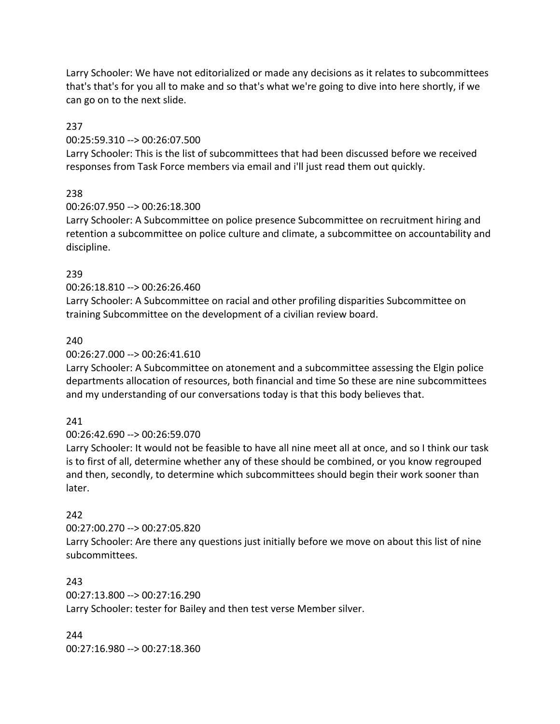Larry Schooler: We have not editorialized or made any decisions as it relates to subcommittees that's that's for you all to make and so that's what we're going to dive into here shortly, if we can go on to the next slide.

### 237

### 00:25:59.310 --> 00:26:07.500

Larry Schooler: This is the list of subcommittees that had been discussed before we received responses from Task Force members via email and i'll just read them out quickly.

# 238

# 00:26:07.950 --> 00:26:18.300

Larry Schooler: A Subcommittee on police presence Subcommittee on recruitment hiring and retention a subcommittee on police culture and climate, a subcommittee on accountability and discipline.

# 239

# 00:26:18.810 --> 00:26:26.460

Larry Schooler: A Subcommittee on racial and other profiling disparities Subcommittee on training Subcommittee on the development of a civilian review board.

# 240

# 00:26:27.000 --> 00:26:41.610

Larry Schooler: A Subcommittee on atonement and a subcommittee assessing the Elgin police departments allocation of resources, both financial and time So these are nine subcommittees and my understanding of our conversations today is that this body believes that.

# 241

# 00:26:42.690 --> 00:26:59.070

Larry Schooler: It would not be feasible to have all nine meet all at once, and so I think our task is to first of all, determine whether any of these should be combined, or you know regrouped and then, secondly, to determine which subcommittees should begin their work sooner than later.

# 242

# 00:27:00.270 --> 00:27:05.820 Larry Schooler: Are there any questions just initially before we move on about this list of nine subcommittees.

# 243 00:27:13.800 --> 00:27:16.290 Larry Schooler: tester for Bailey and then test verse Member silver.

244 00:27:16.980 --> 00:27:18.360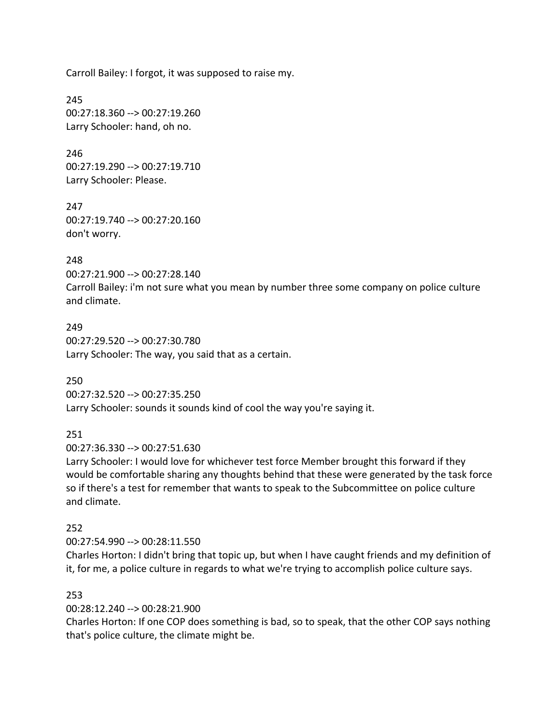Carroll Bailey: I forgot, it was supposed to raise my.

245 00:27:18.360 --> 00:27:19.260 Larry Schooler: hand, oh no.

246 00:27:19.290 --> 00:27:19.710 Larry Schooler: Please.

247 00:27:19.740 --> 00:27:20.160 don't worry.

#### 248

00:27:21.900 --> 00:27:28.140 Carroll Bailey: i'm not sure what you mean by number three some company on police culture and climate.

#### 249

00:27:29.520 --> 00:27:30.780 Larry Schooler: The way, you said that as a certain.

250

00:27:32.520 --> 00:27:35.250 Larry Schooler: sounds it sounds kind of cool the way you're saying it.

#### 251

00:27:36.330 --> 00:27:51.630

Larry Schooler: I would love for whichever test force Member brought this forward if they would be comfortable sharing any thoughts behind that these were generated by the task force so if there's a test for remember that wants to speak to the Subcommittee on police culture and climate.

#### 252

00:27:54.990 --> 00:28:11.550

Charles Horton: I didn't bring that topic up, but when I have caught friends and my definition of it, for me, a police culture in regards to what we're trying to accomplish police culture says.

#### 253

00:28:12.240 --> 00:28:21.900

Charles Horton: If one COP does something is bad, so to speak, that the other COP says nothing that's police culture, the climate might be.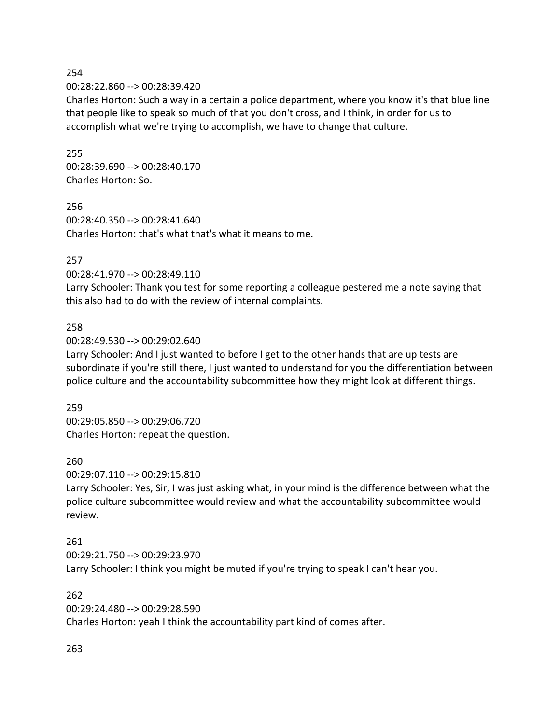# 254 00:28:22.860 --> 00:28:39.420

Charles Horton: Such a way in a certain a police department, where you know it's that blue line that people like to speak so much of that you don't cross, and I think, in order for us to accomplish what we're trying to accomplish, we have to change that culture.

# 255 00:28:39.690 --> 00:28:40.170 Charles Horton: So.

256 00:28:40.350 --> 00:28:41.640 Charles Horton: that's what that's what it means to me.

# 257

# 00:28:41.970 --> 00:28:49.110

Larry Schooler: Thank you test for some reporting a colleague pestered me a note saying that this also had to do with the review of internal complaints.

# 258

# 00:28:49.530 --> 00:29:02.640

Larry Schooler: And I just wanted to before I get to the other hands that are up tests are subordinate if you're still there, I just wanted to understand for you the differentiation between police culture and the accountability subcommittee how they might look at different things.

# 259

00:29:05.850 --> 00:29:06.720 Charles Horton: repeat the question.

# 260

00:29:07.110 --> 00:29:15.810

Larry Schooler: Yes, Sir, I was just asking what, in your mind is the difference between what the police culture subcommittee would review and what the accountability subcommittee would review.

# 261

00:29:21.750 --> 00:29:23.970 Larry Schooler: I think you might be muted if you're trying to speak I can't hear you.

# 262

00:29:24.480 --> 00:29:28.590 Charles Horton: yeah I think the accountability part kind of comes after.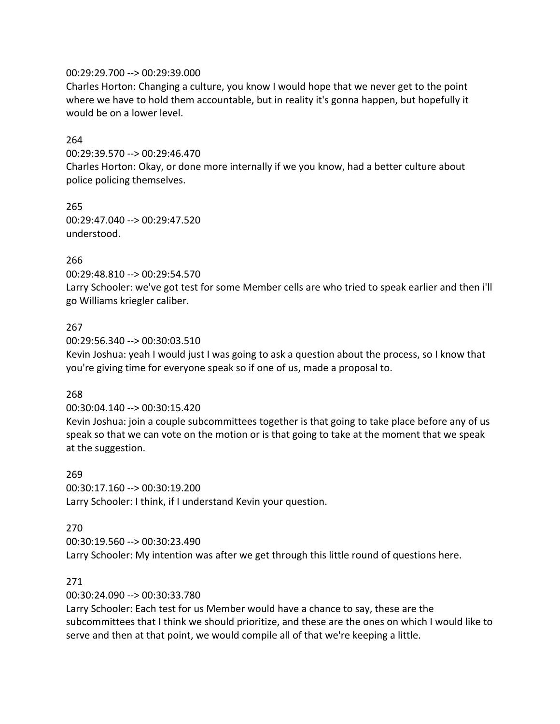#### 00:29:29.700 --> 00:29:39.000

Charles Horton: Changing a culture, you know I would hope that we never get to the point where we have to hold them accountable, but in reality it's gonna happen, but hopefully it would be on a lower level.

### 264

00:29:39.570 --> 00:29:46.470

Charles Horton: Okay, or done more internally if we you know, had a better culture about police policing themselves.

265 00:29:47.040 --> 00:29:47.520 understood.

#### 266

00:29:48.810 --> 00:29:54.570 Larry Schooler: we've got test for some Member cells are who tried to speak earlier and then i'll go Williams kriegler caliber.

#### 267

00:29:56.340 --> 00:30:03.510

Kevin Joshua: yeah I would just I was going to ask a question about the process, so I know that you're giving time for everyone speak so if one of us, made a proposal to.

#### 268

00:30:04.140 --> 00:30:15.420

Kevin Joshua: join a couple subcommittees together is that going to take place before any of us speak so that we can vote on the motion or is that going to take at the moment that we speak at the suggestion.

269 00:30:17.160 --> 00:30:19.200 Larry Schooler: I think, if I understand Kevin your question.

#### 270

00:30:19.560 --> 00:30:23.490

Larry Schooler: My intention was after we get through this little round of questions here.

#### 271

00:30:24.090 --> 00:30:33.780

Larry Schooler: Each test for us Member would have a chance to say, these are the subcommittees that I think we should prioritize, and these are the ones on which I would like to serve and then at that point, we would compile all of that we're keeping a little.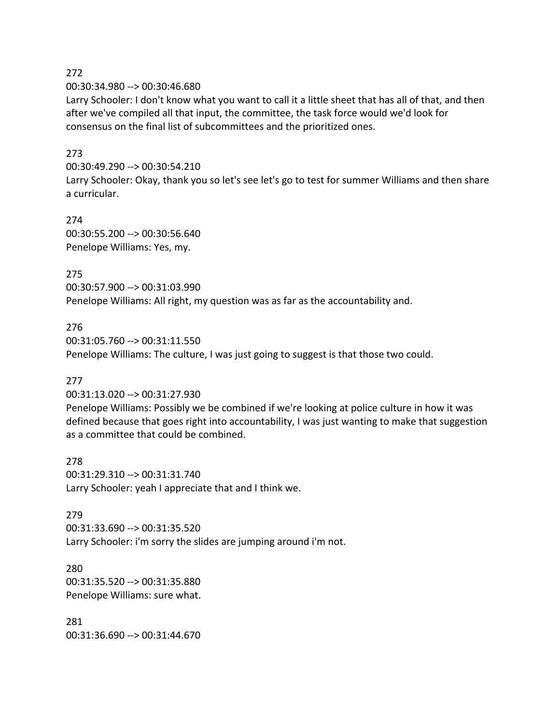272

00:30:34.980 --> 00:30:46.680

Larry Schooler: I don't know what you want to call it a little sheet that has all of that, and then after we've compiled all that input, the committee, the task force would we'd look for consensus on the final list of subcommittees and the prioritized ones.

#### 273

00:30:49.290 --> 00:30:54.210

Larry Schooler: Okay, thank you so let's see let's go to test for summer Williams and then share a curricular.

274 00:30:55.200 --> 00:30:56.640 Penelope Williams: Yes, my.

275 00:30:57.900 --> 00:31:03.990 Penelope Williams: All right, my question was as far as the accountability and.

#### 276

00:31:05.760 --> 00:31:11.550 Penelope Williams: The culture, I was just going to suggest is that those two could.

#### 277

00:31:13.020 --> 00:31:27.930

Penelope Williams: Possibly we be combined if we're looking at police culture in how it was defined because that goes right into accountability, I was just wanting to make that suggestion as a committee that could be combined.

278 00:31:29.310 --> 00:31:31.740 Larry Schooler: yeah I appreciate that and I think we.

#### 279

00:31:33.690 --> 00:31:35.520 Larry Schooler: i'm sorry the slides are jumping around i'm not.

280 00:31:35.520 --> 00:31:35.880 Penelope Williams: sure what.

281 00:31:36.690 --> 00:31:44.670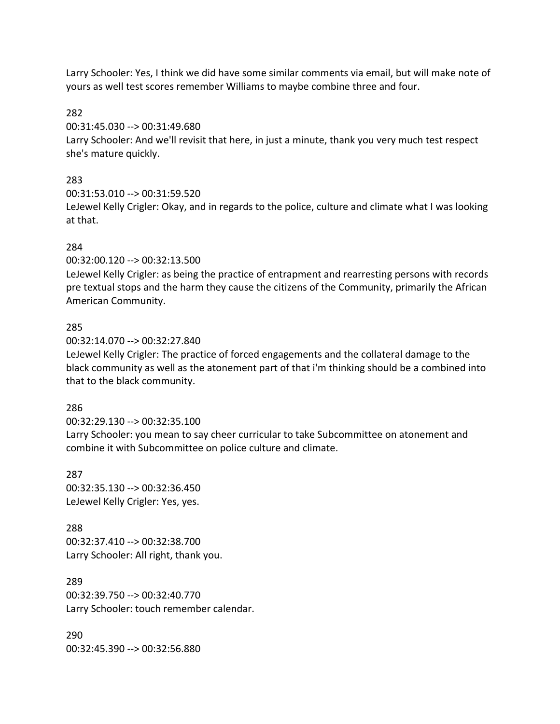Larry Schooler: Yes, I think we did have some similar comments via email, but will make note of yours as well test scores remember Williams to maybe combine three and four.

282

00:31:45.030 --> 00:31:49.680

Larry Schooler: And we'll revisit that here, in just a minute, thank you very much test respect she's mature quickly.

# 283

00:31:53.010 --> 00:31:59.520

LeJewel Kelly Crigler: Okay, and in regards to the police, culture and climate what I was looking at that.

# 284

00:32:00.120 --> 00:32:13.500

LeJewel Kelly Crigler: as being the practice of entrapment and rearresting persons with records pre textual stops and the harm they cause the citizens of the Community, primarily the African American Community.

# 285

00:32:14.070 --> 00:32:27.840

LeJewel Kelly Crigler: The practice of forced engagements and the collateral damage to the black community as well as the atonement part of that i'm thinking should be a combined into that to the black community.

# 286

00:32:29.130 --> 00:32:35.100

Larry Schooler: you mean to say cheer curricular to take Subcommittee on atonement and combine it with Subcommittee on police culture and climate.

287 00:32:35.130 --> 00:32:36.450 LeJewel Kelly Crigler: Yes, yes.

288 00:32:37.410 --> 00:32:38.700 Larry Schooler: All right, thank you.

289 00:32:39.750 --> 00:32:40.770 Larry Schooler: touch remember calendar.

290 00:32:45.390 --> 00:32:56.880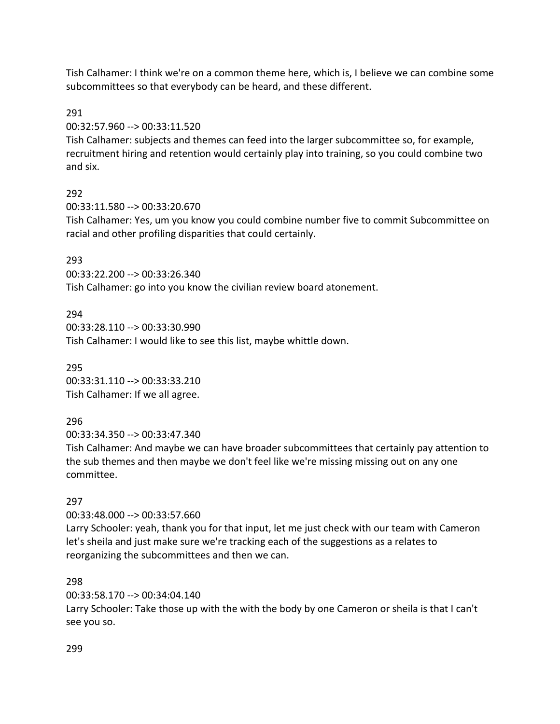Tish Calhamer: I think we're on a common theme here, which is, I believe we can combine some subcommittees so that everybody can be heard, and these different.

#### 291

00:32:57.960 --> 00:33:11.520

Tish Calhamer: subjects and themes can feed into the larger subcommittee so, for example, recruitment hiring and retention would certainly play into training, so you could combine two and six.

# 292

00:33:11.580 --> 00:33:20.670

Tish Calhamer: Yes, um you know you could combine number five to commit Subcommittee on racial and other profiling disparities that could certainly.

# 293

00:33:22.200 --> 00:33:26.340 Tish Calhamer: go into you know the civilian review board atonement.

### 294

00:33:28.110 --> 00:33:30.990 Tish Calhamer: I would like to see this list, maybe whittle down.

295 00:33:31.110 --> 00:33:33.210 Tish Calhamer: If we all agree.

# 296

00:33:34.350 --> 00:33:47.340

Tish Calhamer: And maybe we can have broader subcommittees that certainly pay attention to the sub themes and then maybe we don't feel like we're missing missing out on any one committee.

# 297

00:33:48.000 --> 00:33:57.660

Larry Schooler: yeah, thank you for that input, let me just check with our team with Cameron let's sheila and just make sure we're tracking each of the suggestions as a relates to reorganizing the subcommittees and then we can.

# 298

00:33:58.170 --> 00:34:04.140

Larry Schooler: Take those up with the with the body by one Cameron or sheila is that I can't see you so.

#### 299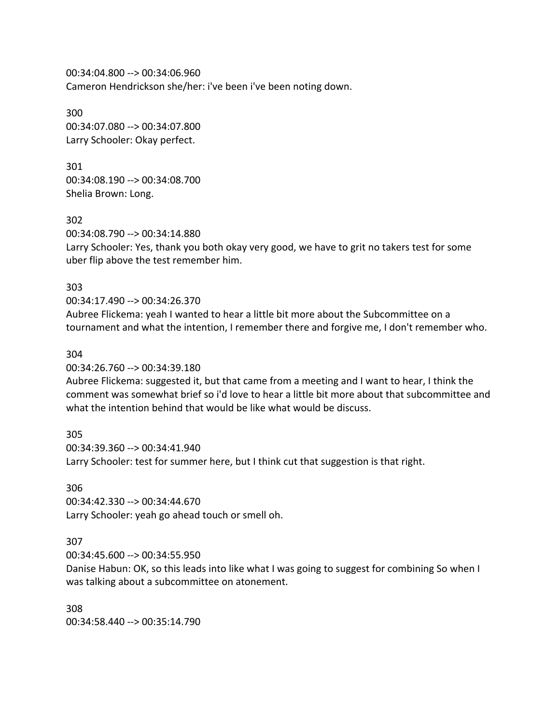00:34:04.800 --> 00:34:06.960 Cameron Hendrickson she/her: i've been i've been noting down.

300 00:34:07.080 --> 00:34:07.800 Larry Schooler: Okay perfect.

301 00:34:08.190 --> 00:34:08.700 Shelia Brown: Long.

302 00:34:08.790 --> 00:34:14.880 Larry Schooler: Yes, thank you both okay very good, we have to grit no takers test for some uber flip above the test remember him.

303

00:34:17.490 --> 00:34:26.370 Aubree Flickema: yeah I wanted to hear a little bit more about the Subcommittee on a tournament and what the intention, I remember there and forgive me, I don't remember who.

#### 304

00:34:26.760 --> 00:34:39.180

Aubree Flickema: suggested it, but that came from a meeting and I want to hear, I think the comment was somewhat brief so i'd love to hear a little bit more about that subcommittee and what the intention behind that would be like what would be discuss.

305

00:34:39.360 --> 00:34:41.940 Larry Schooler: test for summer here, but I think cut that suggestion is that right.

306

00:34:42.330 --> 00:34:44.670 Larry Schooler: yeah go ahead touch or smell oh.

#### 307

00:34:45.600 --> 00:34:55.950

Danise Habun: OK, so this leads into like what I was going to suggest for combining So when I was talking about a subcommittee on atonement.

308 00:34:58.440 --> 00:35:14.790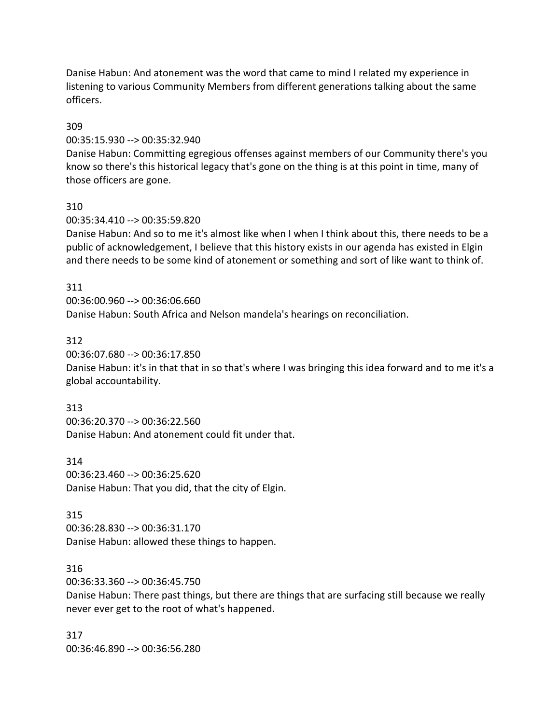Danise Habun: And atonement was the word that came to mind I related my experience in listening to various Community Members from different generations talking about the same officers.

#### 309

00:35:15.930 --> 00:35:32.940

Danise Habun: Committing egregious offenses against members of our Community there's you know so there's this historical legacy that's gone on the thing is at this point in time, many of those officers are gone.

### 310

00:35:34.410 --> 00:35:59.820

Danise Habun: And so to me it's almost like when I when I think about this, there needs to be a public of acknowledgement, I believe that this history exists in our agenda has existed in Elgin and there needs to be some kind of atonement or something and sort of like want to think of.

### 311

00:36:00.960 --> 00:36:06.660 Danise Habun: South Africa and Nelson mandela's hearings on reconciliation.

### 312

00:36:07.680 --> 00:36:17.850

Danise Habun: it's in that that in so that's where I was bringing this idea forward and to me it's a global accountability.

#### 313

00:36:20.370 --> 00:36:22.560 Danise Habun: And atonement could fit under that.

314

00:36:23.460 --> 00:36:25.620 Danise Habun: That you did, that the city of Elgin.

# 315

00:36:28.830 --> 00:36:31.170 Danise Habun: allowed these things to happen.

# 316

00:36:33.360 --> 00:36:45.750

Danise Habun: There past things, but there are things that are surfacing still because we really never ever get to the root of what's happened.

317 00:36:46.890 --> 00:36:56.280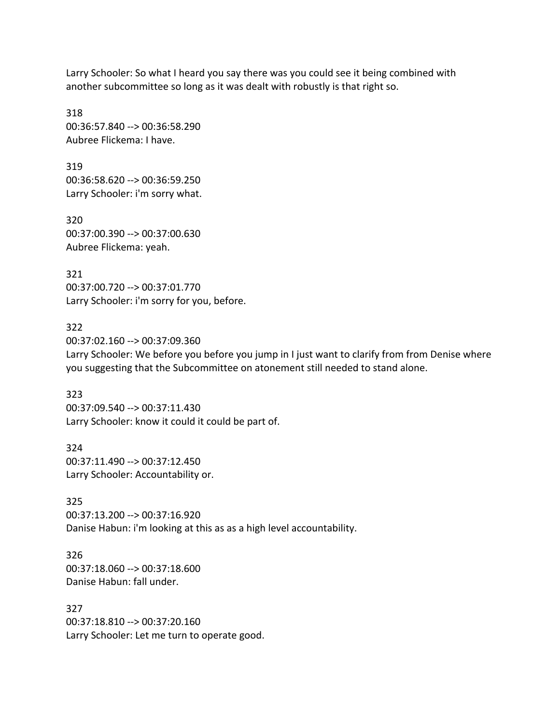Larry Schooler: So what I heard you say there was you could see it being combined with another subcommittee so long as it was dealt with robustly is that right so.

318 00:36:57.840 --> 00:36:58.290 Aubree Flickema: I have.

319 00:36:58.620 --> 00:36:59.250 Larry Schooler: i'm sorry what.

320 00:37:00.390 --> 00:37:00.630 Aubree Flickema: yeah.

321 00:37:00.720 --> 00:37:01.770 Larry Schooler: i'm sorry for you, before.

322 00:37:02.160 --> 00:37:09.360 Larry Schooler: We before you before you jump in I just want to clarify from from Denise where you suggesting that the Subcommittee on atonement still needed to stand alone.

323 00:37:09.540 --> 00:37:11.430 Larry Schooler: know it could it could be part of.

324 00:37:11.490 --> 00:37:12.450 Larry Schooler: Accountability or.

325 00:37:13.200 --> 00:37:16.920 Danise Habun: i'm looking at this as as a high level accountability.

326 00:37:18.060 --> 00:37:18.600 Danise Habun: fall under.

327 00:37:18.810 --> 00:37:20.160 Larry Schooler: Let me turn to operate good.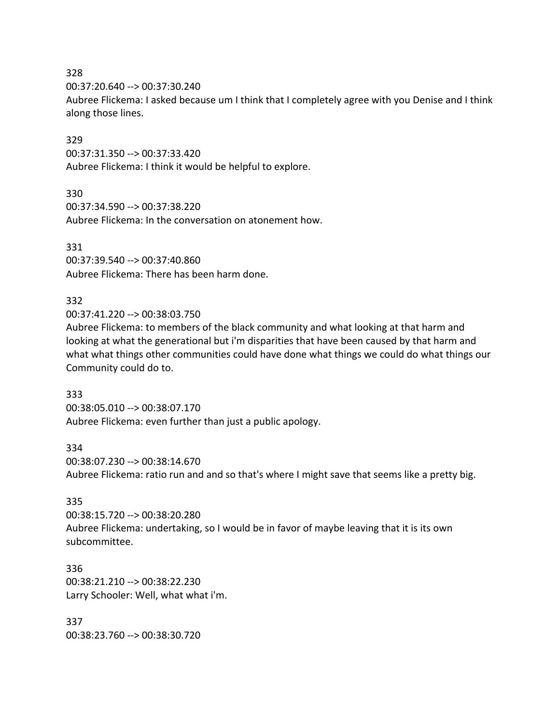#### 328

00:37:20.640 --> 00:37:30.240

Aubree Flickema: I asked because um I think that I completely agree with you Denise and I think along those lines.

### 329

00:37:31.350 --> 00:37:33.420 Aubree Flickema: I think it would be helpful to explore.

### 330

00:37:34.590 --> 00:37:38.220 Aubree Flickema: In the conversation on atonement how.

### 331

00:37:39.540 --> 00:37:40.860 Aubree Flickema: There has been harm done.

# 332

00:37:41.220 --> 00:38:03.750

Aubree Flickema: to members of the black community and what looking at that harm and looking at what the generational but i'm disparities that have been caused by that harm and what what things other communities could have done what things we could do what things our Community could do to.

# 333

00:38:05.010 --> 00:38:07.170 Aubree Flickema: even further than just a public apology.

#### 334

00:38:07.230 --> 00:38:14.670 Aubree Flickema: ratio run and and so that's where I might save that seems like a pretty big.

# 335

00:38:15.720 --> 00:38:20.280 Aubree Flickema: undertaking, so I would be in favor of maybe leaving that it is its own subcommittee.

### 336 00:38:21.210 --> 00:38:22.230 Larry Schooler: Well, what what i'm.

337 00:38:23.760 --> 00:38:30.720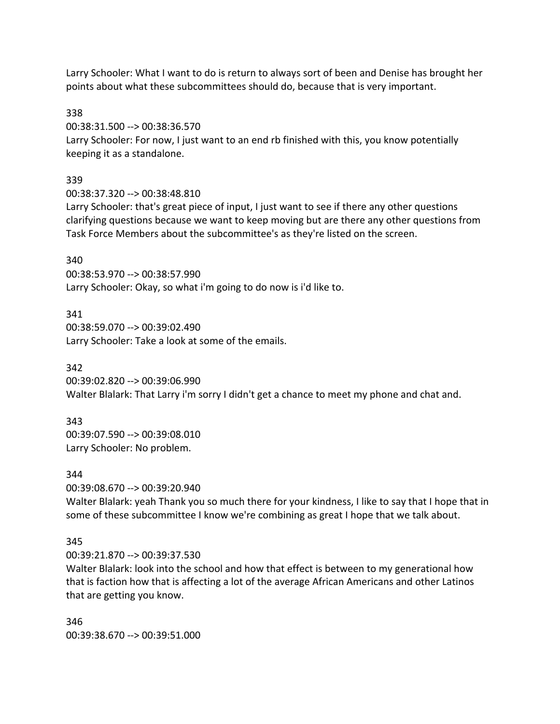Larry Schooler: What I want to do is return to always sort of been and Denise has brought her points about what these subcommittees should do, because that is very important.

338

00:38:31.500 --> 00:38:36.570

Larry Schooler: For now, I just want to an end rb finished with this, you know potentially keeping it as a standalone.

# 339

00:38:37.320 --> 00:38:48.810

Larry Schooler: that's great piece of input, I just want to see if there any other questions clarifying questions because we want to keep moving but are there any other questions from Task Force Members about the subcommittee's as they're listed on the screen.

### 340

00:38:53.970 --> 00:38:57.990 Larry Schooler: Okay, so what i'm going to do now is i'd like to.

341

00:38:59.070 --> 00:39:02.490 Larry Schooler: Take a look at some of the emails.

342

00:39:02.820 --> 00:39:06.990 Walter Blalark: That Larry i'm sorry I didn't get a chance to meet my phone and chat and.

343

00:39:07.590 --> 00:39:08.010 Larry Schooler: No problem.

344

00:39:08.670 --> 00:39:20.940

Walter Blalark: yeah Thank you so much there for your kindness, I like to say that I hope that in some of these subcommittee I know we're combining as great I hope that we talk about.

# 345

00:39:21.870 --> 00:39:37.530

Walter Blalark: look into the school and how that effect is between to my generational how that is faction how that is affecting a lot of the average African Americans and other Latinos that are getting you know.

346 00:39:38.670 --> 00:39:51.000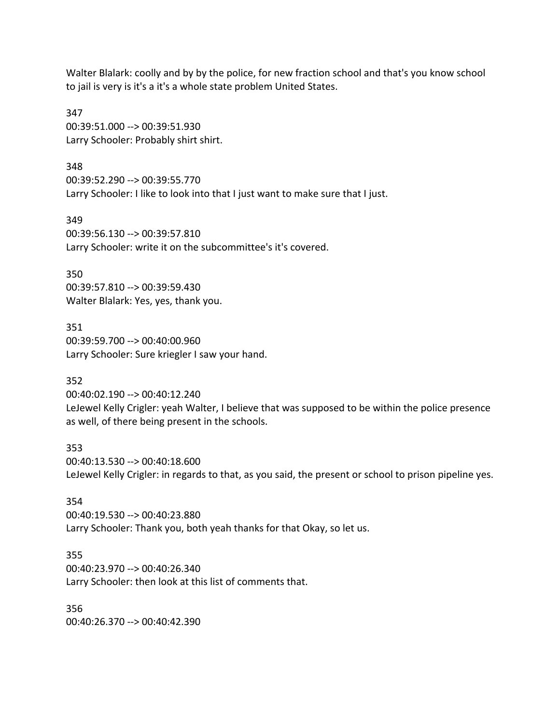Walter Blalark: coolly and by by the police, for new fraction school and that's you know school to jail is very is it's a it's a whole state problem United States.

347 00:39:51.000 --> 00:39:51.930 Larry Schooler: Probably shirt shirt.

348 00:39:52.290 --> 00:39:55.770 Larry Schooler: I like to look into that I just want to make sure that I just.

349 00:39:56.130 --> 00:39:57.810 Larry Schooler: write it on the subcommittee's it's covered.

350 00:39:57.810 --> 00:39:59.430 Walter Blalark: Yes, yes, thank you.

351 00:39:59.700 --> 00:40:00.960 Larry Schooler: Sure kriegler I saw your hand.

352

00:40:02.190 --> 00:40:12.240 LeJewel Kelly Crigler: yeah Walter, I believe that was supposed to be within the police presence as well, of there being present in the schools.

353 00:40:13.530 --> 00:40:18.600 LeJewel Kelly Crigler: in regards to that, as you said, the present or school to prison pipeline yes.

354 00:40:19.530 --> 00:40:23.880 Larry Schooler: Thank you, both yeah thanks for that Okay, so let us.

355 00:40:23.970 --> 00:40:26.340 Larry Schooler: then look at this list of comments that.

356 00:40:26.370 --> 00:40:42.390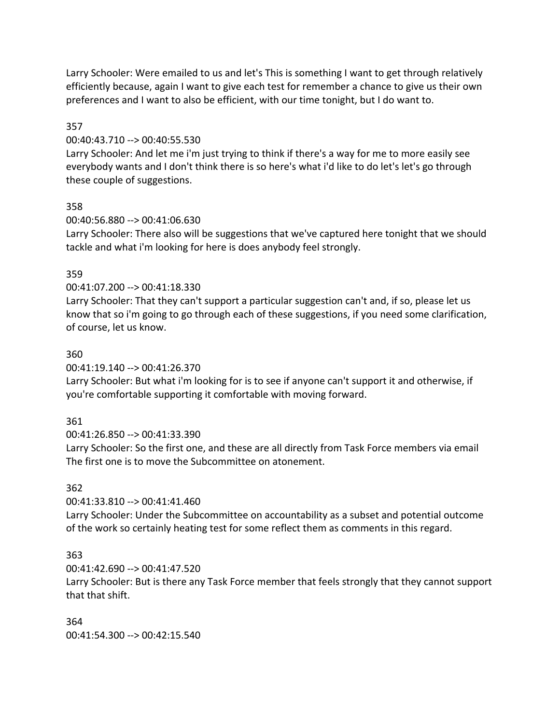Larry Schooler: Were emailed to us and let's This is something I want to get through relatively efficiently because, again I want to give each test for remember a chance to give us their own preferences and I want to also be efficient, with our time tonight, but I do want to.

## 357

### 00:40:43.710 --> 00:40:55.530

Larry Schooler: And let me i'm just trying to think if there's a way for me to more easily see everybody wants and I don't think there is so here's what i'd like to do let's let's go through these couple of suggestions.

# 358

## 00:40:56.880 --> 00:41:06.630

Larry Schooler: There also will be suggestions that we've captured here tonight that we should tackle and what i'm looking for here is does anybody feel strongly.

# 359

# 00:41:07.200 --> 00:41:18.330

Larry Schooler: That they can't support a particular suggestion can't and, if so, please let us know that so i'm going to go through each of these suggestions, if you need some clarification, of course, let us know.

# 360

# 00:41:19.140 --> 00:41:26.370

Larry Schooler: But what i'm looking for is to see if anyone can't support it and otherwise, if you're comfortable supporting it comfortable with moving forward.

# 361

00:41:26.850 --> 00:41:33.390

Larry Schooler: So the first one, and these are all directly from Task Force members via email The first one is to move the Subcommittee on atonement.

# 362

# 00:41:33.810 --> 00:41:41.460

Larry Schooler: Under the Subcommittee on accountability as a subset and potential outcome of the work so certainly heating test for some reflect them as comments in this regard.

# 363

# 00:41:42.690 --> 00:41:47.520

Larry Schooler: But is there any Task Force member that feels strongly that they cannot support that that shift.

### 364

00:41:54.300 --> 00:42:15.540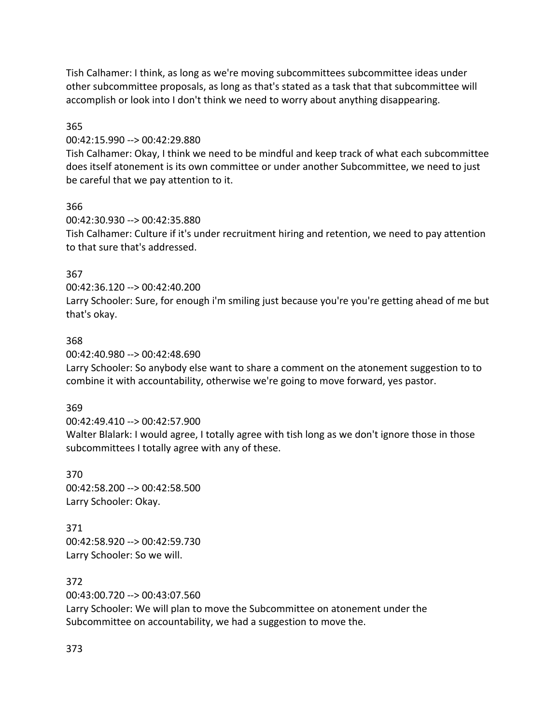Tish Calhamer: I think, as long as we're moving subcommittees subcommittee ideas under other subcommittee proposals, as long as that's stated as a task that that subcommittee will accomplish or look into I don't think we need to worry about anything disappearing.

## 365

00:42:15.990 --> 00:42:29.880

Tish Calhamer: Okay, I think we need to be mindful and keep track of what each subcommittee does itself atonement is its own committee or under another Subcommittee, we need to just be careful that we pay attention to it.

# 366

00:42:30.930 --> 00:42:35.880 Tish Calhamer: Culture if it's under recruitment hiring and retention, we need to pay attention to that sure that's addressed.

# 367

00:42:36.120 --> 00:42:40.200

Larry Schooler: Sure, for enough i'm smiling just because you're you're getting ahead of me but that's okay.

# 368

00:42:40.980 --> 00:42:48.690

Larry Schooler: So anybody else want to share a comment on the atonement suggestion to to combine it with accountability, otherwise we're going to move forward, yes pastor.

# 369

00:42:49.410 --> 00:42:57.900

Walter Blalark: I would agree, I totally agree with tish long as we don't ignore those in those subcommittees I totally agree with any of these.

370 00:42:58.200 --> 00:42:58.500 Larry Schooler: Okay.

371 00:42:58.920 --> 00:42:59.730 Larry Schooler: So we will.

372

00:43:00.720 --> 00:43:07.560 Larry Schooler: We will plan to move the Subcommittee on atonement under the Subcommittee on accountability, we had a suggestion to move the.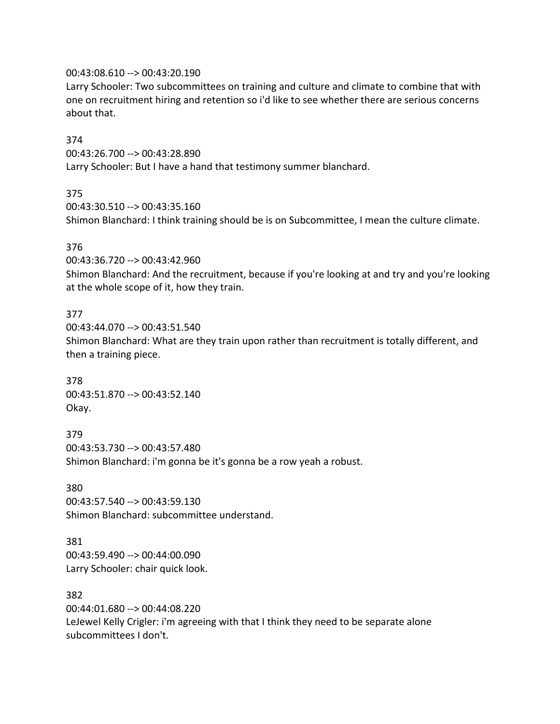### 00:43:08.610 --> 00:43:20.190

Larry Schooler: Two subcommittees on training and culture and climate to combine that with one on recruitment hiring and retention so i'd like to see whether there are serious concerns about that.

### 374

00:43:26.700 --> 00:43:28.890 Larry Schooler: But I have a hand that testimony summer blanchard.

### 375

00:43:30.510 --> 00:43:35.160 Shimon Blanchard: I think training should be is on Subcommittee, I mean the culture climate.

### 376

00:43:36.720 --> 00:43:42.960

Shimon Blanchard: And the recruitment, because if you're looking at and try and you're looking at the whole scope of it, how they train.

### 377

00:43:44.070 --> 00:43:51.540 Shimon Blanchard: What are they train upon rather than recruitment is totally different, and then a training piece.

378 00:43:51.870 --> 00:43:52.140 Okay.

379 00:43:53.730 --> 00:43:57.480 Shimon Blanchard: i'm gonna be it's gonna be a row yeah a robust.

380 00:43:57.540 --> 00:43:59.130 Shimon Blanchard: subcommittee understand.

381 00:43:59.490 --> 00:44:00.090 Larry Schooler: chair quick look.

382

00:44:01.680 --> 00:44:08.220 LeJewel Kelly Crigler: i'm agreeing with that I think they need to be separate alone subcommittees I don't.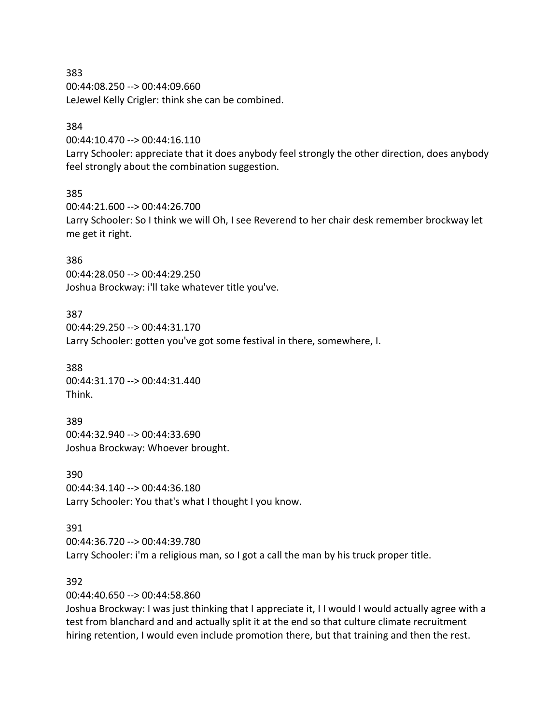00:44:08.250 --> 00:44:09.660 LeJewel Kelly Crigler: think she can be combined.

### 384

00:44:10.470 --> 00:44:16.110

Larry Schooler: appreciate that it does anybody feel strongly the other direction, does anybody feel strongly about the combination suggestion.

### 385

00:44:21.600 --> 00:44:26.700 Larry Schooler: So I think we will Oh, I see Reverend to her chair desk remember brockway let me get it right.

### 386

00:44:28.050 --> 00:44:29.250 Joshua Brockway: i'll take whatever title you've.

### 387

00:44:29.250 --> 00:44:31.170 Larry Schooler: gotten you've got some festival in there, somewhere, I.

388 00:44:31.170 --> 00:44:31.440 Think.

389 00:44:32.940 --> 00:44:33.690 Joshua Brockway: Whoever brought.

390 00:44:34.140 --> 00:44:36.180 Larry Schooler: You that's what I thought I you know.

391 00:44:36.720 --> 00:44:39.780 Larry Schooler: i'm a religious man, so I got a call the man by his truck proper title.

### 392

00:44:40.650 --> 00:44:58.860

Joshua Brockway: I was just thinking that I appreciate it, I I would I would actually agree with a test from blanchard and and actually split it at the end so that culture climate recruitment hiring retention, I would even include promotion there, but that training and then the rest.

383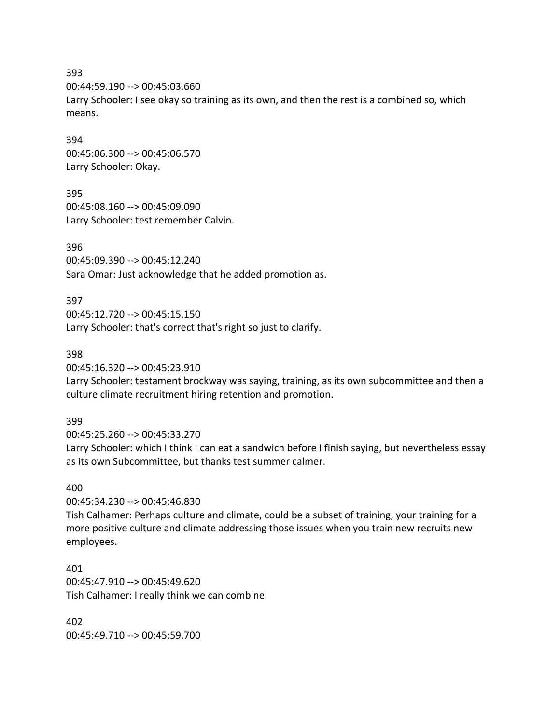00:44:59.190 --> 00:45:03.660

Larry Schooler: I see okay so training as its own, and then the rest is a combined so, which means.

394 00:45:06.300 --> 00:45:06.570 Larry Schooler: Okay.

395 00:45:08.160 --> 00:45:09.090 Larry Schooler: test remember Calvin.

396 00:45:09.390 --> 00:45:12.240 Sara Omar: Just acknowledge that he added promotion as.

397 00:45:12.720 --> 00:45:15.150 Larry Schooler: that's correct that's right so just to clarify.

398

00:45:16.320 --> 00:45:23.910

Larry Schooler: testament brockway was saying, training, as its own subcommittee and then a culture climate recruitment hiring retention and promotion.

399

00:45:25.260 --> 00:45:33.270

Larry Schooler: which I think I can eat a sandwich before I finish saying, but nevertheless essay as its own Subcommittee, but thanks test summer calmer.

### 400

00:45:34.230 --> 00:45:46.830

Tish Calhamer: Perhaps culture and climate, could be a subset of training, your training for a more positive culture and climate addressing those issues when you train new recruits new employees.

401 00:45:47.910 --> 00:45:49.620 Tish Calhamer: I really think we can combine.

402 00:45:49.710 --> 00:45:59.700

393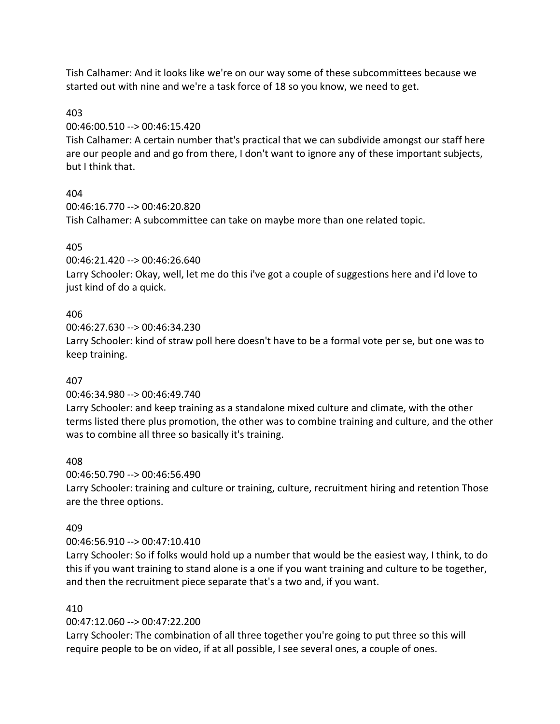Tish Calhamer: And it looks like we're on our way some of these subcommittees because we started out with nine and we're a task force of 18 so you know, we need to get.

# 403

00:46:00.510 --> 00:46:15.420

Tish Calhamer: A certain number that's practical that we can subdivide amongst our staff here are our people and and go from there, I don't want to ignore any of these important subjects, but I think that.

# 404

00:46:16.770 --> 00:46:20.820 Tish Calhamer: A subcommittee can take on maybe more than one related topic.

# 405

00:46:21.420 --> 00:46:26.640

Larry Schooler: Okay, well, let me do this i've got a couple of suggestions here and i'd love to just kind of do a quick.

# 406

00:46:27.630 --> 00:46:34.230 Larry Schooler: kind of straw poll here doesn't have to be a formal vote per se, but one was to keep training.

# 407

00:46:34.980 --> 00:46:49.740

Larry Schooler: and keep training as a standalone mixed culture and climate, with the other terms listed there plus promotion, the other was to combine training and culture, and the other was to combine all three so basically it's training.

# 408

00:46:50.790 --> 00:46:56.490

Larry Schooler: training and culture or training, culture, recruitment hiring and retention Those are the three options.

# 409

# 00:46:56.910 --> 00:47:10.410

Larry Schooler: So if folks would hold up a number that would be the easiest way, I think, to do this if you want training to stand alone is a one if you want training and culture to be together, and then the recruitment piece separate that's a two and, if you want.

# 410

00:47:12.060 --> 00:47:22.200

Larry Schooler: The combination of all three together you're going to put three so this will require people to be on video, if at all possible, I see several ones, a couple of ones.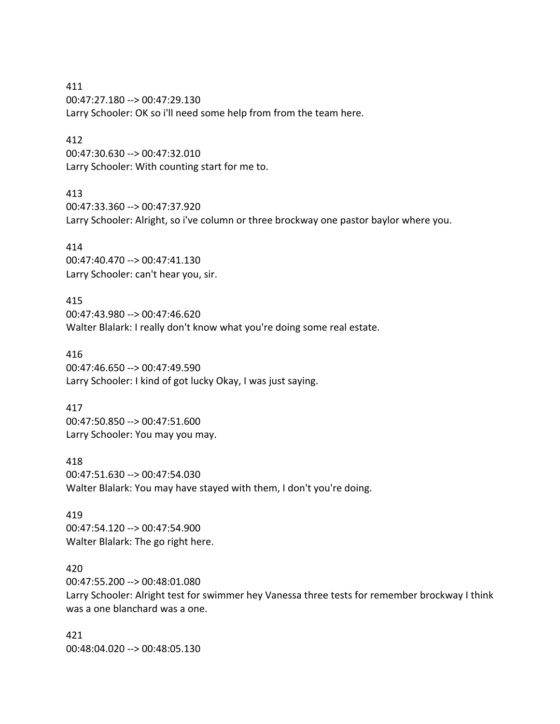411 00:47:27.180 --> 00:47:29.130 Larry Schooler: OK so i'll need some help from from the team here.

### 412

00:47:30.630 --> 00:47:32.010 Larry Schooler: With counting start for me to.

### 413

00:47:33.360 --> 00:47:37.920 Larry Schooler: Alright, so i've column or three brockway one pastor baylor where you.

### 414

00:47:40.470 --> 00:47:41.130 Larry Schooler: can't hear you, sir.

415

00:47:43.980 --> 00:47:46.620 Walter Blalark: I really don't know what you're doing some real estate.

416

00:47:46.650 --> 00:47:49.590 Larry Schooler: I kind of got lucky Okay, I was just saying.

### 417

00:47:50.850 --> 00:47:51.600 Larry Schooler: You may you may.

### 418

00:47:51.630 --> 00:47:54.030 Walter Blalark: You may have stayed with them, I don't you're doing.

### 419

00:47:54.120 --> 00:47:54.900 Walter Blalark: The go right here.

## 420

00:47:55.200 --> 00:48:01.080 Larry Schooler: Alright test for swimmer hey Vanessa three tests for remember brockway I think was a one blanchard was a one.

421 00:48:04.020 --> 00:48:05.130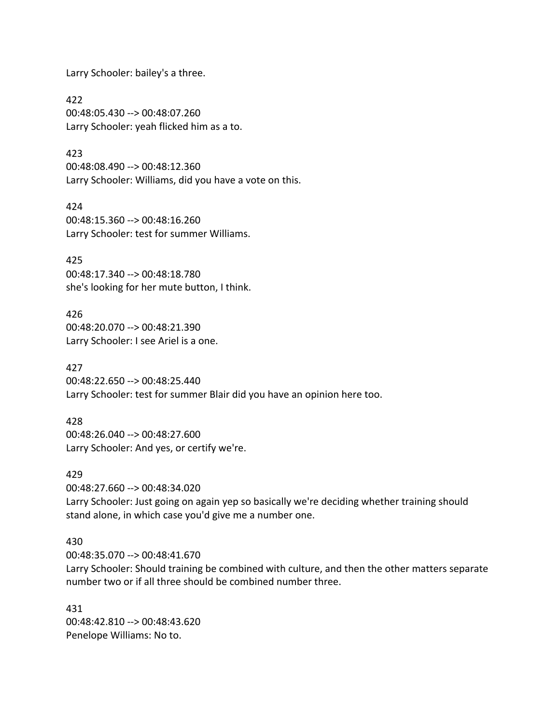Larry Schooler: bailey's a three.

422 00:48:05.430 --> 00:48:07.260 Larry Schooler: yeah flicked him as a to.

423 00:48:08.490 --> 00:48:12.360 Larry Schooler: Williams, did you have a vote on this.

424 00:48:15.360 --> 00:48:16.260 Larry Schooler: test for summer Williams.

425 00:48:17.340 --> 00:48:18.780 she's looking for her mute button, I think.

426 00:48:20.070 --> 00:48:21.390 Larry Schooler: I see Ariel is a one.

427 00:48:22.650 --> 00:48:25.440 Larry Schooler: test for summer Blair did you have an opinion here too.

428 00:48:26.040 --> 00:48:27.600 Larry Schooler: And yes, or certify we're.

429 00:48:27.660 --> 00:48:34.020 Larry Schooler: Just going on again yep so basically we're deciding whether training should stand alone, in which case you'd give me a number one.

### 430

00:48:35.070 --> 00:48:41.670 Larry Schooler: Should training be combined with culture, and then the other matters separate number two or if all three should be combined number three.

431 00:48:42.810 --> 00:48:43.620 Penelope Williams: No to.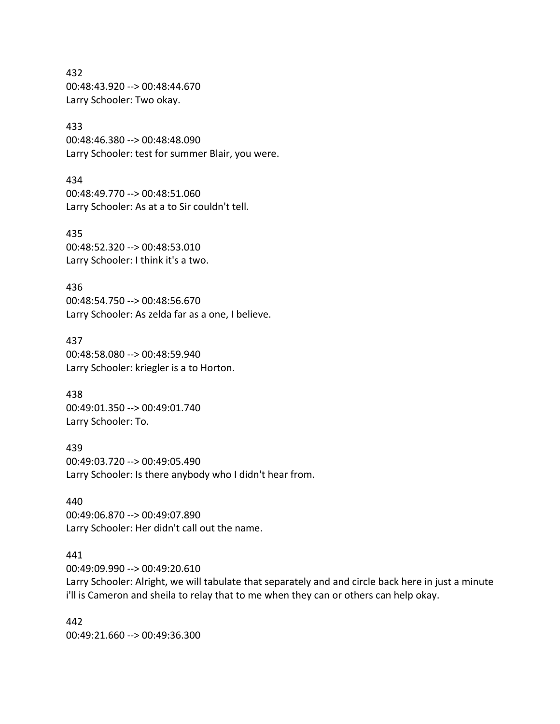432 00:48:43.920 --> 00:48:44.670 Larry Schooler: Two okay.

### 433

00:48:46.380 --> 00:48:48.090 Larry Schooler: test for summer Blair, you were.

434 00:48:49.770 --> 00:48:51.060 Larry Schooler: As at a to Sir couldn't tell.

435 00:48:52.320 --> 00:48:53.010 Larry Schooler: I think it's a two.

436 00:48:54.750 --> 00:48:56.670 Larry Schooler: As zelda far as a one, I believe.

437 00:48:58.080 --> 00:48:59.940 Larry Schooler: kriegler is a to Horton.

438 00:49:01.350 --> 00:49:01.740 Larry Schooler: To.

439 00:49:03.720 --> 00:49:05.490 Larry Schooler: Is there anybody who I didn't hear from.

440 00:49:06.870 --> 00:49:07.890 Larry Schooler: Her didn't call out the name.

### 441

00:49:09.990 --> 00:49:20.610

Larry Schooler: Alright, we will tabulate that separately and and circle back here in just a minute i'll is Cameron and sheila to relay that to me when they can or others can help okay.

442 00:49:21.660 --> 00:49:36.300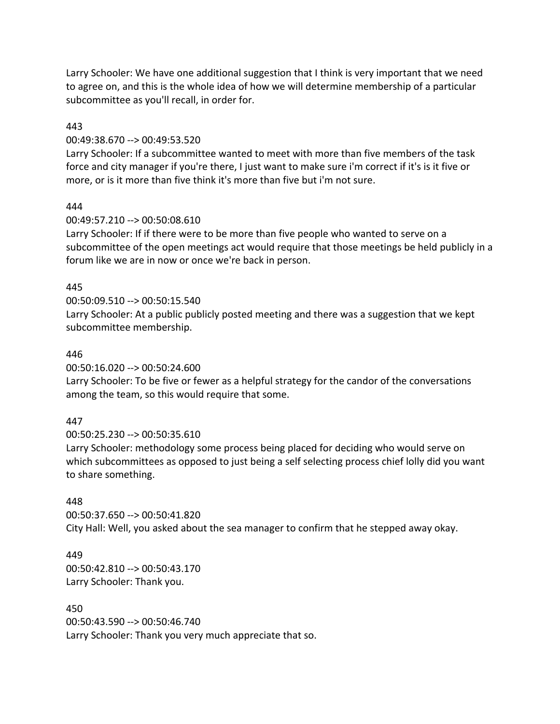Larry Schooler: We have one additional suggestion that I think is very important that we need to agree on, and this is the whole idea of how we will determine membership of a particular subcommittee as you'll recall, in order for.

### 443

### 00:49:38.670 --> 00:49:53.520

Larry Schooler: If a subcommittee wanted to meet with more than five members of the task force and city manager if you're there, I just want to make sure i'm correct if it's is it five or more, or is it more than five think it's more than five but i'm not sure.

## 444

## 00:49:57.210 --> 00:50:08.610

Larry Schooler: If if there were to be more than five people who wanted to serve on a subcommittee of the open meetings act would require that those meetings be held publicly in a forum like we are in now or once we're back in person.

## 445

## 00:50:09.510 --> 00:50:15.540

Larry Schooler: At a public publicly posted meeting and there was a suggestion that we kept subcommittee membership.

### 446

00:50:16.020 --> 00:50:24.600

Larry Schooler: To be five or fewer as a helpful strategy for the candor of the conversations among the team, so this would require that some.

# 447

00:50:25.230 --> 00:50:35.610 Larry Schooler: methodology some process being placed for deciding who would serve on which subcommittees as opposed to just being a self selecting process chief lolly did you want to share something.

# 448

00:50:37.650 --> 00:50:41.820 City Hall: Well, you asked about the sea manager to confirm that he stepped away okay.

# 449

00:50:42.810 --> 00:50:43.170 Larry Schooler: Thank you.

### 450

00:50:43.590 --> 00:50:46.740 Larry Schooler: Thank you very much appreciate that so.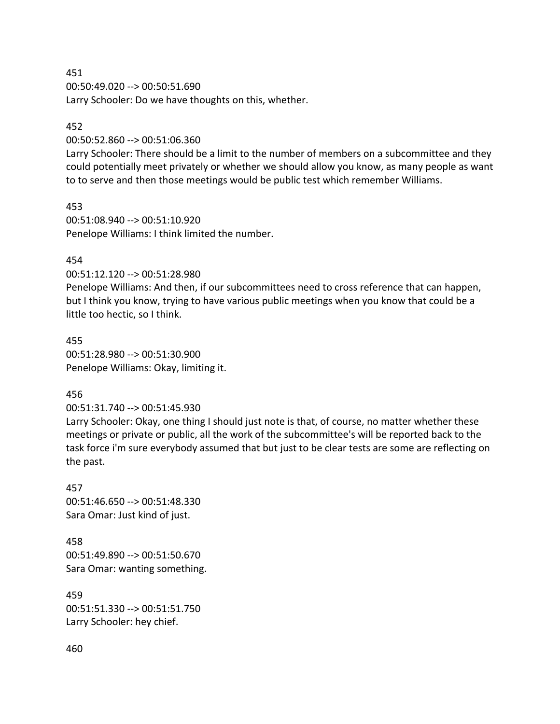451 00:50:49.020 --> 00:50:51.690 Larry Schooler: Do we have thoughts on this, whether.

### 452

00:50:52.860 --> 00:51:06.360

Larry Schooler: There should be a limit to the number of members on a subcommittee and they could potentially meet privately or whether we should allow you know, as many people as want to to serve and then those meetings would be public test which remember Williams.

453 00:51:08.940 --> 00:51:10.920 Penelope Williams: I think limited the number.

### 454

00:51:12.120 --> 00:51:28.980

Penelope Williams: And then, if our subcommittees need to cross reference that can happen, but I think you know, trying to have various public meetings when you know that could be a little too hectic, so I think.

455 00:51:28.980 --> 00:51:30.900 Penelope Williams: Okay, limiting it.

### 456

00:51:31.740 --> 00:51:45.930

Larry Schooler: Okay, one thing I should just note is that, of course, no matter whether these meetings or private or public, all the work of the subcommittee's will be reported back to the task force i'm sure everybody assumed that but just to be clear tests are some are reflecting on the past.

457 00:51:46.650 --> 00:51:48.330 Sara Omar: Just kind of just.

458 00:51:49.890 --> 00:51:50.670 Sara Omar: wanting something.

459 00:51:51.330 --> 00:51:51.750 Larry Schooler: hey chief.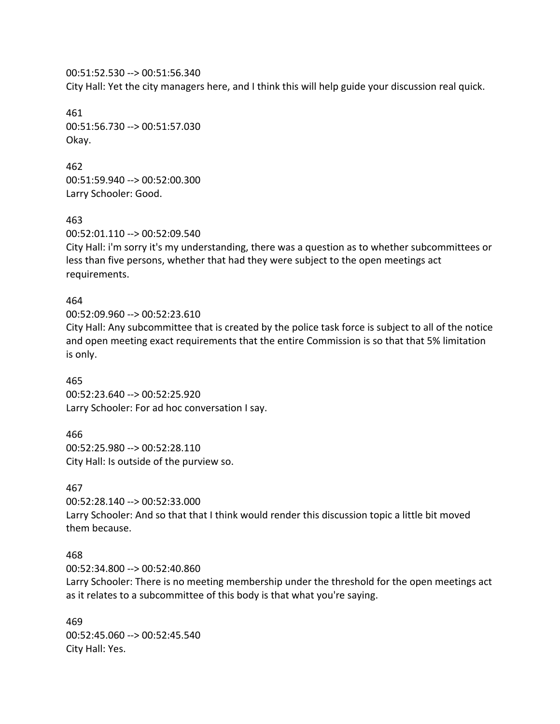00:51:52.530 --> 00:51:56.340 City Hall: Yet the city managers here, and I think this will help guide your discussion real quick.

461 00:51:56.730 --> 00:51:57.030 Okay.

462 00:51:59.940 --> 00:52:00.300 Larry Schooler: Good.

463

00:52:01.110 --> 00:52:09.540

City Hall: i'm sorry it's my understanding, there was a question as to whether subcommittees or less than five persons, whether that had they were subject to the open meetings act requirements.

### 464

00:52:09.960 --> 00:52:23.610 City Hall: Any subcommittee that is created by the police task force is subject to all of the notice and open meeting exact requirements that the entire Commission is so that that 5% limitation is only.

465 00:52:23.640 --> 00:52:25.920 Larry Schooler: For ad hoc conversation I say.

466 00:52:25.980 --> 00:52:28.110 City Hall: Is outside of the purview so.

#### 467

00:52:28.140 --> 00:52:33.000 Larry Schooler: And so that that I think would render this discussion topic a little bit moved them because.

### 468

00:52:34.800 --> 00:52:40.860

Larry Schooler: There is no meeting membership under the threshold for the open meetings act as it relates to a subcommittee of this body is that what you're saying.

469 00:52:45.060 --> 00:52:45.540 City Hall: Yes.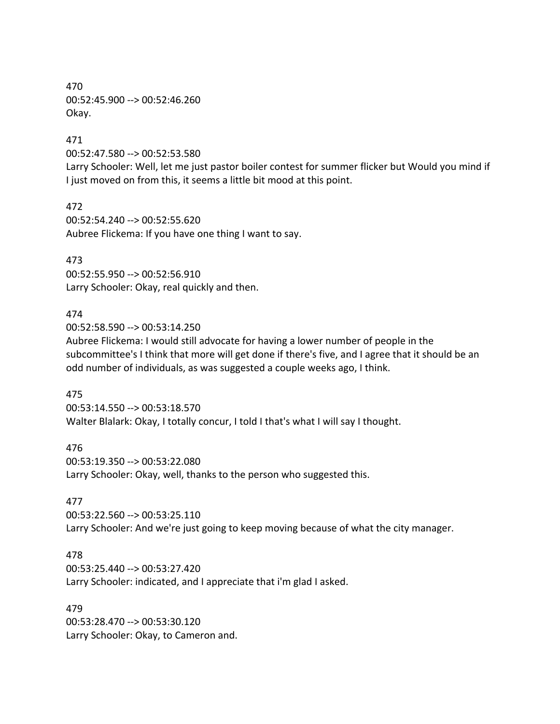470 00:52:45.900 --> 00:52:46.260 Okay.

### 471

00:52:47.580 --> 00:52:53.580

Larry Schooler: Well, let me just pastor boiler contest for summer flicker but Would you mind if I just moved on from this, it seems a little bit mood at this point.

472 00:52:54.240 --> 00:52:55.620 Aubree Flickema: If you have one thing I want to say.

473 00:52:55.950 --> 00:52:56.910 Larry Schooler: Okay, real quickly and then.

### 474

00:52:58.590 --> 00:53:14.250

Aubree Flickema: I would still advocate for having a lower number of people in the subcommittee's I think that more will get done if there's five, and I agree that it should be an odd number of individuals, as was suggested a couple weeks ago, I think.

475 00:53:14.550 --> 00:53:18.570

Walter Blalark: Okay, I totally concur, I told I that's what I will say I thought.

476 00:53:19.350 --> 00:53:22.080 Larry Schooler: Okay, well, thanks to the person who suggested this.

### 477

00:53:22.560 --> 00:53:25.110 Larry Schooler: And we're just going to keep moving because of what the city manager.

### 478

00:53:25.440 --> 00:53:27.420 Larry Schooler: indicated, and I appreciate that i'm glad I asked.

479

00:53:28.470 --> 00:53:30.120 Larry Schooler: Okay, to Cameron and.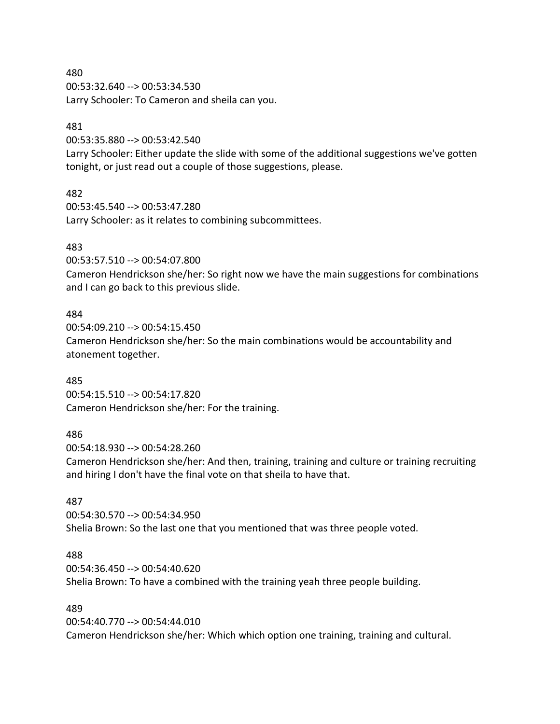480 00:53:32.640 --> 00:53:34.530 Larry Schooler: To Cameron and sheila can you.

### 481

00:53:35.880 --> 00:53:42.540

Larry Schooler: Either update the slide with some of the additional suggestions we've gotten tonight, or just read out a couple of those suggestions, please.

### 482

00:53:45.540 --> 00:53:47.280 Larry Schooler: as it relates to combining subcommittees.

## 483

00:53:57.510 --> 00:54:07.800

Cameron Hendrickson she/her: So right now we have the main suggestions for combinations and I can go back to this previous slide.

### 484

00:54:09.210 --> 00:54:15.450 Cameron Hendrickson she/her: So the main combinations would be accountability and atonement together.

### 485

00:54:15.510 --> 00:54:17.820 Cameron Hendrickson she/her: For the training.

### 486

00:54:18.930 --> 00:54:28.260 Cameron Hendrickson she/her: And then, training, training and culture or training recruiting and hiring I don't have the final vote on that sheila to have that.

### 487

00:54:30.570 --> 00:54:34.950 Shelia Brown: So the last one that you mentioned that was three people voted.

### 488

00:54:36.450 --> 00:54:40.620 Shelia Brown: To have a combined with the training yeah three people building.

### 489

00:54:40.770 --> 00:54:44.010 Cameron Hendrickson she/her: Which which option one training, training and cultural.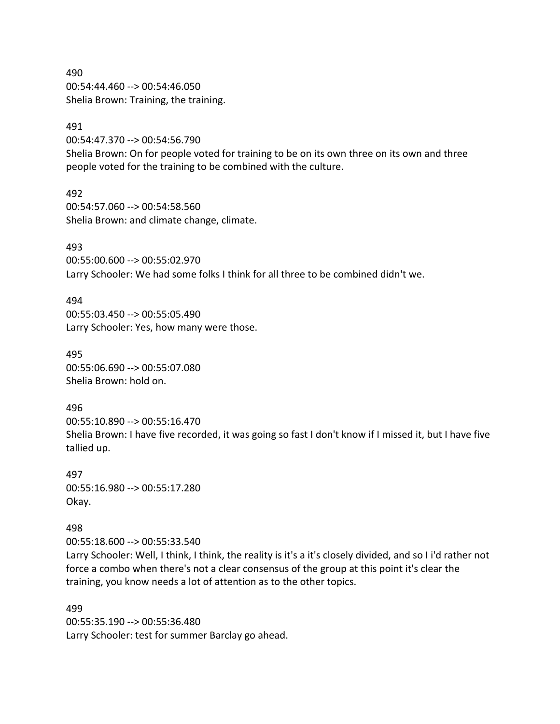490 00:54:44.460 --> 00:54:46.050 Shelia Brown: Training, the training.

### 491

00:54:47.370 --> 00:54:56.790

Shelia Brown: On for people voted for training to be on its own three on its own and three people voted for the training to be combined with the culture.

492 00:54:57.060 --> 00:54:58.560 Shelia Brown: and climate change, climate.

493

00:55:00.600 --> 00:55:02.970 Larry Schooler: We had some folks I think for all three to be combined didn't we.

### 494

00:55:03.450 --> 00:55:05.490 Larry Schooler: Yes, how many were those.

495 00:55:06.690 --> 00:55:07.080 Shelia Brown: hold on.

496 00:55:10.890 --> 00:55:16.470 Shelia Brown: I have five recorded, it was going so fast I don't know if I missed it, but I have five tallied up.

497 00:55:16.980 --> 00:55:17.280 Okay.

498

00:55:18.600 --> 00:55:33.540

Larry Schooler: Well, I think, I think, the reality is it's a it's closely divided, and so I i'd rather not force a combo when there's not a clear consensus of the group at this point it's clear the training, you know needs a lot of attention as to the other topics.

499 00:55:35.190 --> 00:55:36.480 Larry Schooler: test for summer Barclay go ahead.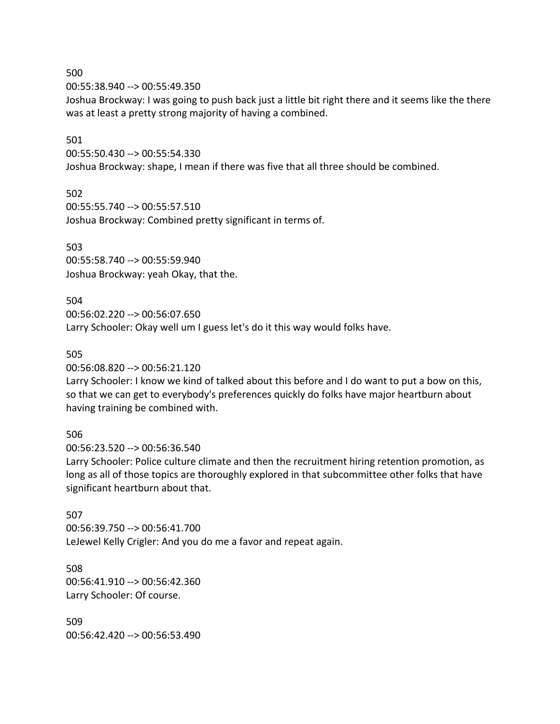00:55:38.940 --> 00:55:49.350

Joshua Brockway: I was going to push back just a little bit right there and it seems like the there was at least a pretty strong majority of having a combined.

## 501

500

00:55:50.430 --> 00:55:54.330 Joshua Brockway: shape, I mean if there was five that all three should be combined.

# 502

00:55:55.740 --> 00:55:57.510 Joshua Brockway: Combined pretty significant in terms of.

# 503

00:55:58.740 --> 00:55:59.940 Joshua Brockway: yeah Okay, that the.

# 504

00:56:02.220 --> 00:56:07.650 Larry Schooler: Okay well um I guess let's do it this way would folks have.

# 505

00:56:08.820 --> 00:56:21.120

Larry Schooler: I know we kind of talked about this before and I do want to put a bow on this, so that we can get to everybody's preferences quickly do folks have major heartburn about having training be combined with.

# 506

00:56:23.520 --> 00:56:36.540

Larry Schooler: Police culture climate and then the recruitment hiring retention promotion, as long as all of those topics are thoroughly explored in that subcommittee other folks that have significant heartburn about that.

# 507

00:56:39.750 --> 00:56:41.700 LeJewel Kelly Crigler: And you do me a favor and repeat again.

# 508 00:56:41.910 --> 00:56:42.360 Larry Schooler: Of course.

509 00:56:42.420 --> 00:56:53.490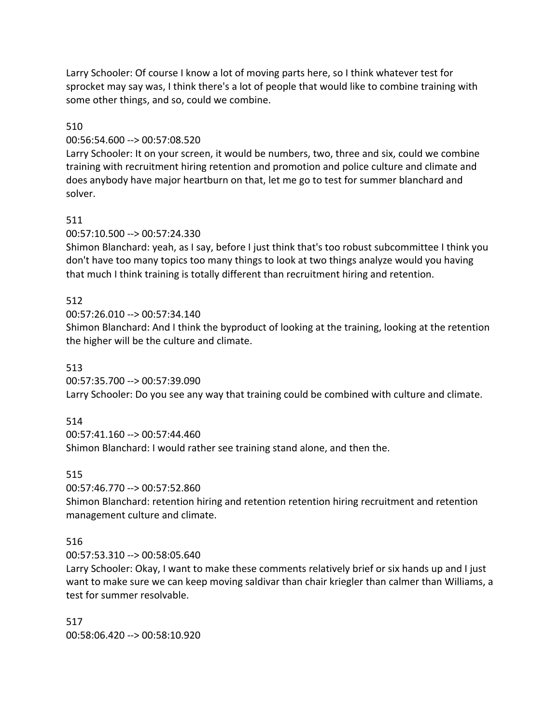Larry Schooler: Of course I know a lot of moving parts here, so I think whatever test for sprocket may say was, I think there's a lot of people that would like to combine training with some other things, and so, could we combine.

# 510

# 00:56:54.600 --> 00:57:08.520

Larry Schooler: It on your screen, it would be numbers, two, three and six, could we combine training with recruitment hiring retention and promotion and police culture and climate and does anybody have major heartburn on that, let me go to test for summer blanchard and solver.

# 511

# 00:57:10.500 --> 00:57:24.330

Shimon Blanchard: yeah, as I say, before I just think that's too robust subcommittee I think you don't have too many topics too many things to look at two things analyze would you having that much I think training is totally different than recruitment hiring and retention.

# 512

00:57:26.010 --> 00:57:34.140

Shimon Blanchard: And I think the byproduct of looking at the training, looking at the retention the higher will be the culture and climate.

# 513

00:57:35.700 --> 00:57:39.090 Larry Schooler: Do you see any way that training could be combined with culture and climate.

# 514

00:57:41.160 --> 00:57:44.460

Shimon Blanchard: I would rather see training stand alone, and then the.

# 515

00:57:46.770 --> 00:57:52.860

Shimon Blanchard: retention hiring and retention retention hiring recruitment and retention management culture and climate.

# 516

00:57:53.310 --> 00:58:05.640

Larry Schooler: Okay, I want to make these comments relatively brief or six hands up and I just want to make sure we can keep moving saldivar than chair kriegler than calmer than Williams, a test for summer resolvable.

517 00:58:06.420 --> 00:58:10.920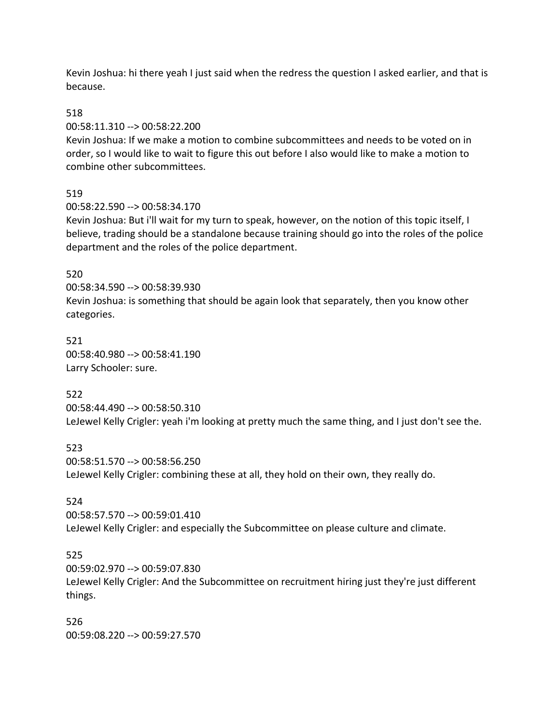Kevin Joshua: hi there yeah I just said when the redress the question I asked earlier, and that is because.

### 518

00:58:11.310 --> 00:58:22.200

Kevin Joshua: If we make a motion to combine subcommittees and needs to be voted on in order, so I would like to wait to figure this out before I also would like to make a motion to combine other subcommittees.

## 519

00:58:22.590 --> 00:58:34.170

Kevin Joshua: But i'll wait for my turn to speak, however, on the notion of this topic itself, I believe, trading should be a standalone because training should go into the roles of the police department and the roles of the police department.

### 520

00:58:34.590 --> 00:58:39.930 Kevin Joshua: is something that should be again look that separately, then you know other categories.

521 00:58:40.980 --> 00:58:41.190 Larry Schooler: sure.

### 522

00:58:44.490 --> 00:58:50.310 LeJewel Kelly Crigler: yeah i'm looking at pretty much the same thing, and I just don't see the.

523 00:58:51.570 --> 00:58:56.250 LeJewel Kelly Crigler: combining these at all, they hold on their own, they really do.

### 524

00:58:57.570 --> 00:59:01.410 LeJewel Kelly Crigler: and especially the Subcommittee on please culture and climate.

### 525

00:59:02.970 --> 00:59:07.830 LeJewel Kelly Crigler: And the Subcommittee on recruitment hiring just they're just different things.

526 00:59:08.220 --> 00:59:27.570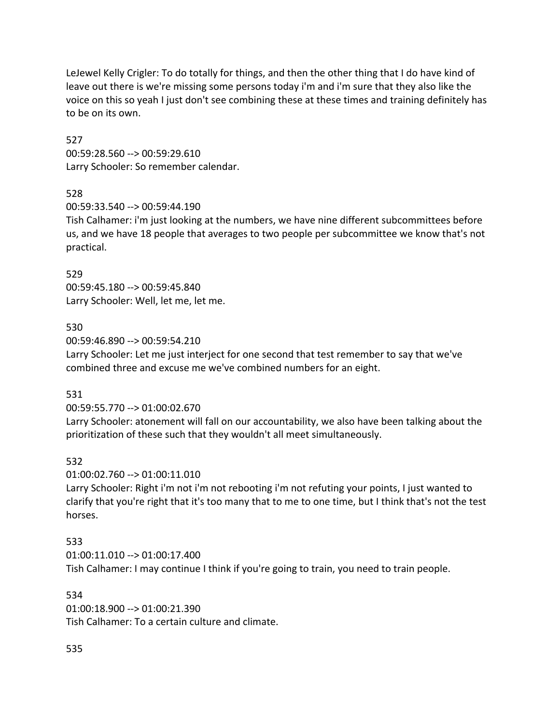LeJewel Kelly Crigler: To do totally for things, and then the other thing that I do have kind of leave out there is we're missing some persons today i'm and i'm sure that they also like the voice on this so yeah I just don't see combining these at these times and training definitely has to be on its own.

527 00:59:28.560 --> 00:59:29.610 Larry Schooler: So remember calendar.

## 528

00:59:33.540 --> 00:59:44.190

Tish Calhamer: i'm just looking at the numbers, we have nine different subcommittees before us, and we have 18 people that averages to two people per subcommittee we know that's not practical.

## 529

00:59:45.180 --> 00:59:45.840 Larry Schooler: Well, let me, let me.

## 530

00:59:46.890 --> 00:59:54.210 Larry Schooler: Let me just interject for one second that test remember to say that we've combined three and excuse me we've combined numbers for an eight.

# 531

00:59:55.770 --> 01:00:02.670

Larry Schooler: atonement will fall on our accountability, we also have been talking about the prioritization of these such that they wouldn't all meet simultaneously.

# 532

01:00:02.760 --> 01:00:11.010

Larry Schooler: Right i'm not i'm not rebooting i'm not refuting your points, I just wanted to clarify that you're right that it's too many that to me to one time, but I think that's not the test horses.

# 533

01:00:11.010 --> 01:00:17.400 Tish Calhamer: I may continue I think if you're going to train, you need to train people.

## 534

01:00:18.900 --> 01:00:21.390 Tish Calhamer: To a certain culture and climate.

# 535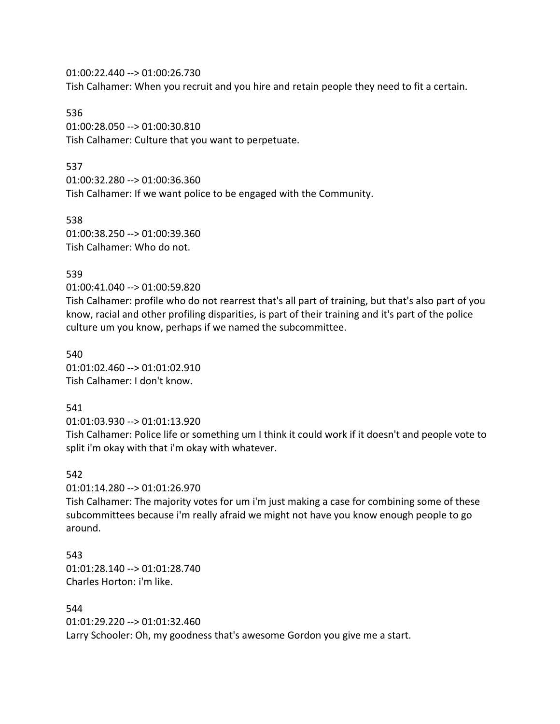01:00:22.440 --> 01:00:26.730 Tish Calhamer: When you recruit and you hire and retain people they need to fit a certain.

536 01:00:28.050 --> 01:00:30.810 Tish Calhamer: Culture that you want to perpetuate.

### 537

01:00:32.280 --> 01:00:36.360 Tish Calhamer: If we want police to be engaged with the Community.

538 01:00:38.250 --> 01:00:39.360 Tish Calhamer: Who do not.

### 539

01:00:41.040 --> 01:00:59.820

Tish Calhamer: profile who do not rearrest that's all part of training, but that's also part of you know, racial and other profiling disparities, is part of their training and it's part of the police culture um you know, perhaps if we named the subcommittee.

540 01:01:02.460 --> 01:01:02.910 Tish Calhamer: I don't know.

### 541

01:01:03.930 --> 01:01:13.920

Tish Calhamer: Police life or something um I think it could work if it doesn't and people vote to split i'm okay with that i'm okay with whatever.

### 542

01:01:14.280 --> 01:01:26.970

Tish Calhamer: The majority votes for um i'm just making a case for combining some of these subcommittees because i'm really afraid we might not have you know enough people to go around.

543 01:01:28.140 --> 01:01:28.740 Charles Horton: i'm like.

# 544

01:01:29.220 --> 01:01:32.460 Larry Schooler: Oh, my goodness that's awesome Gordon you give me a start.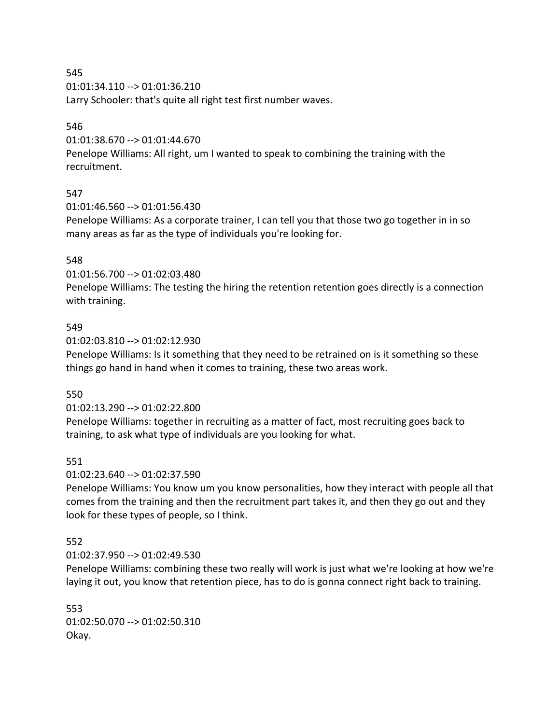01:01:34.110 --> 01:01:36.210

Larry Schooler: that's quite all right test first number waves.

## 546

01:01:38.670 --> 01:01:44.670

Penelope Williams: All right, um I wanted to speak to combining the training with the recruitment.

# 547

01:01:46.560 --> 01:01:56.430

Penelope Williams: As a corporate trainer, I can tell you that those two go together in in so many areas as far as the type of individuals you're looking for.

# 548

01:01:56.700 --> 01:02:03.480

Penelope Williams: The testing the hiring the retention retention goes directly is a connection with training.

## 549

01:02:03.810 --> 01:02:12.930

Penelope Williams: Is it something that they need to be retrained on is it something so these things go hand in hand when it comes to training, these two areas work.

# 550

01:02:13.290 --> 01:02:22.800

Penelope Williams: together in recruiting as a matter of fact, most recruiting goes back to training, to ask what type of individuals are you looking for what.

# 551

01:02:23.640 --> 01:02:37.590

Penelope Williams: You know um you know personalities, how they interact with people all that comes from the training and then the recruitment part takes it, and then they go out and they look for these types of people, so I think.

# 552

01:02:37.950 --> 01:02:49.530

Penelope Williams: combining these two really will work is just what we're looking at how we're laying it out, you know that retention piece, has to do is gonna connect right back to training.

553 01:02:50.070 --> 01:02:50.310 Okay.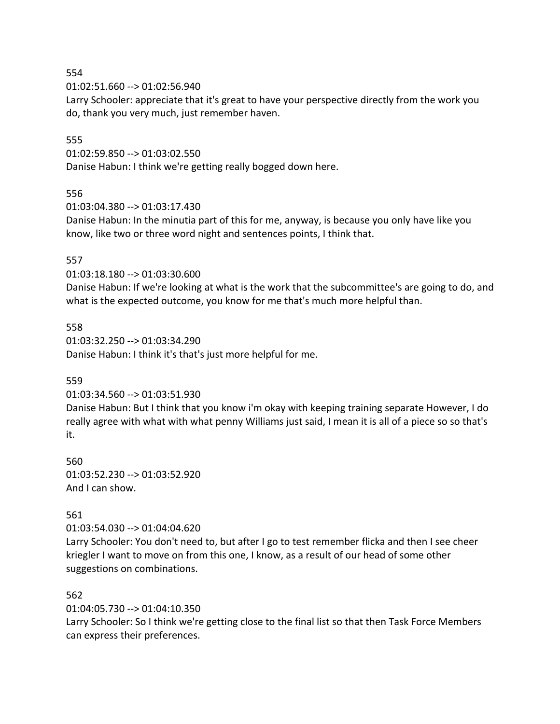01:02:51.660 --> 01:02:56.940

Larry Schooler: appreciate that it's great to have your perspective directly from the work you do, thank you very much, just remember haven.

### 555

01:02:59.850 --> 01:03:02.550

Danise Habun: I think we're getting really bogged down here.

## 556

01:03:04.380 --> 01:03:17.430

Danise Habun: In the minutia part of this for me, anyway, is because you only have like you know, like two or three word night and sentences points, I think that.

## 557

01:03:18.180 --> 01:03:30.600

Danise Habun: If we're looking at what is the work that the subcommittee's are going to do, and what is the expected outcome, you know for me that's much more helpful than.

# 558

01:03:32.250 --> 01:03:34.290 Danise Habun: I think it's that's just more helpful for me.

# 559

01:03:34.560 --> 01:03:51.930

Danise Habun: But I think that you know i'm okay with keeping training separate However, I do really agree with what with what penny Williams just said, I mean it is all of a piece so so that's it.

560 01:03:52.230 --> 01:03:52.920 And I can show.

# 561

01:03:54.030 --> 01:04:04.620

Larry Schooler: You don't need to, but after I go to test remember flicka and then I see cheer kriegler I want to move on from this one, I know, as a result of our head of some other suggestions on combinations.

### 562

01:04:05.730 --> 01:04:10.350

Larry Schooler: So I think we're getting close to the final list so that then Task Force Members can express their preferences.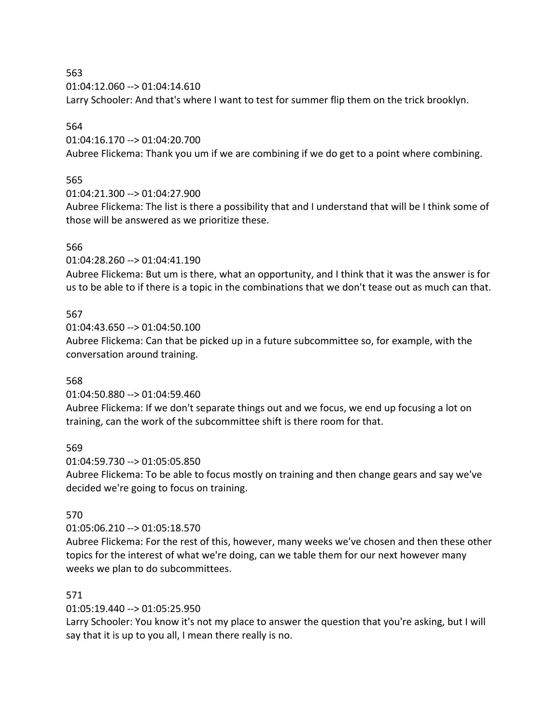01:04:12.060 --> 01:04:14.610

Larry Schooler: And that's where I want to test for summer flip them on the trick brooklyn.

## 564

01:04:16.170 --> 01:04:20.700

Aubree Flickema: Thank you um if we are combining if we do get to a point where combining.

# 565

01:04:21.300 --> 01:04:27.900

Aubree Flickema: The list is there a possibility that and I understand that will be I think some of those will be answered as we prioritize these.

## 566

01:04:28.260 --> 01:04:41.190

Aubree Flickema: But um is there, what an opportunity, and I think that it was the answer is for us to be able to if there is a topic in the combinations that we don't tease out as much can that.

# 567

01:04:43.650 --> 01:04:50.100 Aubree Flickema: Can that be picked up in a future subcommittee so, for example, with the conversation around training.

# 568

01:04:50.880 --> 01:04:59.460

Aubree Flickema: If we don't separate things out and we focus, we end up focusing a lot on training, can the work of the subcommittee shift is there room for that.

### 569

01:04:59.730 --> 01:05:05.850

Aubree Flickema: To be able to focus mostly on training and then change gears and say we've decided we're going to focus on training.

# 570

01:05:06.210 --> 01:05:18.570

Aubree Flickema: For the rest of this, however, many weeks we've chosen and then these other topics for the interest of what we're doing, can we table them for our next however many weeks we plan to do subcommittees.

# 571

01:05:19.440 --> 01:05:25.950

Larry Schooler: You know it's not my place to answer the question that you're asking, but I will say that it is up to you all, I mean there really is no.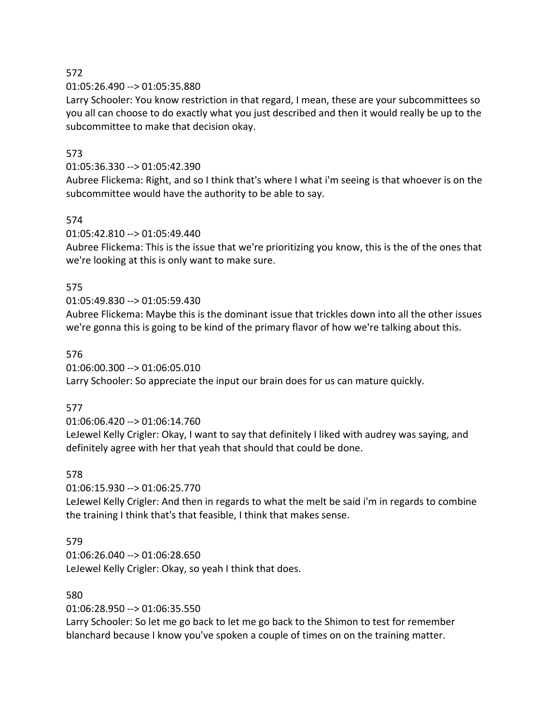01:05:26.490 --> 01:05:35.880

Larry Schooler: You know restriction in that regard, I mean, these are your subcommittees so you all can choose to do exactly what you just described and then it would really be up to the subcommittee to make that decision okay.

# 573

## 01:05:36.330 --> 01:05:42.390

Aubree Flickema: Right, and so I think that's where I what i'm seeing is that whoever is on the subcommittee would have the authority to be able to say.

# 574

01:05:42.810 --> 01:05:49.440

Aubree Flickema: This is the issue that we're prioritizing you know, this is the of the ones that we're looking at this is only want to make sure.

# 575

# 01:05:49.830 --> 01:05:59.430

Aubree Flickema: Maybe this is the dominant issue that trickles down into all the other issues we're gonna this is going to be kind of the primary flavor of how we're talking about this.

# 576

# 01:06:00.300 --> 01:06:05.010

Larry Schooler: So appreciate the input our brain does for us can mature quickly.

# 577

01:06:06.420 --> 01:06:14.760

LeJewel Kelly Crigler: Okay, I want to say that definitely I liked with audrey was saying, and definitely agree with her that yeah that should that could be done.

# 578

01:06:15.930 --> 01:06:25.770

LeJewel Kelly Crigler: And then in regards to what the melt be said i'm in regards to combine the training I think that's that feasible, I think that makes sense.

# 579

01:06:26.040 --> 01:06:28.650 LeJewel Kelly Crigler: Okay, so yeah I think that does.

# 580

01:06:28.950 --> 01:06:35.550

Larry Schooler: So let me go back to let me go back to the Shimon to test for remember blanchard because I know you've spoken a couple of times on on the training matter.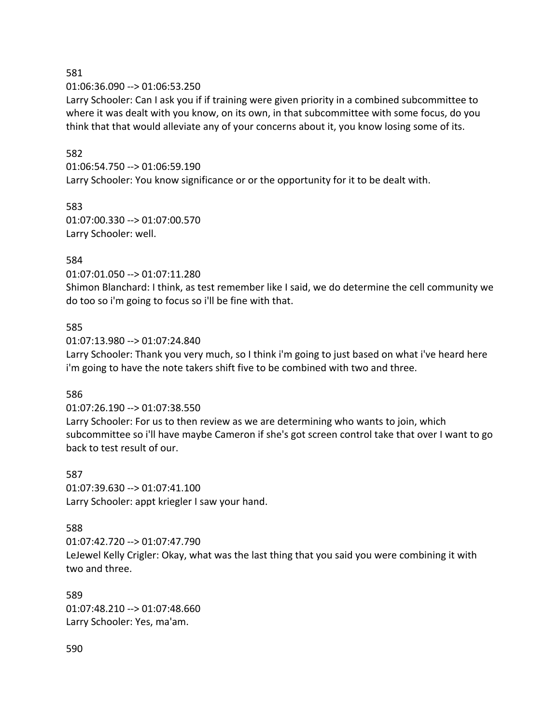01:06:36.090 --> 01:06:53.250

Larry Schooler: Can I ask you if if training were given priority in a combined subcommittee to where it was dealt with you know, on its own, in that subcommittee with some focus, do you think that that would alleviate any of your concerns about it, you know losing some of its.

### 582

01:06:54.750 --> 01:06:59.190 Larry Schooler: You know significance or or the opportunity for it to be dealt with.

583 01:07:00.330 --> 01:07:00.570 Larry Schooler: well.

## 584

01:07:01.050 --> 01:07:11.280

Shimon Blanchard: I think, as test remember like I said, we do determine the cell community we do too so i'm going to focus so i'll be fine with that.

### 585

01:07:13.980 --> 01:07:24.840

Larry Schooler: Thank you very much, so I think i'm going to just based on what i've heard here i'm going to have the note takers shift five to be combined with two and three.

### 586

01:07:26.190 --> 01:07:38.550

Larry Schooler: For us to then review as we are determining who wants to join, which subcommittee so i'll have maybe Cameron if she's got screen control take that over I want to go back to test result of our.

587 01:07:39.630 --> 01:07:41.100 Larry Schooler: appt kriegler I saw your hand.

### 588

01:07:42.720 --> 01:07:47.790 LeJewel Kelly Crigler: Okay, what was the last thing that you said you were combining it with two and three.

589 01:07:48.210 --> 01:07:48.660 Larry Schooler: Yes, ma'am.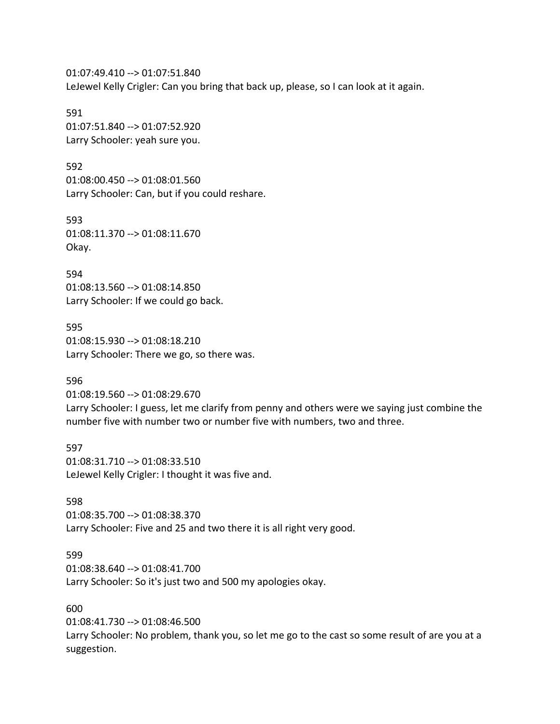01:07:49.410 --> 01:07:51.840 LeJewel Kelly Crigler: Can you bring that back up, please, so I can look at it again.

591 01:07:51.840 --> 01:07:52.920 Larry Schooler: yeah sure you.

592 01:08:00.450 --> 01:08:01.560 Larry Schooler: Can, but if you could reshare.

593 01:08:11.370 --> 01:08:11.670 Okay.

594 01:08:13.560 --> 01:08:14.850 Larry Schooler: If we could go back.

595 01:08:15.930 --> 01:08:18.210 Larry Schooler: There we go, so there was.

596

01:08:19.560 --> 01:08:29.670 Larry Schooler: I guess, let me clarify from penny and others were we saying just combine the number five with number two or number five with numbers, two and three.

597 01:08:31.710 --> 01:08:33.510 LeJewel Kelly Crigler: I thought it was five and.

598 01:08:35.700 --> 01:08:38.370 Larry Schooler: Five and 25 and two there it is all right very good.

599

01:08:38.640 --> 01:08:41.700 Larry Schooler: So it's just two and 500 my apologies okay.

600

01:08:41.730 --> 01:08:46.500

Larry Schooler: No problem, thank you, so let me go to the cast so some result of are you at a suggestion.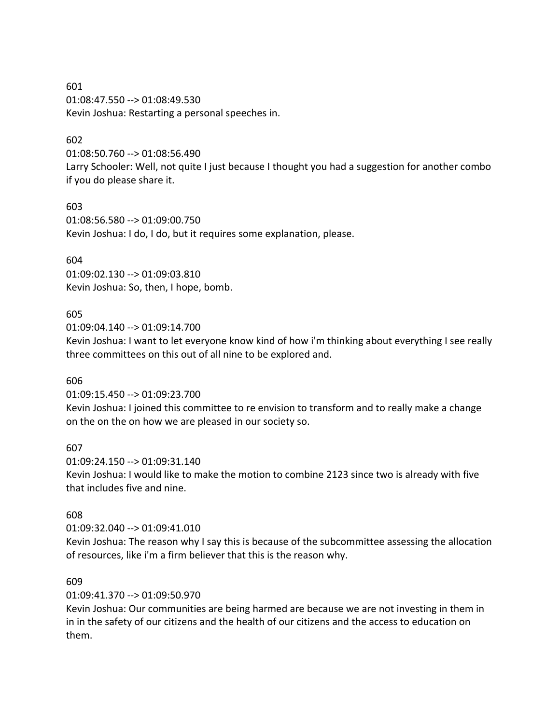601 01:08:47.550 --> 01:08:49.530 Kevin Joshua: Restarting a personal speeches in.

## 602

01:08:50.760 --> 01:08:56.490

Larry Schooler: Well, not quite I just because I thought you had a suggestion for another combo if you do please share it.

### 603

01:08:56.580 --> 01:09:00.750 Kevin Joshua: I do, I do, but it requires some explanation, please.

## 604

01:09:02.130 --> 01:09:03.810 Kevin Joshua: So, then, I hope, bomb.

## 605

01:09:04.140 --> 01:09:14.700

Kevin Joshua: I want to let everyone know kind of how i'm thinking about everything I see really three committees on this out of all nine to be explored and.

### 606

01:09:15.450 --> 01:09:23.700

Kevin Joshua: I joined this committee to re envision to transform and to really make a change on the on the on how we are pleased in our society so.

### 607

01:09:24.150 --> 01:09:31.140 Kevin Joshua: I would like to make the motion to combine 2123 since two is already with five that includes five and nine.

### 608

01:09:32.040 --> 01:09:41.010

Kevin Joshua: The reason why I say this is because of the subcommittee assessing the allocation of resources, like i'm a firm believer that this is the reason why.

### 609

01:09:41.370 --> 01:09:50.970

Kevin Joshua: Our communities are being harmed are because we are not investing in them in in in the safety of our citizens and the health of our citizens and the access to education on them.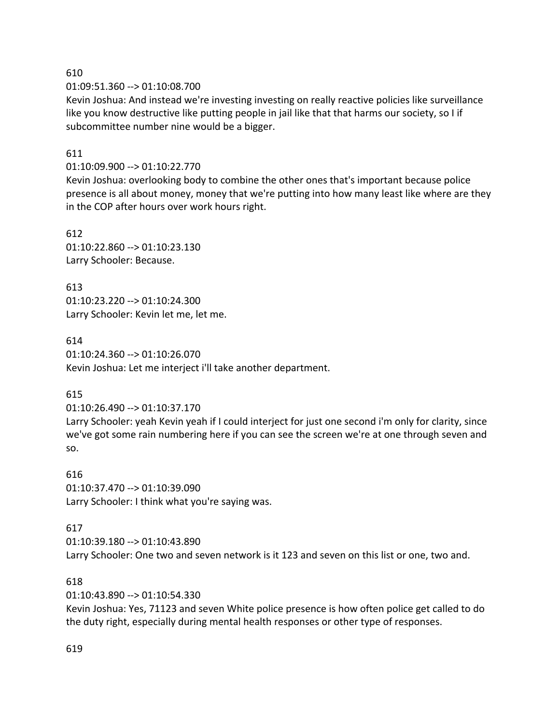01:09:51.360 --> 01:10:08.700

Kevin Joshua: And instead we're investing investing on really reactive policies like surveillance like you know destructive like putting people in jail like that that harms our society, so I if subcommittee number nine would be a bigger.

## 611

### 01:10:09.900 --> 01:10:22.770

Kevin Joshua: overlooking body to combine the other ones that's important because police presence is all about money, money that we're putting into how many least like where are they in the COP after hours over work hours right.

612 01:10:22.860 --> 01:10:23.130 Larry Schooler: Because.

613 01:10:23.220 --> 01:10:24.300 Larry Schooler: Kevin let me, let me.

## 614

01:10:24.360 --> 01:10:26.070 Kevin Joshua: Let me interject i'll take another department.

# 615

01:10:26.490 --> 01:10:37.170

Larry Schooler: yeah Kevin yeah if I could interject for just one second i'm only for clarity, since we've got some rain numbering here if you can see the screen we're at one through seven and so.

616 01:10:37.470 --> 01:10:39.090 Larry Schooler: I think what you're saying was.

### 617

01:10:39.180 --> 01:10:43.890 Larry Schooler: One two and seven network is it 123 and seven on this list or one, two and.

### 618

01:10:43.890 --> 01:10:54.330

Kevin Joshua: Yes, 71123 and seven White police presence is how often police get called to do the duty right, especially during mental health responses or other type of responses.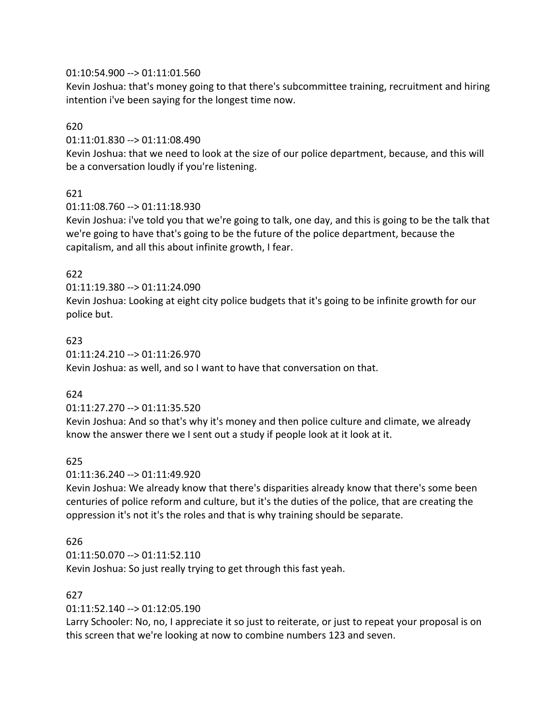## 01:10:54.900 --> 01:11:01.560

Kevin Joshua: that's money going to that there's subcommittee training, recruitment and hiring intention i've been saying for the longest time now.

## 620

01:11:01.830 --> 01:11:08.490

Kevin Joshua: that we need to look at the size of our police department, because, and this will be a conversation loudly if you're listening.

# 621

01:11:08.760 --> 01:11:18.930

Kevin Joshua: i've told you that we're going to talk, one day, and this is going to be the talk that we're going to have that's going to be the future of the police department, because the capitalism, and all this about infinite growth, I fear.

# 622

01:11:19.380 --> 01:11:24.090

Kevin Joshua: Looking at eight city police budgets that it's going to be infinite growth for our police but.

## 623

01:11:24.210 --> 01:11:26.970 Kevin Joshua: as well, and so I want to have that conversation on that.

### 624

### 01:11:27.270 --> 01:11:35.520

Kevin Joshua: And so that's why it's money and then police culture and climate, we already know the answer there we I sent out a study if people look at it look at it.

# 625

### 01:11:36.240 --> 01:11:49.920

Kevin Joshua: We already know that there's disparities already know that there's some been centuries of police reform and culture, but it's the duties of the police, that are creating the oppression it's not it's the roles and that is why training should be separate.

# 626

01:11:50.070 --> 01:11:52.110 Kevin Joshua: So just really trying to get through this fast yeah.

### 627

01:11:52.140 --> 01:12:05.190

Larry Schooler: No, no, I appreciate it so just to reiterate, or just to repeat your proposal is on this screen that we're looking at now to combine numbers 123 and seven.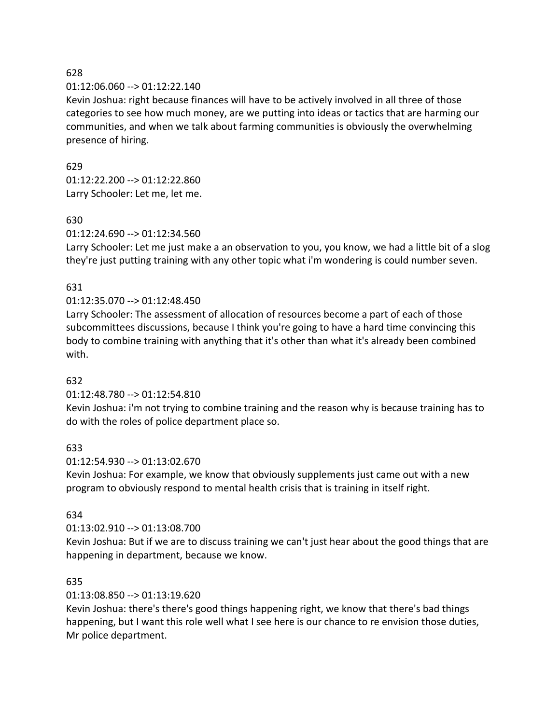### 01:12:06.060 --> 01:12:22.140

Kevin Joshua: right because finances will have to be actively involved in all three of those categories to see how much money, are we putting into ideas or tactics that are harming our communities, and when we talk about farming communities is obviously the overwhelming presence of hiring.

## 629

01:12:22.200 --> 01:12:22.860 Larry Schooler: Let me, let me.

# 630

01:12:24.690 --> 01:12:34.560

Larry Schooler: Let me just make a an observation to you, you know, we had a little bit of a slog they're just putting training with any other topic what i'm wondering is could number seven.

# 631

# 01:12:35.070 --> 01:12:48.450

Larry Schooler: The assessment of allocation of resources become a part of each of those subcommittees discussions, because I think you're going to have a hard time convincing this body to combine training with anything that it's other than what it's already been combined with.

# 632

# 01:12:48.780 --> 01:12:54.810

Kevin Joshua: i'm not trying to combine training and the reason why is because training has to do with the roles of police department place so.

# 633

# 01:12:54.930 --> 01:13:02.670

Kevin Joshua: For example, we know that obviously supplements just came out with a new program to obviously respond to mental health crisis that is training in itself right.

# 634

# 01:13:02.910 --> 01:13:08.700

Kevin Joshua: But if we are to discuss training we can't just hear about the good things that are happening in department, because we know.

# 635

# 01:13:08.850 --> 01:13:19.620

Kevin Joshua: there's there's good things happening right, we know that there's bad things happening, but I want this role well what I see here is our chance to re envision those duties, Mr police department.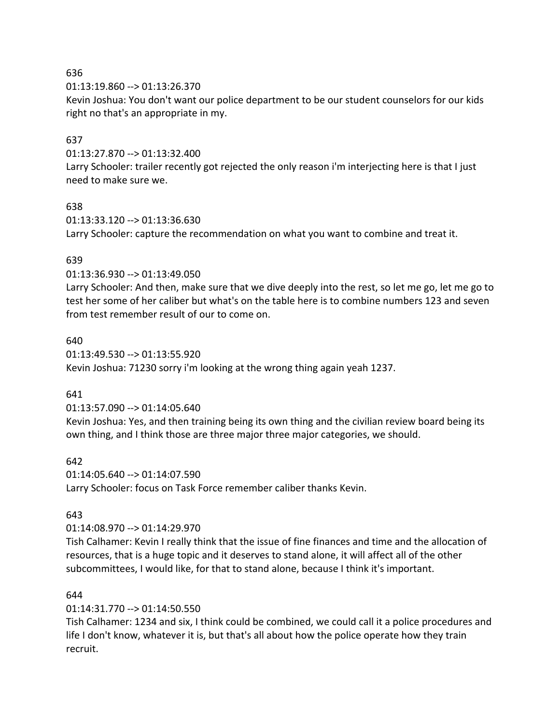01:13:19.860 --> 01:13:26.370

Kevin Joshua: You don't want our police department to be our student counselors for our kids right no that's an appropriate in my.

## 637

01:13:27.870 --> 01:13:32.400

Larry Schooler: trailer recently got rejected the only reason i'm interjecting here is that I just need to make sure we.

### 638

01:13:33.120 --> 01:13:36.630 Larry Schooler: capture the recommendation on what you want to combine and treat it.

## 639

01:13:36.930 --> 01:13:49.050

Larry Schooler: And then, make sure that we dive deeply into the rest, so let me go, let me go to test her some of her caliber but what's on the table here is to combine numbers 123 and seven from test remember result of our to come on.

### 640

01:13:49.530 --> 01:13:55.920 Kevin Joshua: 71230 sorry i'm looking at the wrong thing again yeah 1237.

### 641

01:13:57.090 --> 01:14:05.640

Kevin Joshua: Yes, and then training being its own thing and the civilian review board being its own thing, and I think those are three major three major categories, we should.

### 642

01:14:05.640 --> 01:14:07.590 Larry Schooler: focus on Task Force remember caliber thanks Kevin.

# 643

01:14:08.970 --> 01:14:29.970

Tish Calhamer: Kevin I really think that the issue of fine finances and time and the allocation of resources, that is a huge topic and it deserves to stand alone, it will affect all of the other subcommittees, I would like, for that to stand alone, because I think it's important.

### 644

01:14:31.770 --> 01:14:50.550

Tish Calhamer: 1234 and six, I think could be combined, we could call it a police procedures and life I don't know, whatever it is, but that's all about how the police operate how they train recruit.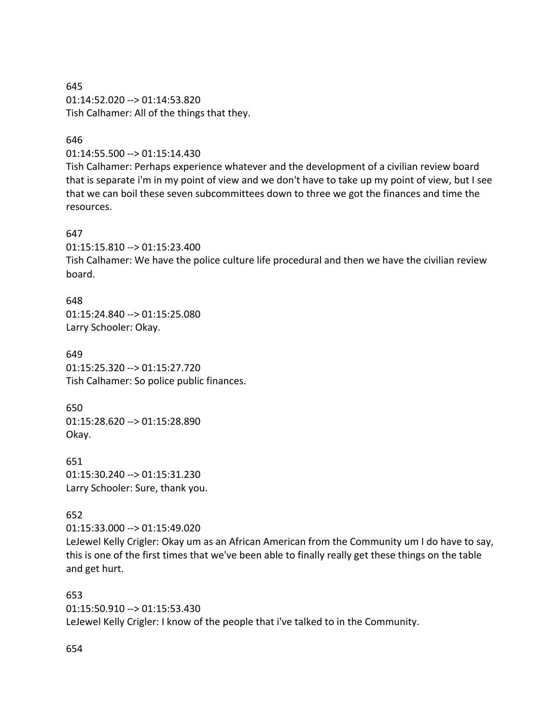645 01:14:52.020 --> 01:14:53.820 Tish Calhamer: All of the things that they.

### 646

01:14:55.500 --> 01:15:14.430

Tish Calhamer: Perhaps experience whatever and the development of a civilian review board that is separate i'm in my point of view and we don't have to take up my point of view, but I see that we can boil these seven subcommittees down to three we got the finances and time the resources.

### 647

01:15:15.810 --> 01:15:23.400

Tish Calhamer: We have the police culture life procedural and then we have the civilian review board.

648 01:15:24.840 --> 01:15:25.080 Larry Schooler: Okay.

649 01:15:25.320 --> 01:15:27.720 Tish Calhamer: So police public finances.

650 01:15:28.620 --> 01:15:28.890 Okay.

651 01:15:30.240 --> 01:15:31.230 Larry Schooler: Sure, thank you.

### 652

01:15:33.000 --> 01:15:49.020

LeJewel Kelly Crigler: Okay um as an African American from the Community um I do have to say, this is one of the first times that we've been able to finally really get these things on the table and get hurt.

653 01:15:50.910 --> 01:15:53.430 LeJewel Kelly Crigler: I know of the people that i've talked to in the Community.

654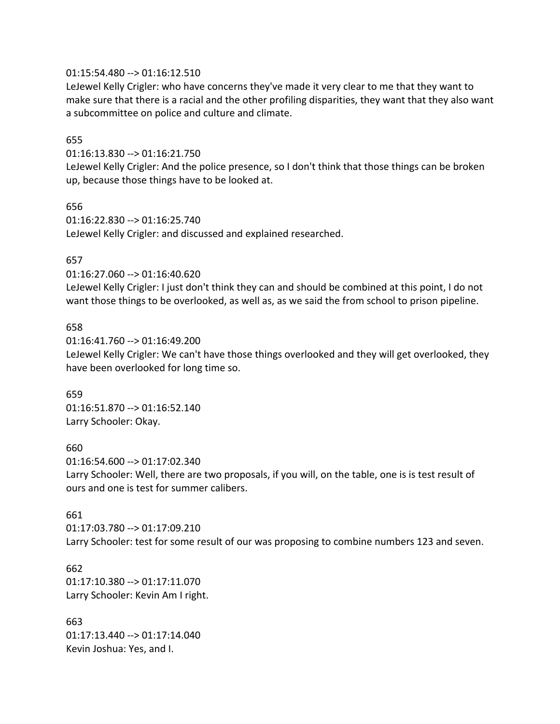### 01:15:54.480 --> 01:16:12.510

LeJewel Kelly Crigler: who have concerns they've made it very clear to me that they want to make sure that there is a racial and the other profiling disparities, they want that they also want a subcommittee on police and culture and climate.

### 655

01:16:13.830 --> 01:16:21.750

LeJewel Kelly Crigler: And the police presence, so I don't think that those things can be broken up, because those things have to be looked at.

656

01:16:22.830 --> 01:16:25.740 LeJewel Kelly Crigler: and discussed and explained researched.

### 657

01:16:27.060 --> 01:16:40.620

LeJewel Kelly Crigler: I just don't think they can and should be combined at this point, I do not want those things to be overlooked, as well as, as we said the from school to prison pipeline.

### 658

01:16:41.760 --> 01:16:49.200 LeJewel Kelly Crigler: We can't have those things overlooked and they will get overlooked, they have been overlooked for long time so.

659 01:16:51.870 --> 01:16:52.140 Larry Schooler: Okay.

### 660

01:16:54.600 --> 01:17:02.340 Larry Schooler: Well, there are two proposals, if you will, on the table, one is is test result of ours and one is test for summer calibers.

### 661

01:17:03.780 --> 01:17:09.210 Larry Schooler: test for some result of our was proposing to combine numbers 123 and seven.

### 662

01:17:10.380 --> 01:17:11.070 Larry Schooler: Kevin Am I right.

663 01:17:13.440 --> 01:17:14.040 Kevin Joshua: Yes, and I.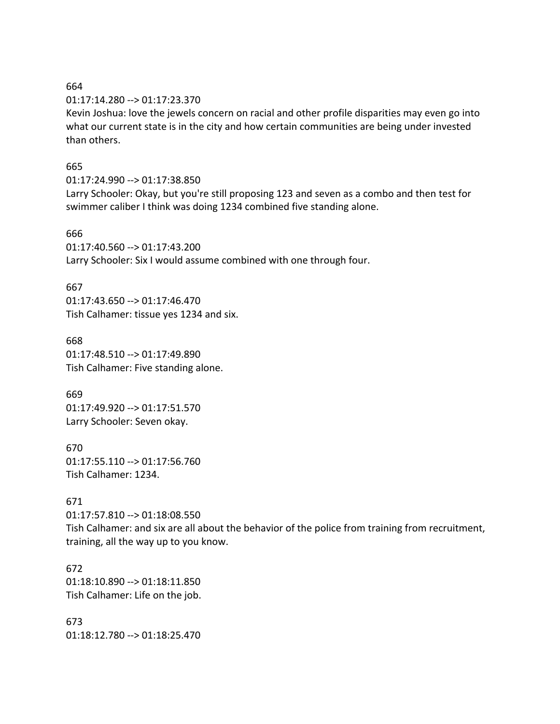01:17:14.280 --> 01:17:23.370

Kevin Joshua: love the jewels concern on racial and other profile disparities may even go into what our current state is in the city and how certain communities are being under invested than others.

## 665

01:17:24.990 --> 01:17:38.850

Larry Schooler: Okay, but you're still proposing 123 and seven as a combo and then test for swimmer caliber I think was doing 1234 combined five standing alone.

## 666

01:17:40.560 --> 01:17:43.200 Larry Schooler: Six I would assume combined with one through four.

# 667

01:17:43.650 --> 01:17:46.470 Tish Calhamer: tissue yes 1234 and six.

668 01:17:48.510 --> 01:17:49.890 Tish Calhamer: Five standing alone.

669 01:17:49.920 --> 01:17:51.570 Larry Schooler: Seven okay.

670 01:17:55.110 --> 01:17:56.760 Tish Calhamer: 1234.

# 671

01:17:57.810 --> 01:18:08.550 Tish Calhamer: and six are all about the behavior of the police from training from recruitment, training, all the way up to you know.

672 01:18:10.890 --> 01:18:11.850 Tish Calhamer: Life on the job.

673 01:18:12.780 --> 01:18:25.470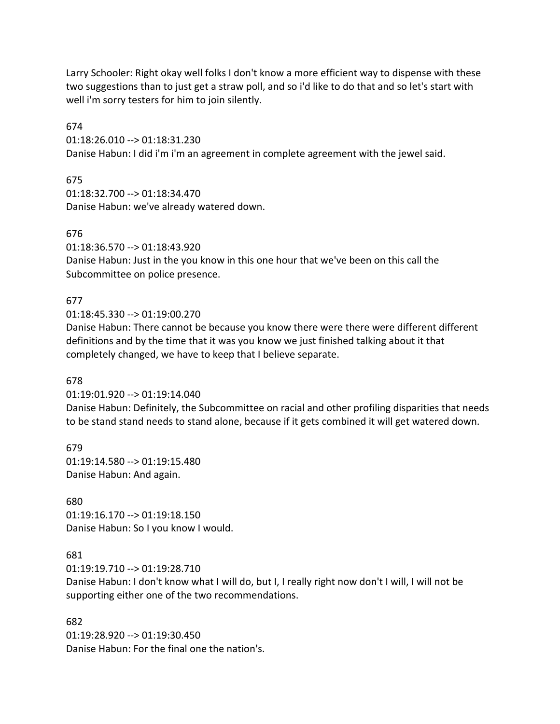Larry Schooler: Right okay well folks I don't know a more efficient way to dispense with these two suggestions than to just get a straw poll, and so i'd like to do that and so let's start with well i'm sorry testers for him to join silently.

674

01:18:26.010 --> 01:18:31.230

Danise Habun: I did i'm i'm an agreement in complete agreement with the jewel said.

675

01:18:32.700 --> 01:18:34.470 Danise Habun: we've already watered down.

676

01:18:36.570 --> 01:18:43.920

Danise Habun: Just in the you know in this one hour that we've been on this call the Subcommittee on police presence.

# 677

01:18:45.330 --> 01:19:00.270

Danise Habun: There cannot be because you know there were there were different different definitions and by the time that it was you know we just finished talking about it that completely changed, we have to keep that I believe separate.

# 678

01:19:01.920 --> 01:19:14.040

Danise Habun: Definitely, the Subcommittee on racial and other profiling disparities that needs to be stand stand needs to stand alone, because if it gets combined it will get watered down.

679 01:19:14.580 --> 01:19:15.480 Danise Habun: And again.

# 680

01:19:16.170 --> 01:19:18.150 Danise Habun: So I you know I would.

# 681

01:19:19.710 --> 01:19:28.710

Danise Habun: I don't know what I will do, but I, I really right now don't I will, I will not be supporting either one of the two recommendations.

### 682

01:19:28.920 --> 01:19:30.450 Danise Habun: For the final one the nation's.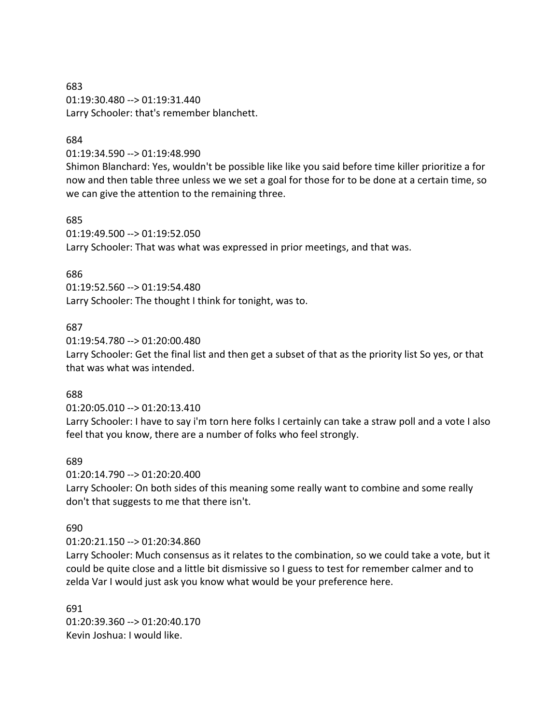# 683 01:19:30.480 --> 01:19:31.440 Larry Schooler: that's remember blanchett.

### 684

01:19:34.590 --> 01:19:48.990

Shimon Blanchard: Yes, wouldn't be possible like like you said before time killer prioritize a for now and then table three unless we we set a goal for those for to be done at a certain time, so we can give the attention to the remaining three.

## 685

01:19:49.500 --> 01:19:52.050 Larry Schooler: That was what was expressed in prior meetings, and that was.

## 686

01:19:52.560 --> 01:19:54.480 Larry Schooler: The thought I think for tonight, was to.

## 687

01:19:54.780 --> 01:20:00.480

Larry Schooler: Get the final list and then get a subset of that as the priority list So yes, or that that was what was intended.

### 688

01:20:05.010 --> 01:20:13.410

Larry Schooler: I have to say i'm torn here folks I certainly can take a straw poll and a vote I also feel that you know, there are a number of folks who feel strongly.

# 689

01:20:14.790 --> 01:20:20.400 Larry Schooler: On both sides of this meaning some really want to combine and some really don't that suggests to me that there isn't.

### 690

01:20:21.150 --> 01:20:34.860

Larry Schooler: Much consensus as it relates to the combination, so we could take a vote, but it could be quite close and a little bit dismissive so I guess to test for remember calmer and to zelda Var I would just ask you know what would be your preference here.

691 01:20:39.360 --> 01:20:40.170 Kevin Joshua: I would like.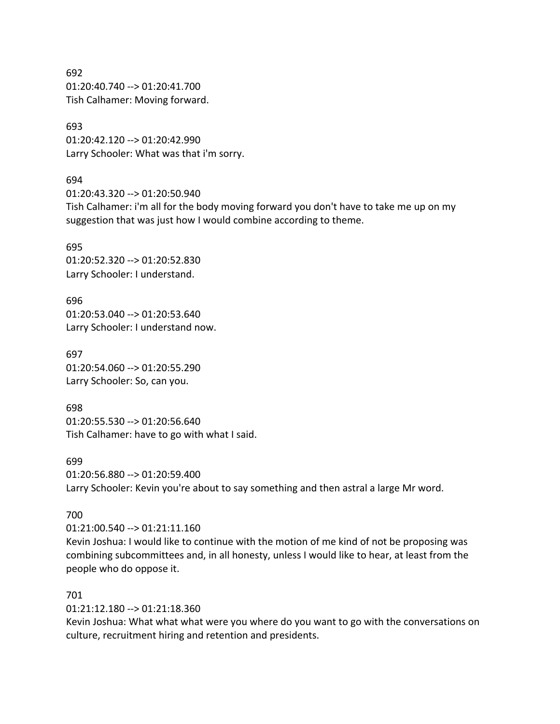692 01:20:40.740 --> 01:20:41.700 Tish Calhamer: Moving forward.

693 01:20:42.120 --> 01:20:42.990 Larry Schooler: What was that i'm sorry.

#### 694

01:20:43.320 --> 01:20:50.940 Tish Calhamer: i'm all for the body moving forward you don't have to take me up on my suggestion that was just how I would combine according to theme.

695 01:20:52.320 --> 01:20:52.830 Larry Schooler: I understand.

696 01:20:53.040 --> 01:20:53.640 Larry Schooler: I understand now.

697 01:20:54.060 --> 01:20:55.290 Larry Schooler: So, can you.

698 01:20:55.530 --> 01:20:56.640 Tish Calhamer: have to go with what I said.

### 699

01:20:56.880 --> 01:20:59.400 Larry Schooler: Kevin you're about to say something and then astral a large Mr word.

### 700

01:21:00.540 --> 01:21:11.160

Kevin Joshua: I would like to continue with the motion of me kind of not be proposing was combining subcommittees and, in all honesty, unless I would like to hear, at least from the people who do oppose it.

### 701

01:21:12.180 --> 01:21:18.360

Kevin Joshua: What what what were you where do you want to go with the conversations on culture, recruitment hiring and retention and presidents.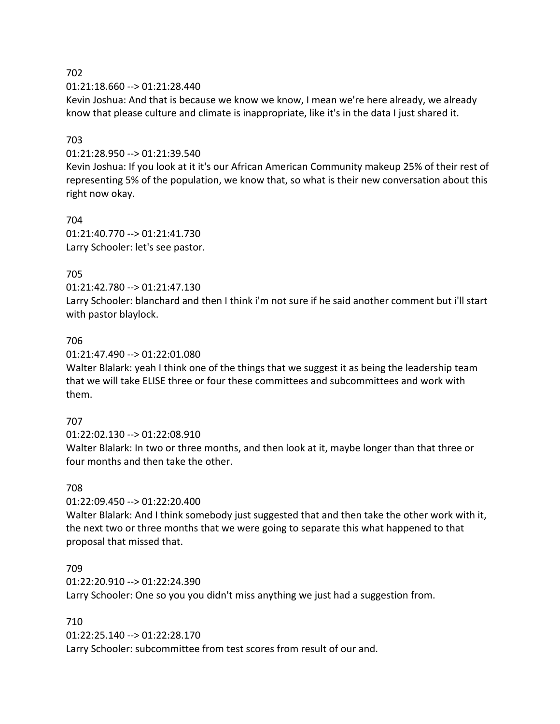01:21:18.660 --> 01:21:28.440

Kevin Joshua: And that is because we know we know, I mean we're here already, we already know that please culture and climate is inappropriate, like it's in the data I just shared it.

## 703

01:21:28.950 --> 01:21:39.540

Kevin Joshua: If you look at it it's our African American Community makeup 25% of their rest of representing 5% of the population, we know that, so what is their new conversation about this right now okay.

704 01:21:40.770 --> 01:21:41.730 Larry Schooler: let's see pastor.

# 705

01:21:42.780 --> 01:21:47.130

Larry Schooler: blanchard and then I think i'm not sure if he said another comment but i'll start with pastor blaylock.

# 706

01:21:47.490 --> 01:22:01.080

Walter Blalark: yeah I think one of the things that we suggest it as being the leadership team that we will take ELISE three or four these committees and subcommittees and work with them.

# 707

01:22:02.130 --> 01:22:08.910

Walter Blalark: In two or three months, and then look at it, maybe longer than that three or four months and then take the other.

### 708

01:22:09.450 --> 01:22:20.400

Walter Blalark: And I think somebody just suggested that and then take the other work with it, the next two or three months that we were going to separate this what happened to that proposal that missed that.

### 709

01:22:20.910 --> 01:22:24.390 Larry Schooler: One so you you didn't miss anything we just had a suggestion from.

### 710

01:22:25.140 --> 01:22:28.170 Larry Schooler: subcommittee from test scores from result of our and.

### 702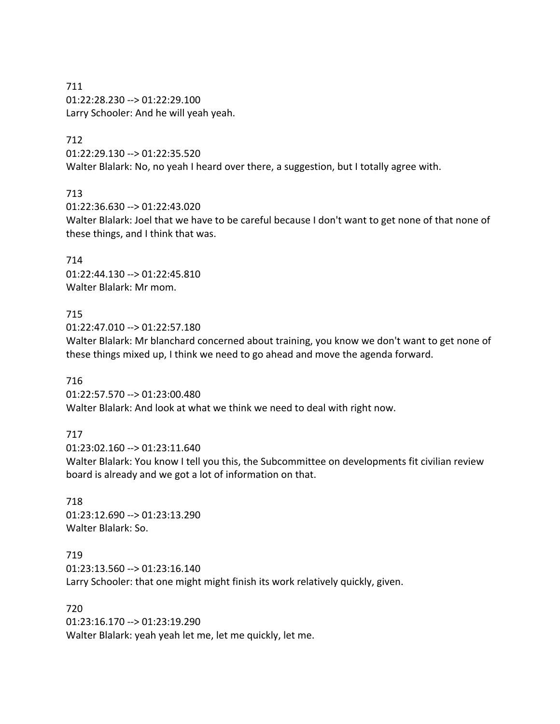711 01:22:28.230 --> 01:22:29.100 Larry Schooler: And he will yeah yeah.

### 712

01:22:29.130 --> 01:22:35.520 Walter Blalark: No, no yeah I heard over there, a suggestion, but I totally agree with.

### 713

01:22:36.630 --> 01:22:43.020 Walter Blalark: Joel that we have to be careful because I don't want to get none of that none of these things, and I think that was.

714 01:22:44.130 --> 01:22:45.810 Walter Blalark: Mr mom.

### 715

01:22:47.010 --> 01:22:57.180

Walter Blalark: Mr blanchard concerned about training, you know we don't want to get none of these things mixed up, I think we need to go ahead and move the agenda forward.

### 716

01:22:57.570 --> 01:23:00.480 Walter Blalark: And look at what we think we need to deal with right now.

### 717

01:23:02.160 --> 01:23:11.640 Walter Blalark: You know I tell you this, the Subcommittee on developments fit civilian review board is already and we got a lot of information on that.

718 01:23:12.690 --> 01:23:13.290 Walter Blalark: So.

719 01:23:13.560 --> 01:23:16.140 Larry Schooler: that one might might finish its work relatively quickly, given.

720 01:23:16.170 --> 01:23:19.290 Walter Blalark: yeah yeah let me, let me quickly, let me.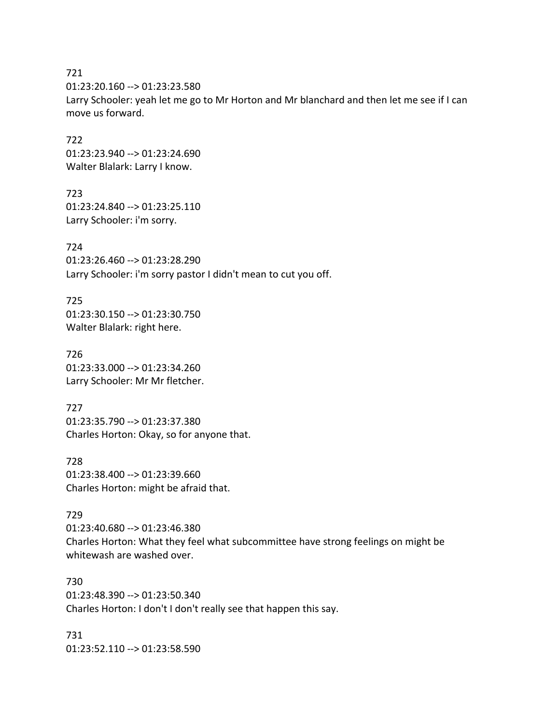01:23:20.160 --> 01:23:23.580

Larry Schooler: yeah let me go to Mr Horton and Mr blanchard and then let me see if I can move us forward.

722 01:23:23.940 --> 01:23:24.690 Walter Blalark: Larry I know.

723 01:23:24.840 --> 01:23:25.110 Larry Schooler: i'm sorry.

724 01:23:26.460 --> 01:23:28.290 Larry Schooler: i'm sorry pastor I didn't mean to cut you off.

725 01:23:30.150 --> 01:23:30.750 Walter Blalark: right here.

726 01:23:33.000 --> 01:23:34.260 Larry Schooler: Mr Mr fletcher.

727 01:23:35.790 --> 01:23:37.380 Charles Horton: Okay, so for anyone that.

728 01:23:38.400 --> 01:23:39.660 Charles Horton: might be afraid that.

### 729

01:23:40.680 --> 01:23:46.380 Charles Horton: What they feel what subcommittee have strong feelings on might be whitewash are washed over.

730 01:23:48.390 --> 01:23:50.340 Charles Horton: I don't I don't really see that happen this say.

731 01:23:52.110 --> 01:23:58.590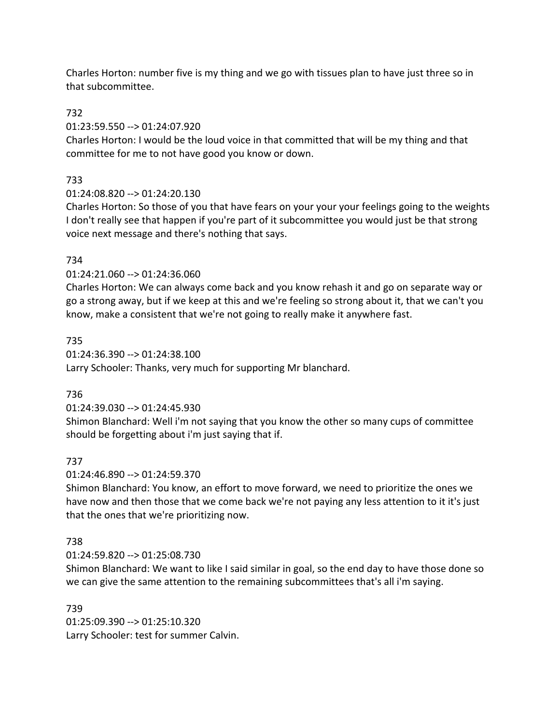Charles Horton: number five is my thing and we go with tissues plan to have just three so in that subcommittee.

## 732

### 01:23:59.550 --> 01:24:07.920

Charles Horton: I would be the loud voice in that committed that will be my thing and that committee for me to not have good you know or down.

# 733

# 01:24:08.820 --> 01:24:20.130

Charles Horton: So those of you that have fears on your your your feelings going to the weights I don't really see that happen if you're part of it subcommittee you would just be that strong voice next message and there's nothing that says.

# 734

# 01:24:21.060 --> 01:24:36.060

Charles Horton: We can always come back and you know rehash it and go on separate way or go a strong away, but if we keep at this and we're feeling so strong about it, that we can't you know, make a consistent that we're not going to really make it anywhere fast.

# 735

01:24:36.390 --> 01:24:38.100 Larry Schooler: Thanks, very much for supporting Mr blanchard.

# 736

# 01:24:39.030 --> 01:24:45.930

Shimon Blanchard: Well i'm not saying that you know the other so many cups of committee should be forgetting about i'm just saying that if.

# 737

# 01:24:46.890 --> 01:24:59.370

Shimon Blanchard: You know, an effort to move forward, we need to prioritize the ones we have now and then those that we come back we're not paying any less attention to it it's just that the ones that we're prioritizing now.

# 738

# 01:24:59.820 --> 01:25:08.730

Shimon Blanchard: We want to like I said similar in goal, so the end day to have those done so we can give the same attention to the remaining subcommittees that's all i'm saying.

### 739

01:25:09.390 --> 01:25:10.320 Larry Schooler: test for summer Calvin.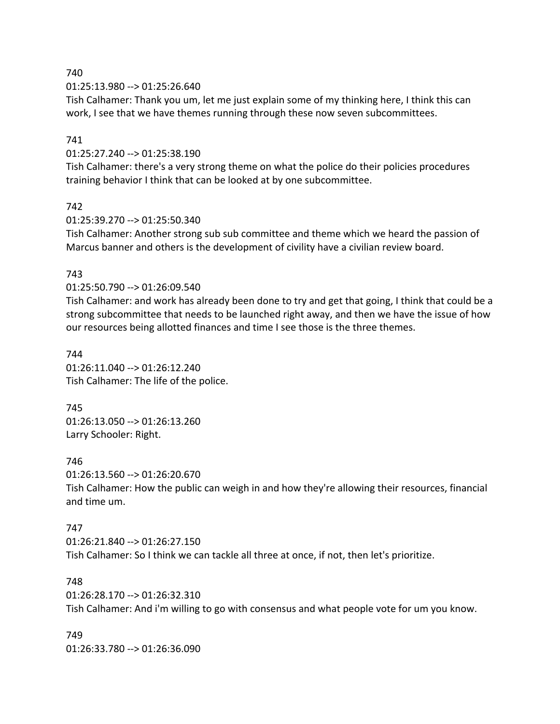01:25:13.980 --> 01:25:26.640

Tish Calhamer: Thank you um, let me just explain some of my thinking here, I think this can work, I see that we have themes running through these now seven subcommittees.

### 741

01:25:27.240 --> 01:25:38.190

Tish Calhamer: there's a very strong theme on what the police do their policies procedures training behavior I think that can be looked at by one subcommittee.

### 742

01:25:39.270 --> 01:25:50.340

Tish Calhamer: Another strong sub sub committee and theme which we heard the passion of Marcus banner and others is the development of civility have a civilian review board.

### 743

01:25:50.790 --> 01:26:09.540

Tish Calhamer: and work has already been done to try and get that going, I think that could be a strong subcommittee that needs to be launched right away, and then we have the issue of how our resources being allotted finances and time I see those is the three themes.

744 01:26:11.040 --> 01:26:12.240 Tish Calhamer: The life of the police.

745 01:26:13.050 --> 01:26:13.260 Larry Schooler: Right.

### 746

01:26:13.560 --> 01:26:20.670 Tish Calhamer: How the public can weigh in and how they're allowing their resources, financial and time um.

### 747

01:26:21.840 --> 01:26:27.150 Tish Calhamer: So I think we can tackle all three at once, if not, then let's prioritize.

### 748

01:26:28.170 --> 01:26:32.310 Tish Calhamer: And i'm willing to go with consensus and what people vote for um you know.

749 01:26:33.780 --> 01:26:36.090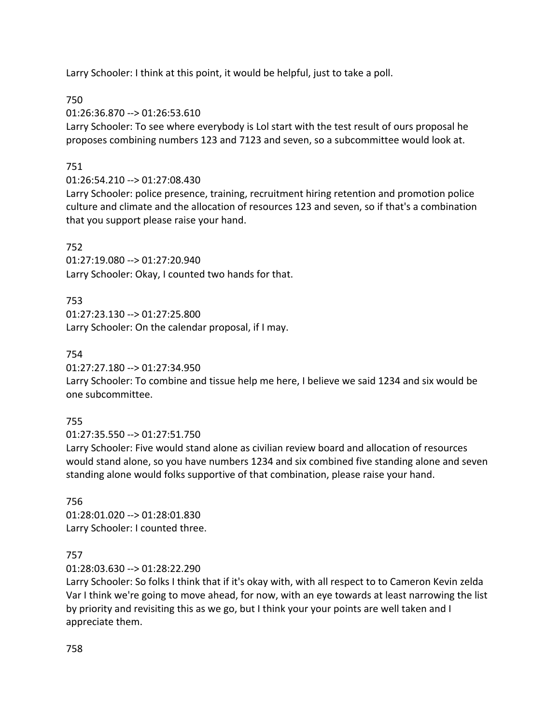Larry Schooler: I think at this point, it would be helpful, just to take a poll.

# 750

01:26:36.870 --> 01:26:53.610

Larry Schooler: To see where everybody is Lol start with the test result of ours proposal he proposes combining numbers 123 and 7123 and seven, so a subcommittee would look at.

# 751

# 01:26:54.210 --> 01:27:08.430

Larry Schooler: police presence, training, recruitment hiring retention and promotion police culture and climate and the allocation of resources 123 and seven, so if that's a combination that you support please raise your hand.

# 752

01:27:19.080 --> 01:27:20.940 Larry Schooler: Okay, I counted two hands for that.

# 753

01:27:23.130 --> 01:27:25.800 Larry Schooler: On the calendar proposal, if I may.

# 754

01:27:27.180 --> 01:27:34.950

Larry Schooler: To combine and tissue help me here, I believe we said 1234 and six would be one subcommittee.

# 755

01:27:35.550 --> 01:27:51.750

Larry Schooler: Five would stand alone as civilian review board and allocation of resources would stand alone, so you have numbers 1234 and six combined five standing alone and seven standing alone would folks supportive of that combination, please raise your hand.

# 756

01:28:01.020 --> 01:28:01.830 Larry Schooler: I counted three.

# 757

01:28:03.630 --> 01:28:22.290

Larry Schooler: So folks I think that if it's okay with, with all respect to to Cameron Kevin zelda Var I think we're going to move ahead, for now, with an eye towards at least narrowing the list by priority and revisiting this as we go, but I think your your points are well taken and I appreciate them.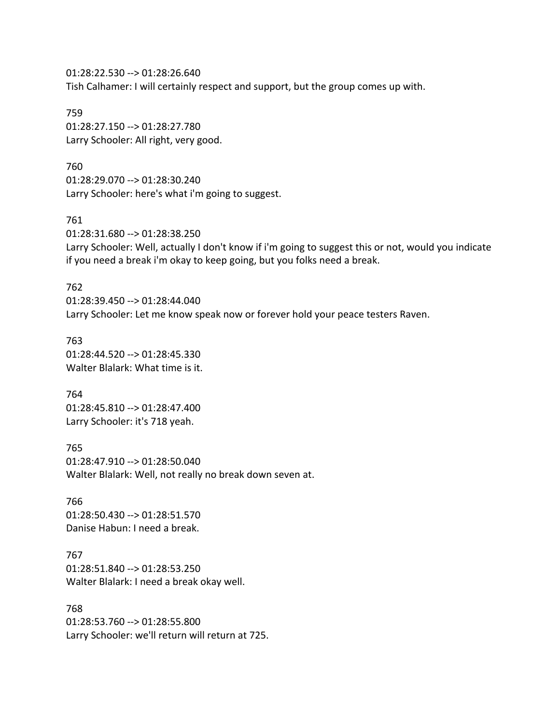01:28:22.530 --> 01:28:26.640 Tish Calhamer: I will certainly respect and support, but the group comes up with.

759 01:28:27.150 --> 01:28:27.780 Larry Schooler: All right, very good.

760 01:28:29.070 --> 01:28:30.240 Larry Schooler: here's what i'm going to suggest.

761 01:28:31.680 --> 01:28:38.250 Larry Schooler: Well, actually I don't know if i'm going to suggest this or not, would you indicate if you need a break i'm okay to keep going, but you folks need a break.

762 01:28:39.450 --> 01:28:44.040 Larry Schooler: Let me know speak now or forever hold your peace testers Raven.

763 01:28:44.520 --> 01:28:45.330 Walter Blalark: What time is it.

764 01:28:45.810 --> 01:28:47.400 Larry Schooler: it's 718 yeah.

765 01:28:47.910 --> 01:28:50.040 Walter Blalark: Well, not really no break down seven at.

766 01:28:50.430 --> 01:28:51.570 Danise Habun: I need a break.

767 01:28:51.840 --> 01:28:53.250 Walter Blalark: I need a break okay well.

768 01:28:53.760 --> 01:28:55.800 Larry Schooler: we'll return will return at 725.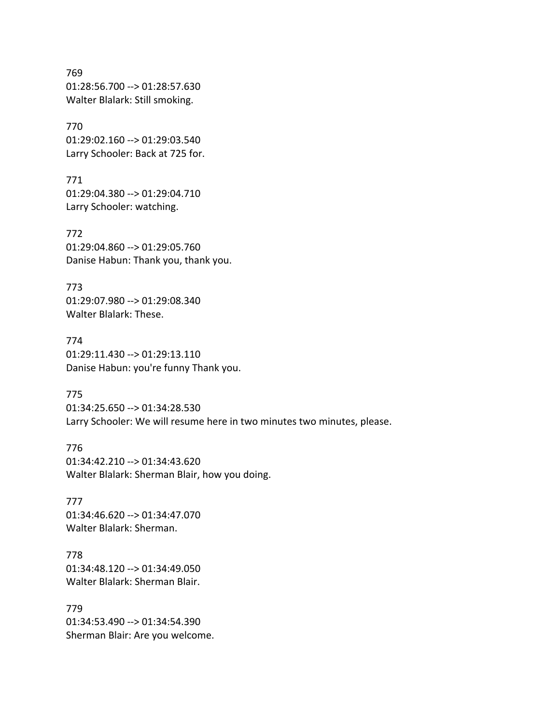769 01:28:56.700 --> 01:28:57.630 Walter Blalark: Still smoking.

770 01:29:02.160 --> 01:29:03.540 Larry Schooler: Back at 725 for.

771 01:29:04.380 --> 01:29:04.710 Larry Schooler: watching.

772 01:29:04.860 --> 01:29:05.760 Danise Habun: Thank you, thank you.

773 01:29:07.980 --> 01:29:08.340 Walter Blalark: These.

774 01:29:11.430 --> 01:29:13.110 Danise Habun: you're funny Thank you.

775 01:34:25.650 --> 01:34:28.530 Larry Schooler: We will resume here in two minutes two minutes, please.

776 01:34:42.210 --> 01:34:43.620 Walter Blalark: Sherman Blair, how you doing.

777 01:34:46.620 --> 01:34:47.070 Walter Blalark: Sherman.

778 01:34:48.120 --> 01:34:49.050 Walter Blalark: Sherman Blair.

779 01:34:53.490 --> 01:34:54.390 Sherman Blair: Are you welcome.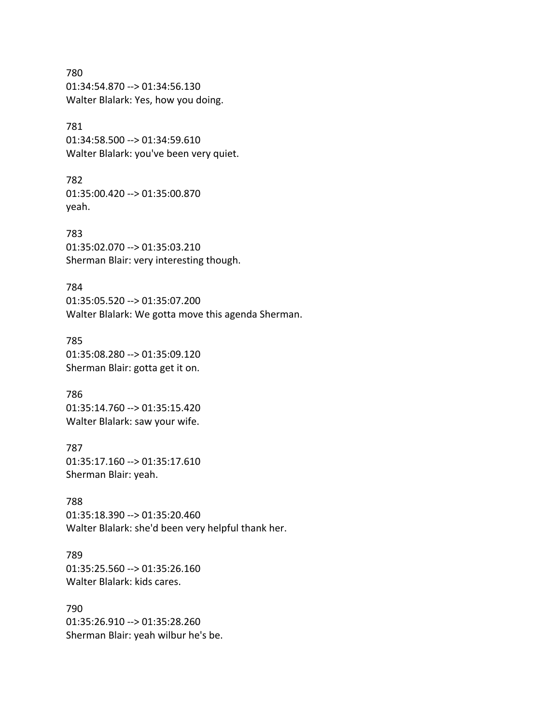780 01:34:54.870 --> 01:34:56.130 Walter Blalark: Yes, how you doing.

### 781

01:34:58.500 --> 01:34:59.610 Walter Blalark: you've been very quiet.

782 01:35:00.420 --> 01:35:00.870 yeah.

783 01:35:02.070 --> 01:35:03.210 Sherman Blair: very interesting though.

784 01:35:05.520 --> 01:35:07.200 Walter Blalark: We gotta move this agenda Sherman.

785 01:35:08.280 --> 01:35:09.120 Sherman Blair: gotta get it on.

786 01:35:14.760 --> 01:35:15.420 Walter Blalark: saw your wife.

787 01:35:17.160 --> 01:35:17.610 Sherman Blair: yeah.

788 01:35:18.390 --> 01:35:20.460 Walter Blalark: she'd been very helpful thank her.

789 01:35:25.560 --> 01:35:26.160 Walter Blalark: kids cares.

790 01:35:26.910 --> 01:35:28.260 Sherman Blair: yeah wilbur he's be.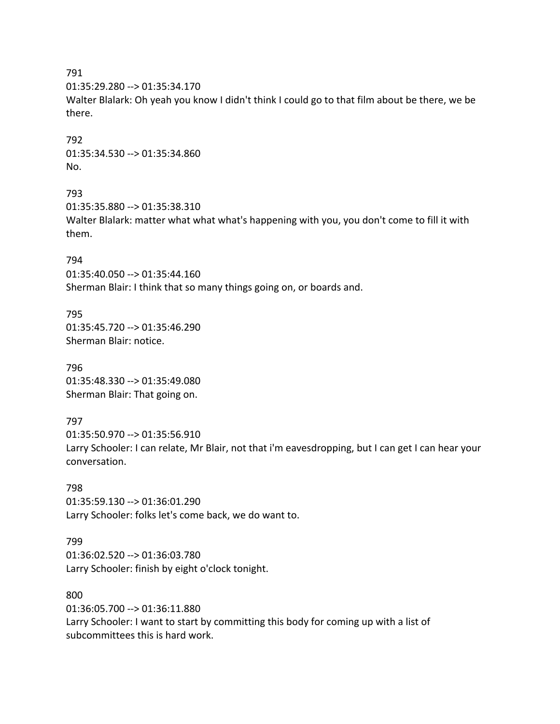01:35:29.280 --> 01:35:34.170

Walter Blalark: Oh yeah you know I didn't think I could go to that film about be there, we be there.

792 01:35:34.530 --> 01:35:34.860 No.

#### 793

01:35:35.880 --> 01:35:38.310 Walter Blalark: matter what what what's happening with you, you don't come to fill it with them.

#### 794

01:35:40.050 --> 01:35:44.160 Sherman Blair: I think that so many things going on, or boards and.

795 01:35:45.720 --> 01:35:46.290 Sherman Blair: notice.

796 01:35:48.330 --> 01:35:49.080 Sherman Blair: That going on.

#### 797

01:35:50.970 --> 01:35:56.910 Larry Schooler: I can relate, Mr Blair, not that i'm eavesdropping, but I can get I can hear your conversation.

798 01:35:59.130 --> 01:36:01.290 Larry Schooler: folks let's come back, we do want to.

#### 799

01:36:02.520 --> 01:36:03.780 Larry Schooler: finish by eight o'clock tonight.

#### 800

01:36:05.700 --> 01:36:11.880

Larry Schooler: I want to start by committing this body for coming up with a list of subcommittees this is hard work.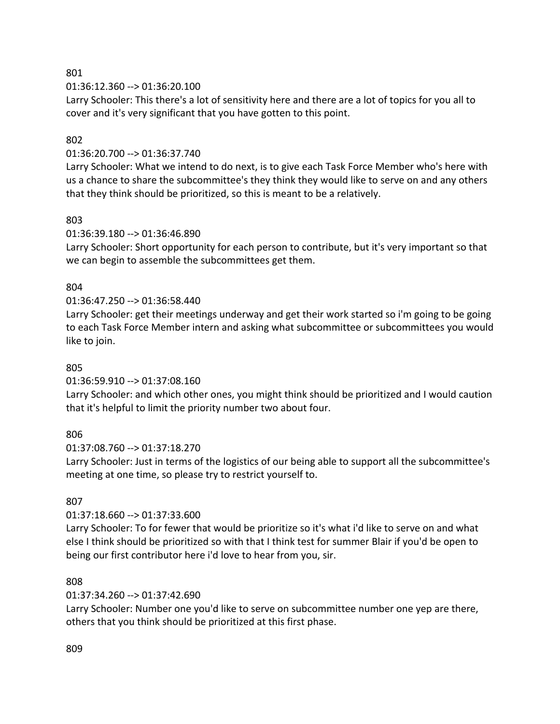01:36:12.360 --> 01:36:20.100

Larry Schooler: This there's a lot of sensitivity here and there are a lot of topics for you all to cover and it's very significant that you have gotten to this point.

## 802

## 01:36:20.700 --> 01:36:37.740

Larry Schooler: What we intend to do next, is to give each Task Force Member who's here with us a chance to share the subcommittee's they think they would like to serve on and any others that they think should be prioritized, so this is meant to be a relatively.

# 803

01:36:39.180 --> 01:36:46.890

Larry Schooler: Short opportunity for each person to contribute, but it's very important so that we can begin to assemble the subcommittees get them.

# 804

# 01:36:47.250 --> 01:36:58.440

Larry Schooler: get their meetings underway and get their work started so i'm going to be going to each Task Force Member intern and asking what subcommittee or subcommittees you would like to join.

### 805

### 01:36:59.910 --> 01:37:08.160

Larry Schooler: and which other ones, you might think should be prioritized and I would caution that it's helpful to limit the priority number two about four.

### 806

### 01:37:08.760 --> 01:37:18.270

Larry Schooler: Just in terms of the logistics of our being able to support all the subcommittee's meeting at one time, so please try to restrict yourself to.

# 807

# 01:37:18.660 --> 01:37:33.600

Larry Schooler: To for fewer that would be prioritize so it's what i'd like to serve on and what else I think should be prioritized so with that I think test for summer Blair if you'd be open to being our first contributor here i'd love to hear from you, sir.

### 808

# 01:37:34.260 --> 01:37:42.690

Larry Schooler: Number one you'd like to serve on subcommittee number one yep are there, others that you think should be prioritized at this first phase.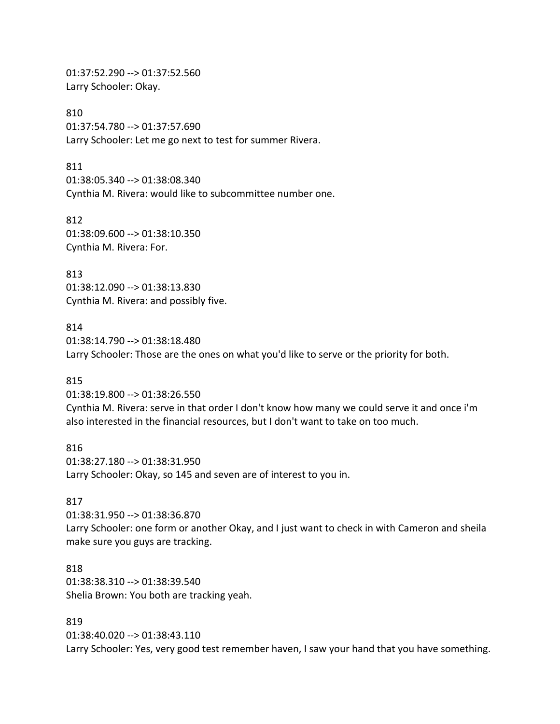01:37:52.290 --> 01:37:52.560 Larry Schooler: Okay.

810 01:37:54.780 --> 01:37:57.690 Larry Schooler: Let me go next to test for summer Rivera.

811 01:38:05.340 --> 01:38:08.340 Cynthia M. Rivera: would like to subcommittee number one.

812 01:38:09.600 --> 01:38:10.350 Cynthia M. Rivera: For.

813 01:38:12.090 --> 01:38:13.830 Cynthia M. Rivera: and possibly five.

814

01:38:14.790 --> 01:38:18.480 Larry Schooler: Those are the ones on what you'd like to serve or the priority for both.

#### 815

01:38:19.800 --> 01:38:26.550 Cynthia M. Rivera: serve in that order I don't know how many we could serve it and once i'm also interested in the financial resources, but I don't want to take on too much.

816 01:38:27.180 --> 01:38:31.950 Larry Schooler: Okay, so 145 and seven are of interest to you in.

#### 817

01:38:31.950 --> 01:38:36.870 Larry Schooler: one form or another Okay, and I just want to check in with Cameron and sheila make sure you guys are tracking.

### 818

01:38:38.310 --> 01:38:39.540 Shelia Brown: You both are tracking yeah.

#### 819

01:38:40.020 --> 01:38:43.110 Larry Schooler: Yes, very good test remember haven, I saw your hand that you have something.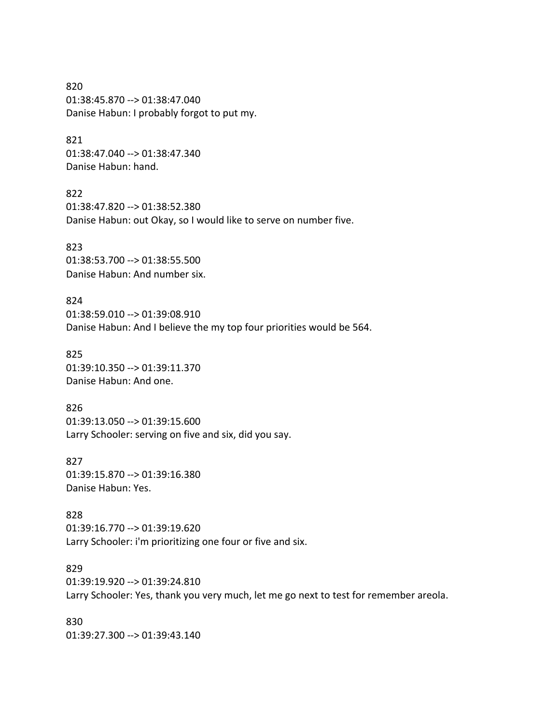820 01:38:45.870 --> 01:38:47.040 Danise Habun: I probably forgot to put my.

### 821 01:38:47.040 --> 01:38:47.340 Danise Habun: hand.

822 01:38:47.820 --> 01:38:52.380 Danise Habun: out Okay, so I would like to serve on number five.

823 01:38:53.700 --> 01:38:55.500 Danise Habun: And number six.

824 01:38:59.010 --> 01:39:08.910 Danise Habun: And I believe the my top four priorities would be 564.

825 01:39:10.350 --> 01:39:11.370 Danise Habun: And one.

826 01:39:13.050 --> 01:39:15.600 Larry Schooler: serving on five and six, did you say.

827 01:39:15.870 --> 01:39:16.380 Danise Habun: Yes.

828 01:39:16.770 --> 01:39:19.620 Larry Schooler: i'm prioritizing one four or five and six.

829 01:39:19.920 --> 01:39:24.810 Larry Schooler: Yes, thank you very much, let me go next to test for remember areola.

830 01:39:27.300 --> 01:39:43.140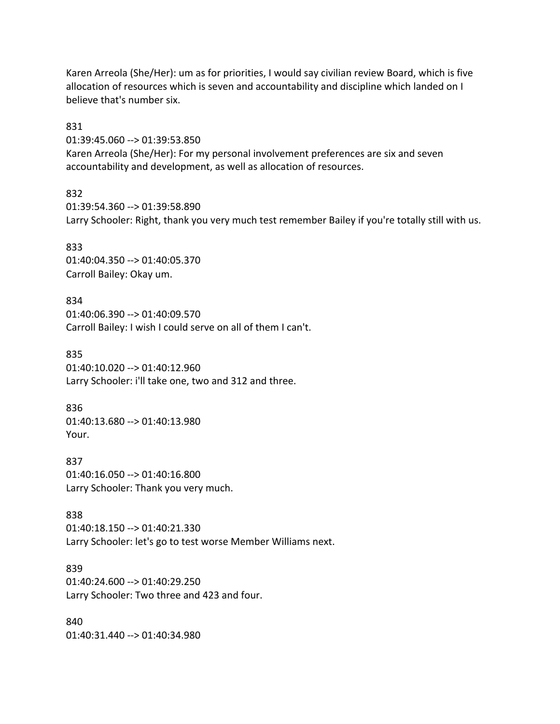Karen Arreola (She/Her): um as for priorities, I would say civilian review Board, which is five allocation of resources which is seven and accountability and discipline which landed on I believe that's number six.

831

01:39:45.060 --> 01:39:53.850 Karen Arreola (She/Her): For my personal involvement preferences are six and seven accountability and development, as well as allocation of resources.

832

01:39:54.360 --> 01:39:58.890 Larry Schooler: Right, thank you very much test remember Bailey if you're totally still with us.

833 01:40:04.350 --> 01:40:05.370 Carroll Bailey: Okay um.

834 01:40:06.390 --> 01:40:09.570 Carroll Bailey: I wish I could serve on all of them I can't.

835 01:40:10.020 --> 01:40:12.960 Larry Schooler: i'll take one, two and 312 and three.

836 01:40:13.680 --> 01:40:13.980 Your.

837 01:40:16.050 --> 01:40:16.800 Larry Schooler: Thank you very much.

838 01:40:18.150 --> 01:40:21.330 Larry Schooler: let's go to test worse Member Williams next.

839 01:40:24.600 --> 01:40:29.250 Larry Schooler: Two three and 423 and four.

840 01:40:31.440 --> 01:40:34.980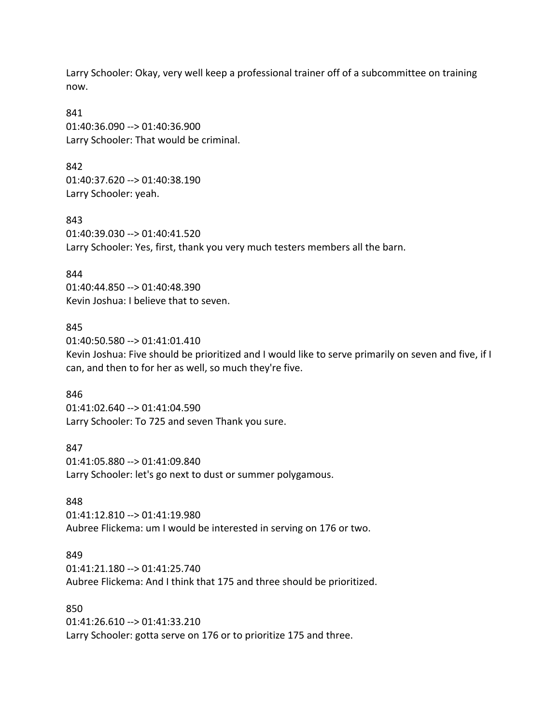Larry Schooler: Okay, very well keep a professional trainer off of a subcommittee on training now.

841 01:40:36.090 --> 01:40:36.900 Larry Schooler: That would be criminal.

842 01:40:37.620 --> 01:40:38.190 Larry Schooler: yeah.

843 01:40:39.030 --> 01:40:41.520 Larry Schooler: Yes, first, thank you very much testers members all the barn.

844 01:40:44.850 --> 01:40:48.390 Kevin Joshua: I believe that to seven.

#### 845

01:40:50.580 --> 01:41:01.410 Kevin Joshua: Five should be prioritized and I would like to serve primarily on seven and five, if I can, and then to for her as well, so much they're five.

#### 846

01:41:02.640 --> 01:41:04.590 Larry Schooler: To 725 and seven Thank you sure.

847

01:41:05.880 --> 01:41:09.840 Larry Schooler: let's go next to dust or summer polygamous.

#### 848

01:41:12.810 --> 01:41:19.980 Aubree Flickema: um I would be interested in serving on 176 or two.

#### 849

01:41:21.180 --> 01:41:25.740 Aubree Flickema: And I think that 175 and three should be prioritized.

#### 850

01:41:26.610 --> 01:41:33.210 Larry Schooler: gotta serve on 176 or to prioritize 175 and three.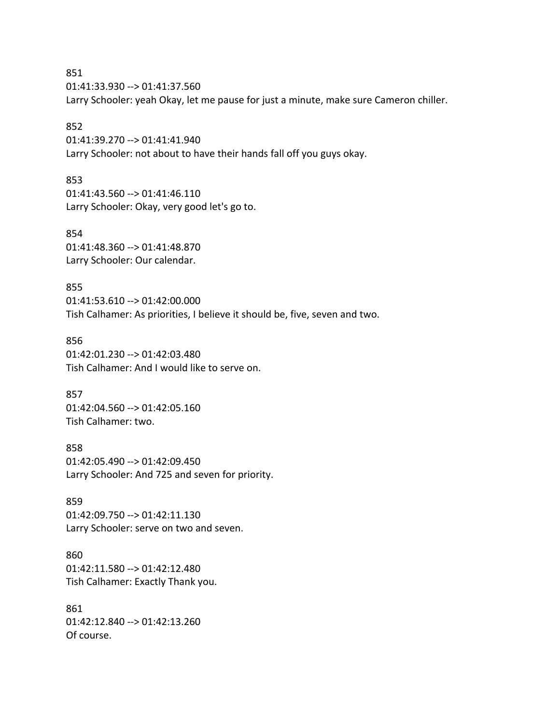851 01:41:33.930 --> 01:41:37.560 Larry Schooler: yeah Okay, let me pause for just a minute, make sure Cameron chiller.

### 852

01:41:39.270 --> 01:41:41.940 Larry Schooler: not about to have their hands fall off you guys okay.

853

01:41:43.560 --> 01:41:46.110 Larry Schooler: Okay, very good let's go to.

854 01:41:48.360 --> 01:41:48.870 Larry Schooler: Our calendar.

855 01:41:53.610 --> 01:42:00.000 Tish Calhamer: As priorities, I believe it should be, five, seven and two.

856 01:42:01.230 --> 01:42:03.480 Tish Calhamer: And I would like to serve on.

857 01:42:04.560 --> 01:42:05.160 Tish Calhamer: two.

858 01:42:05.490 --> 01:42:09.450 Larry Schooler: And 725 and seven for priority.

859 01:42:09.750 --> 01:42:11.130 Larry Schooler: serve on two and seven.

860 01:42:11.580 --> 01:42:12.480 Tish Calhamer: Exactly Thank you.

861 01:42:12.840 --> 01:42:13.260 Of course.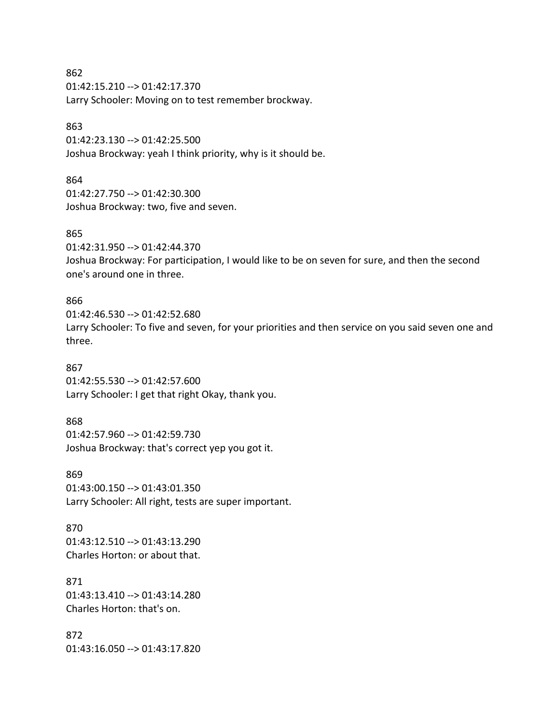862 01:42:15.210 --> 01:42:17.370 Larry Schooler: Moving on to test remember brockway.

#### 863

01:42:23.130 --> 01:42:25.500 Joshua Brockway: yeah I think priority, why is it should be.

#### 864

01:42:27.750 --> 01:42:30.300 Joshua Brockway: two, five and seven.

#### 865

01:42:31.950 --> 01:42:44.370 Joshua Brockway: For participation, I would like to be on seven for sure, and then the second one's around one in three.

#### 866

01:42:46.530 --> 01:42:52.680 Larry Schooler: To five and seven, for your priorities and then service on you said seven one and three.

#### 867

01:42:55.530 --> 01:42:57.600 Larry Schooler: I get that right Okay, thank you.

### 868

01:42:57.960 --> 01:42:59.730 Joshua Brockway: that's correct yep you got it.

869

01:43:00.150 --> 01:43:01.350 Larry Schooler: All right, tests are super important.

870 01:43:12.510 --> 01:43:13.290 Charles Horton: or about that.

871 01:43:13.410 --> 01:43:14.280 Charles Horton: that's on.

872 01:43:16.050 --> 01:43:17.820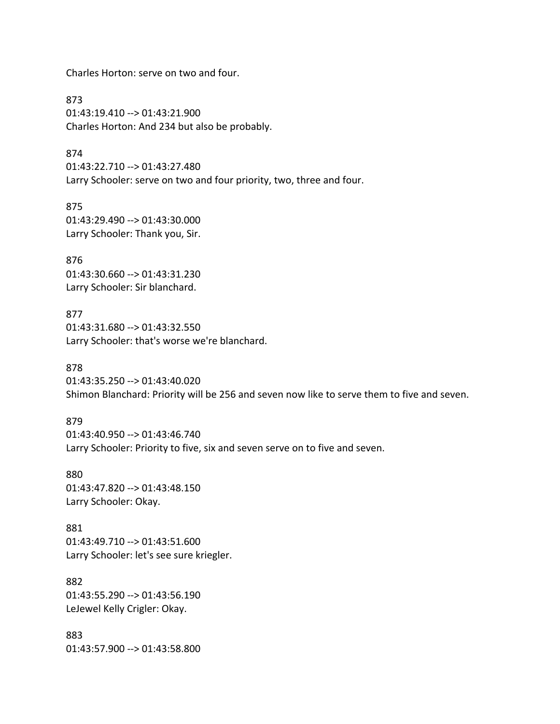Charles Horton: serve on two and four.

873 01:43:19.410 --> 01:43:21.900 Charles Horton: And 234 but also be probably.

874 01:43:22.710 --> 01:43:27.480 Larry Schooler: serve on two and four priority, two, three and four.

875 01:43:29.490 --> 01:43:30.000 Larry Schooler: Thank you, Sir.

876 01:43:30.660 --> 01:43:31.230 Larry Schooler: Sir blanchard.

877 01:43:31.680 --> 01:43:32.550 Larry Schooler: that's worse we're blanchard.

878 01:43:35.250 --> 01:43:40.020 Shimon Blanchard: Priority will be 256 and seven now like to serve them to five and seven.

879 01:43:40.950 --> 01:43:46.740 Larry Schooler: Priority to five, six and seven serve on to five and seven.

880 01:43:47.820 --> 01:43:48.150 Larry Schooler: Okay.

881 01:43:49.710 --> 01:43:51.600 Larry Schooler: let's see sure kriegler.

882 01:43:55.290 --> 01:43:56.190 LeJewel Kelly Crigler: Okay.

883 01:43:57.900 --> 01:43:58.800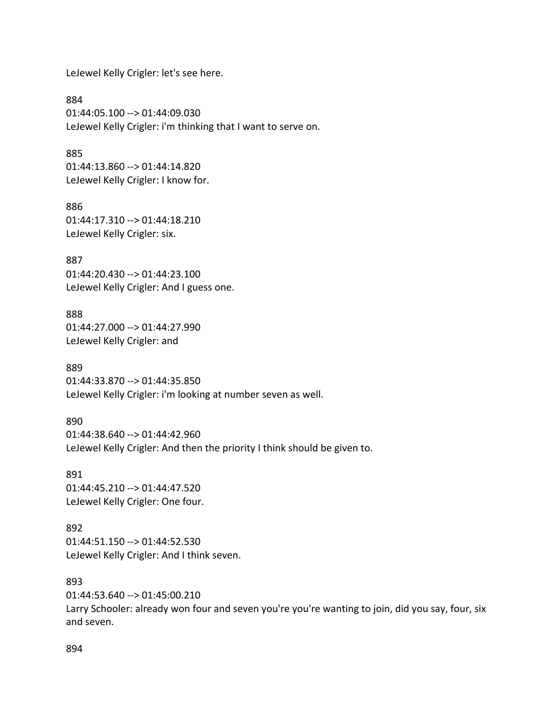LeJewel Kelly Crigler: let's see here.

884 01:44:05.100 --> 01:44:09.030 LeJewel Kelly Crigler: i'm thinking that I want to serve on.

885 01:44:13.860 --> 01:44:14.820 LeJewel Kelly Crigler: I know for.

886 01:44:17.310 --> 01:44:18.210 LeJewel Kelly Crigler: six.

887 01:44:20.430 --> 01:44:23.100 LeJewel Kelly Crigler: And I guess one.

888 01:44:27.000 --> 01:44:27.990 LeJewel Kelly Crigler: and

889 01:44:33.870 --> 01:44:35.850 LeJewel Kelly Crigler: i'm looking at number seven as well.

890 01:44:38.640 --> 01:44:42.960 LeJewel Kelly Crigler: And then the priority I think should be given to.

891 01:44:45.210 --> 01:44:47.520 LeJewel Kelly Crigler: One four.

892 01:44:51.150 --> 01:44:52.530 LeJewel Kelly Crigler: And I think seven.

893

01:44:53.640 --> 01:45:00.210 Larry Schooler: already won four and seven you're you're wanting to join, did you say, four, six and seven.

894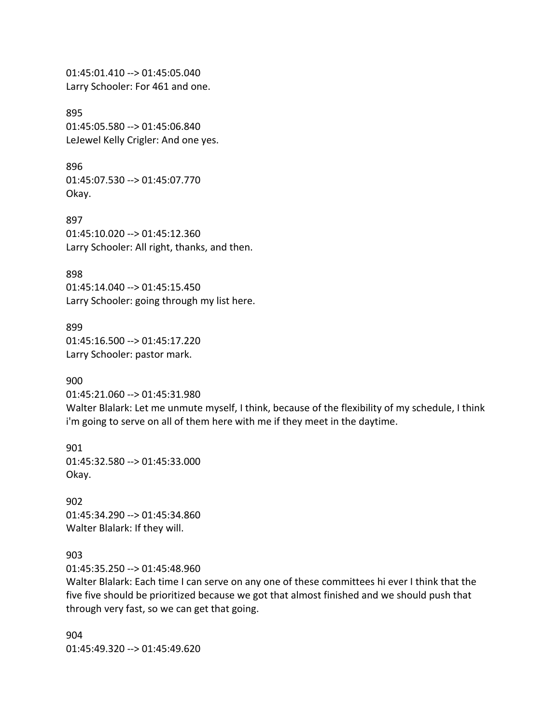01:45:01.410 --> 01:45:05.040 Larry Schooler: For 461 and one.

895 01:45:05.580 --> 01:45:06.840 LeJewel Kelly Crigler: And one yes.

896 01:45:07.530 --> 01:45:07.770 Okay.

897 01:45:10.020 --> 01:45:12.360 Larry Schooler: All right, thanks, and then.

898 01:45:14.040 --> 01:45:15.450 Larry Schooler: going through my list here.

899 01:45:16.500 --> 01:45:17.220 Larry Schooler: pastor mark.

900

01:45:21.060 --> 01:45:31.980 Walter Blalark: Let me unmute myself, I think, because of the flexibility of my schedule, I think i'm going to serve on all of them here with me if they meet in the daytime.

901 01:45:32.580 --> 01:45:33.000 Okay.

902 01:45:34.290 --> 01:45:34.860 Walter Blalark: If they will.

903

01:45:35.250 --> 01:45:48.960

Walter Blalark: Each time I can serve on any one of these committees hi ever I think that the five five should be prioritized because we got that almost finished and we should push that through very fast, so we can get that going.

904 01:45:49.320 --> 01:45:49.620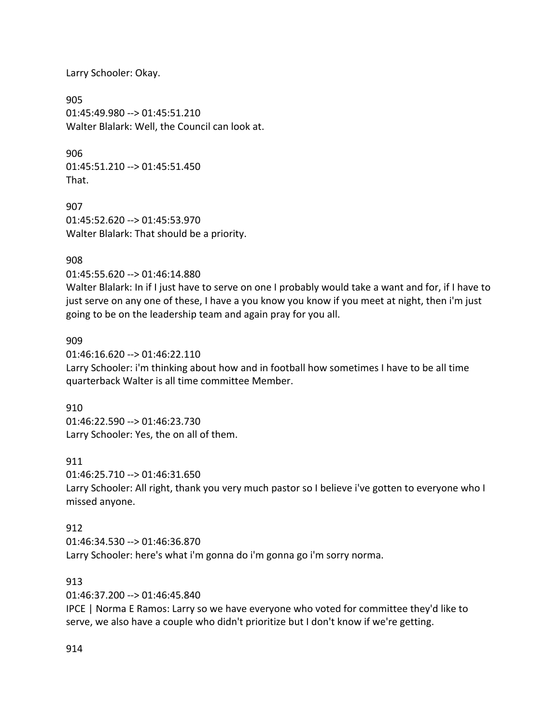Larry Schooler: Okay.

905 01:45:49.980 --> 01:45:51.210 Walter Blalark: Well, the Council can look at.

906 01:45:51.210 --> 01:45:51.450 That.

907 01:45:52.620 --> 01:45:53.970 Walter Blalark: That should be a priority.

### 908

01:45:55.620 --> 01:46:14.880

Walter Blalark: In if I just have to serve on one I probably would take a want and for, if I have to just serve on any one of these, I have a you know you know if you meet at night, then i'm just going to be on the leadership team and again pray for you all.

### 909

01:46:16.620 --> 01:46:22.110 Larry Schooler: i'm thinking about how and in football how sometimes I have to be all time quarterback Walter is all time committee Member.

### 910

01:46:22.590 --> 01:46:23.730 Larry Schooler: Yes, the on all of them.

### 911

01:46:25.710 --> 01:46:31.650 Larry Schooler: All right, thank you very much pastor so I believe i've gotten to everyone who I missed anyone.

### 912

01:46:34.530 --> 01:46:36.870 Larry Schooler: here's what i'm gonna do i'm gonna go i'm sorry norma.

### 913

01:46:37.200 --> 01:46:45.840

IPCE | Norma E Ramos: Larry so we have everyone who voted for committee they'd like to serve, we also have a couple who didn't prioritize but I don't know if we're getting.

### 914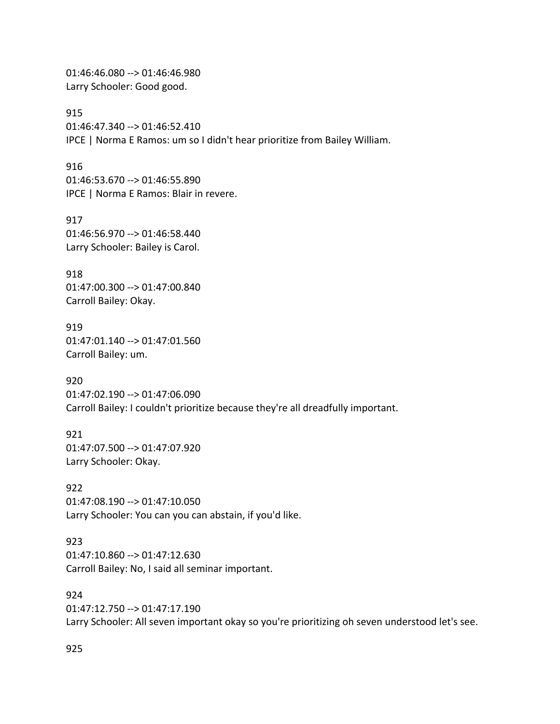01:46:46.080 --> 01:46:46.980 Larry Schooler: Good good.

915 01:46:47.340 --> 01:46:52.410 IPCE | Norma E Ramos: um so I didn't hear prioritize from Bailey William.

916 01:46:53.670 --> 01:46:55.890 IPCE | Norma E Ramos: Blair in revere.

917 01:46:56.970 --> 01:46:58.440 Larry Schooler: Bailey is Carol.

918 01:47:00.300 --> 01:47:00.840 Carroll Bailey: Okay.

919 01:47:01.140 --> 01:47:01.560 Carroll Bailey: um.

920 01:47:02.190 --> 01:47:06.090 Carroll Bailey: I couldn't prioritize because they're all dreadfully important.

921 01:47:07.500 --> 01:47:07.920 Larry Schooler: Okay.

922 01:47:08.190 --> 01:47:10.050 Larry Schooler: You can you can abstain, if you'd like.

923 01:47:10.860 --> 01:47:12.630 Carroll Bailey: No, I said all seminar important.

924 01:47:12.750 --> 01:47:17.190 Larry Schooler: All seven important okay so you're prioritizing oh seven understood let's see.

925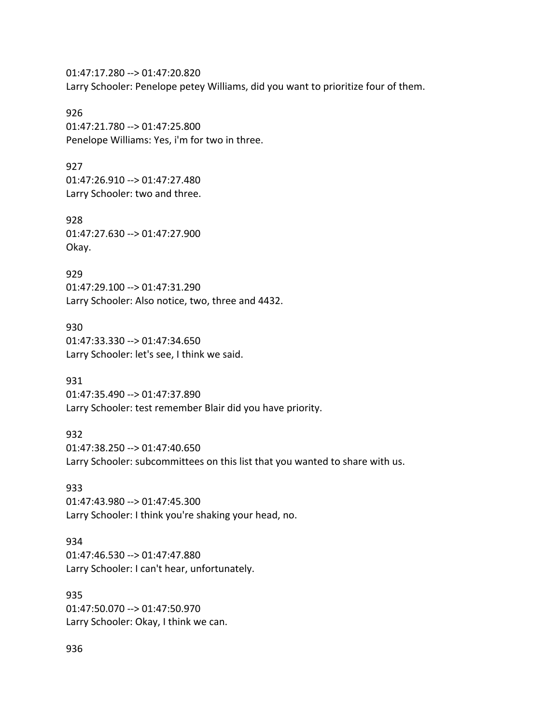01:47:17.280 --> 01:47:20.820 Larry Schooler: Penelope petey Williams, did you want to prioritize four of them.

926 01:47:21.780 --> 01:47:25.800 Penelope Williams: Yes, i'm for two in three.

927 01:47:26.910 --> 01:47:27.480 Larry Schooler: two and three.

928 01:47:27.630 --> 01:47:27.900 Okay.

929 01:47:29.100 --> 01:47:31.290 Larry Schooler: Also notice, two, three and 4432.

930 01:47:33.330 --> 01:47:34.650 Larry Schooler: let's see, I think we said.

931 01:47:35.490 --> 01:47:37.890 Larry Schooler: test remember Blair did you have priority.

932 01:47:38.250 --> 01:47:40.650 Larry Schooler: subcommittees on this list that you wanted to share with us.

933 01:47:43.980 --> 01:47:45.300 Larry Schooler: I think you're shaking your head, no.

934 01:47:46.530 --> 01:47:47.880 Larry Schooler: I can't hear, unfortunately.

935 01:47:50.070 --> 01:47:50.970 Larry Schooler: Okay, I think we can.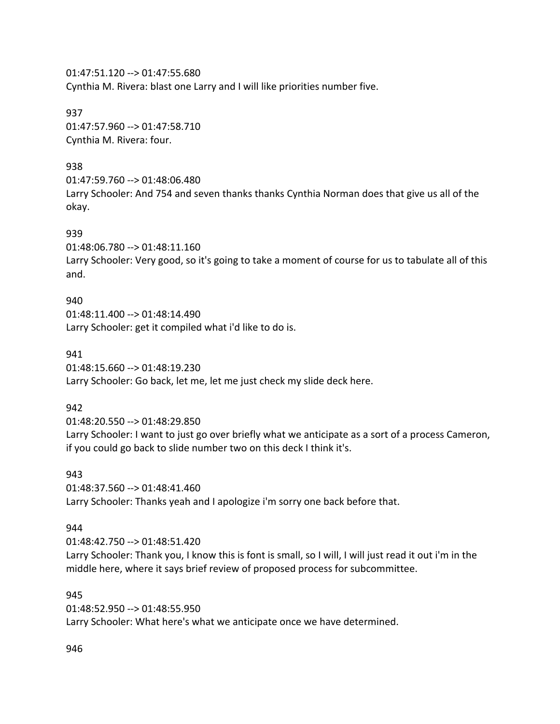01:47:51.120 --> 01:47:55.680 Cynthia M. Rivera: blast one Larry and I will like priorities number five.

937 01:47:57.960 --> 01:47:58.710 Cynthia M. Rivera: four.

### 938

01:47:59.760 --> 01:48:06.480 Larry Schooler: And 754 and seven thanks thanks Cynthia Norman does that give us all of the okay.

### 939

01:48:06.780 --> 01:48:11.160

Larry Schooler: Very good, so it's going to take a moment of course for us to tabulate all of this and.

### 940

01:48:11.400 --> 01:48:14.490 Larry Schooler: get it compiled what i'd like to do is.

### 941

01:48:15.660 --> 01:48:19.230

Larry Schooler: Go back, let me, let me just check my slide deck here.

### 942

01:48:20.550 --> 01:48:29.850 Larry Schooler: I want to just go over briefly what we anticipate as a sort of a process Cameron, if you could go back to slide number two on this deck I think it's.

### 943

01:48:37.560 --> 01:48:41.460 Larry Schooler: Thanks yeah and I apologize i'm sorry one back before that.

### 944

01:48:42.750 --> 01:48:51.420 Larry Schooler: Thank you, I know this is font is small, so I will, I will just read it out i'm in the middle here, where it says brief review of proposed process for subcommittee.

### 945

01:48:52.950 --> 01:48:55.950 Larry Schooler: What here's what we anticipate once we have determined.

946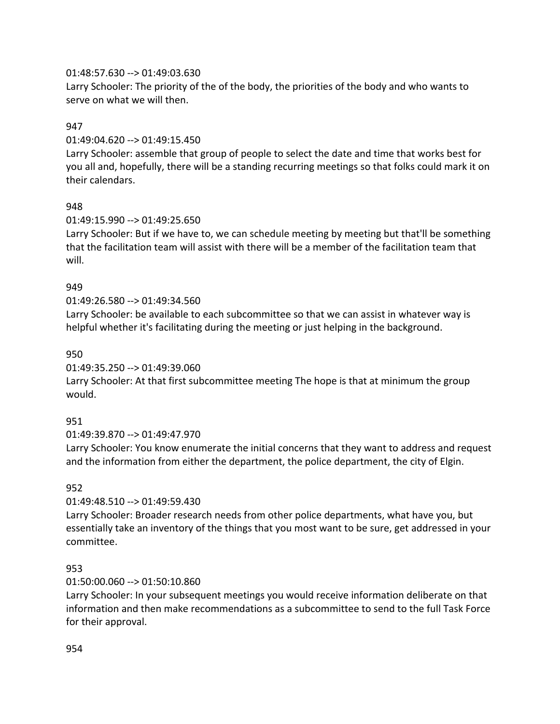### 01:48:57.630 --> 01:49:03.630

Larry Schooler: The priority of the of the body, the priorities of the body and who wants to serve on what we will then.

## 947

01:49:04.620 --> 01:49:15.450

Larry Schooler: assemble that group of people to select the date and time that works best for you all and, hopefully, there will be a standing recurring meetings so that folks could mark it on their calendars.

# 948

01:49:15.990 --> 01:49:25.650

Larry Schooler: But if we have to, we can schedule meeting by meeting but that'll be something that the facilitation team will assist with there will be a member of the facilitation team that will.

# 949

# 01:49:26.580 --> 01:49:34.560

Larry Schooler: be available to each subcommittee so that we can assist in whatever way is helpful whether it's facilitating during the meeting or just helping in the background.

### 950

01:49:35.250 --> 01:49:39.060

Larry Schooler: At that first subcommittee meeting The hope is that at minimum the group would.

# 951

01:49:39.870 --> 01:49:47.970

Larry Schooler: You know enumerate the initial concerns that they want to address and request and the information from either the department, the police department, the city of Elgin.

# 952

### 01:49:48.510 --> 01:49:59.430

Larry Schooler: Broader research needs from other police departments, what have you, but essentially take an inventory of the things that you most want to be sure, get addressed in your committee.

### 953

### 01:50:00.060 --> 01:50:10.860

Larry Schooler: In your subsequent meetings you would receive information deliberate on that information and then make recommendations as a subcommittee to send to the full Task Force for their approval.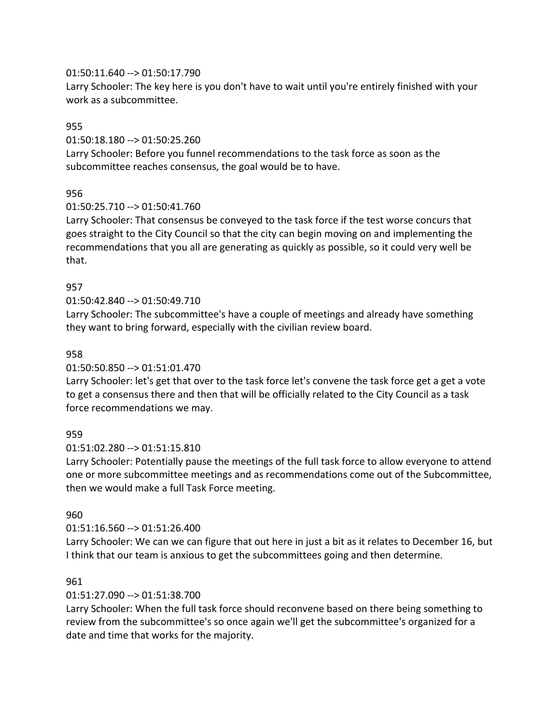### 01:50:11.640 --> 01:50:17.790

Larry Schooler: The key here is you don't have to wait until you're entirely finished with your work as a subcommittee.

### 955

01:50:18.180 --> 01:50:25.260

Larry Schooler: Before you funnel recommendations to the task force as soon as the subcommittee reaches consensus, the goal would be to have.

### 956

### 01:50:25.710 --> 01:50:41.760

Larry Schooler: That consensus be conveyed to the task force if the test worse concurs that goes straight to the City Council so that the city can begin moving on and implementing the recommendations that you all are generating as quickly as possible, so it could very well be that.

### 957

### 01:50:42.840 --> 01:50:49.710

Larry Schooler: The subcommittee's have a couple of meetings and already have something they want to bring forward, especially with the civilian review board.

### 958

### 01:50:50.850 --> 01:51:01.470

Larry Schooler: let's get that over to the task force let's convene the task force get a get a vote to get a consensus there and then that will be officially related to the City Council as a task force recommendations we may.

### 959

### 01:51:02.280 --> 01:51:15.810

Larry Schooler: Potentially pause the meetings of the full task force to allow everyone to attend one or more subcommittee meetings and as recommendations come out of the Subcommittee, then we would make a full Task Force meeting.

### 960

### 01:51:16.560 --> 01:51:26.400

Larry Schooler: We can we can figure that out here in just a bit as it relates to December 16, but I think that our team is anxious to get the subcommittees going and then determine.

### 961

### 01:51:27.090 --> 01:51:38.700

Larry Schooler: When the full task force should reconvene based on there being something to review from the subcommittee's so once again we'll get the subcommittee's organized for a date and time that works for the majority.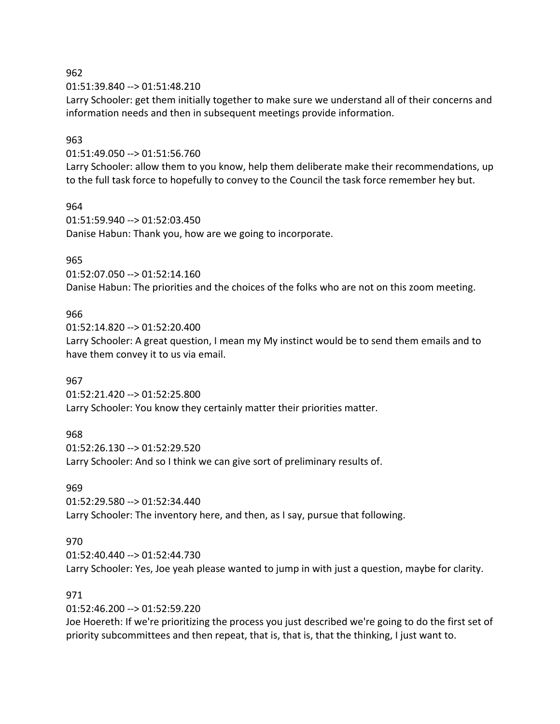01:51:39.840 --> 01:51:48.210

Larry Schooler: get them initially together to make sure we understand all of their concerns and information needs and then in subsequent meetings provide information.

### 963

01:51:49.050 --> 01:51:56.760

Larry Schooler: allow them to you know, help them deliberate make their recommendations, up to the full task force to hopefully to convey to the Council the task force remember hey but.

### 964

01:51:59.940 --> 01:52:03.450 Danise Habun: Thank you, how are we going to incorporate.

### 965

01:52:07.050 --> 01:52:14.160 Danise Habun: The priorities and the choices of the folks who are not on this zoom meeting.

### 966

01:52:14.820 --> 01:52:20.400 Larry Schooler: A great question, I mean my My instinct would be to send them emails and to have them convey it to us via email.

### 967

01:52:21.420 --> 01:52:25.800 Larry Schooler: You know they certainly matter their priorities matter.

### 968

01:52:26.130 --> 01:52:29.520 Larry Schooler: And so I think we can give sort of preliminary results of.

### 969

01:52:29.580 --> 01:52:34.440 Larry Schooler: The inventory here, and then, as I say, pursue that following.

### 970

01:52:40.440 --> 01:52:44.730 Larry Schooler: Yes, Joe yeah please wanted to jump in with just a question, maybe for clarity.

# 971

01:52:46.200 --> 01:52:59.220

Joe Hoereth: If we're prioritizing the process you just described we're going to do the first set of priority subcommittees and then repeat, that is, that is, that the thinking, I just want to.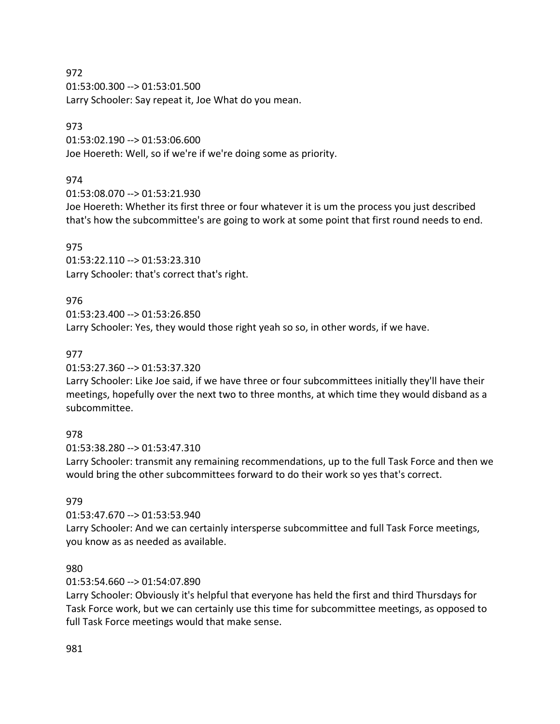01:53:00.300 --> 01:53:01.500 Larry Schooler: Say repeat it, Joe What do you mean.

## 973

01:53:02.190 --> 01:53:06.600 Joe Hoereth: Well, so if we're if we're doing some as priority.

# 974

01:53:08.070 --> 01:53:21.930

Joe Hoereth: Whether its first three or four whatever it is um the process you just described that's how the subcommittee's are going to work at some point that first round needs to end.

# 975

01:53:22.110 --> 01:53:23.310 Larry Schooler: that's correct that's right.

# 976

01:53:23.400 --> 01:53:26.850 Larry Schooler: Yes, they would those right yeah so so, in other words, if we have.

# 977

01:53:27.360 --> 01:53:37.320

Larry Schooler: Like Joe said, if we have three or four subcommittees initially they'll have their meetings, hopefully over the next two to three months, at which time they would disband as a subcommittee.

# 978

01:53:38.280 --> 01:53:47.310

Larry Schooler: transmit any remaining recommendations, up to the full Task Force and then we would bring the other subcommittees forward to do their work so yes that's correct.

# 979

01:53:47.670 --> 01:53:53.940

Larry Schooler: And we can certainly intersperse subcommittee and full Task Force meetings, you know as as needed as available.

# 980

01:53:54.660 --> 01:54:07.890

Larry Schooler: Obviously it's helpful that everyone has held the first and third Thursdays for Task Force work, but we can certainly use this time for subcommittee meetings, as opposed to full Task Force meetings would that make sense.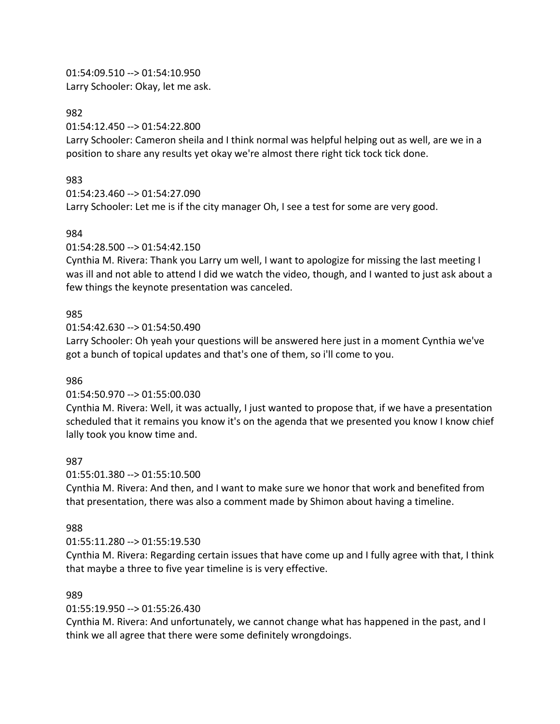01:54:09.510 --> 01:54:10.950 Larry Schooler: Okay, let me ask.

#### 982

01:54:12.450 --> 01:54:22.800

Larry Schooler: Cameron sheila and I think normal was helpful helping out as well, are we in a position to share any results yet okay we're almost there right tick tock tick done.

### 983

01:54:23.460 --> 01:54:27.090

Larry Schooler: Let me is if the city manager Oh, I see a test for some are very good.

### 984

01:54:28.500 --> 01:54:42.150

Cynthia M. Rivera: Thank you Larry um well, I want to apologize for missing the last meeting I was ill and not able to attend I did we watch the video, though, and I wanted to just ask about a few things the keynote presentation was canceled.

### 985

01:54:42.630 --> 01:54:50.490

Larry Schooler: Oh yeah your questions will be answered here just in a moment Cynthia we've got a bunch of topical updates and that's one of them, so i'll come to you.

### 986

### 01:54:50.970 --> 01:55:00.030

Cynthia M. Rivera: Well, it was actually, I just wanted to propose that, if we have a presentation scheduled that it remains you know it's on the agenda that we presented you know I know chief lally took you know time and.

### 987

01:55:01.380 --> 01:55:10.500

Cynthia M. Rivera: And then, and I want to make sure we honor that work and benefited from that presentation, there was also a comment made by Shimon about having a timeline.

### 988

### 01:55:11.280 --> 01:55:19.530

Cynthia M. Rivera: Regarding certain issues that have come up and I fully agree with that, I think that maybe a three to five year timeline is is very effective.

### 989

01:55:19.950 --> 01:55:26.430

Cynthia M. Rivera: And unfortunately, we cannot change what has happened in the past, and I think we all agree that there were some definitely wrongdoings.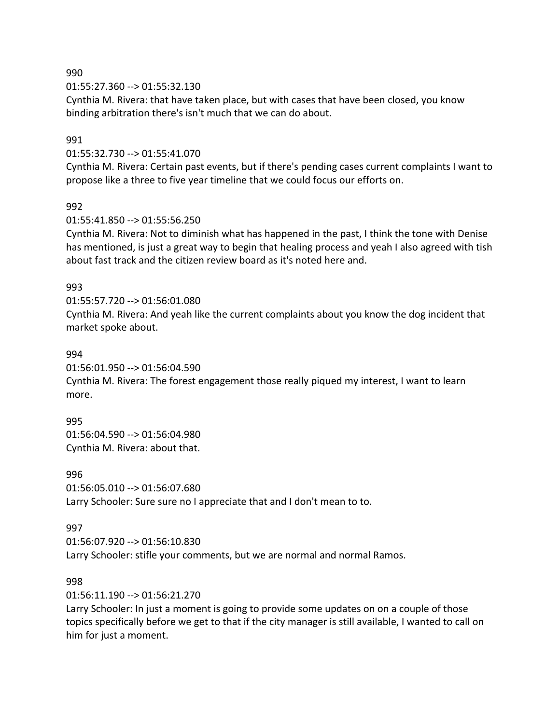01:55:27.360 --> 01:55:32.130

Cynthia M. Rivera: that have taken place, but with cases that have been closed, you know binding arbitration there's isn't much that we can do about.

### 991

01:55:32.730 --> 01:55:41.070

Cynthia M. Rivera: Certain past events, but if there's pending cases current complaints I want to propose like a three to five year timeline that we could focus our efforts on.

### 992

01:55:41.850 --> 01:55:56.250

Cynthia M. Rivera: Not to diminish what has happened in the past, I think the tone with Denise has mentioned, is just a great way to begin that healing process and yeah I also agreed with tish about fast track and the citizen review board as it's noted here and.

### 993

01:55:57.720 --> 01:56:01.080 Cynthia M. Rivera: And yeah like the current complaints about you know the dog incident that market spoke about.

### 994

01:56:01.950 --> 01:56:04.590

Cynthia M. Rivera: The forest engagement those really piqued my interest, I want to learn more.

995

01:56:04.590 --> 01:56:04.980 Cynthia M. Rivera: about that.

996 01:56:05.010 --> 01:56:07.680 Larry Schooler: Sure sure no I appreciate that and I don't mean to to.

### 997

01:56:07.920 --> 01:56:10.830 Larry Schooler: stifle your comments, but we are normal and normal Ramos.

### 998

01:56:11.190 --> 01:56:21.270

Larry Schooler: In just a moment is going to provide some updates on on a couple of those topics specifically before we get to that if the city manager is still available, I wanted to call on him for just a moment.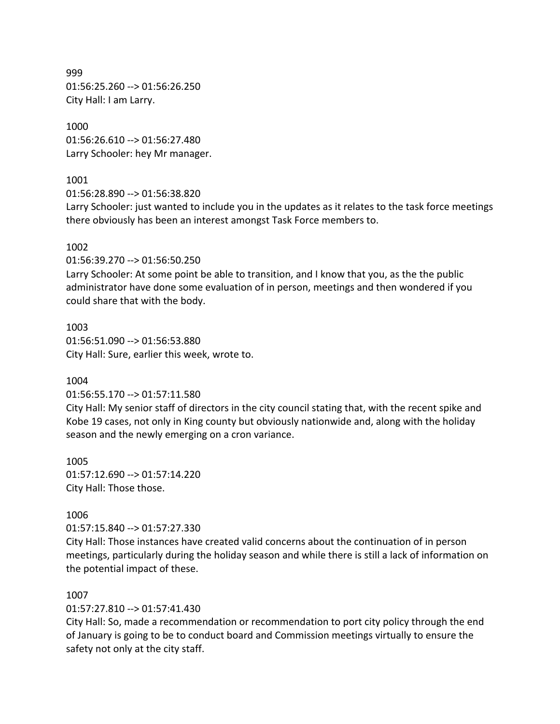999 01:56:25.260 --> 01:56:26.250 City Hall: I am Larry.

1000 01:56:26.610 --> 01:56:27.480 Larry Schooler: hey Mr manager.

### 1001

01:56:28.890 --> 01:56:38.820

Larry Schooler: just wanted to include you in the updates as it relates to the task force meetings there obviously has been an interest amongst Task Force members to.

### 1002

01:56:39.270 --> 01:56:50.250

Larry Schooler: At some point be able to transition, and I know that you, as the the public administrator have done some evaluation of in person, meetings and then wondered if you could share that with the body.

1003 01:56:51.090 --> 01:56:53.880 City Hall: Sure, earlier this week, wrote to.

### 1004

01:56:55.170 --> 01:57:11.580

City Hall: My senior staff of directors in the city council stating that, with the recent spike and Kobe 19 cases, not only in King county but obviously nationwide and, along with the holiday season and the newly emerging on a cron variance.

1005 01:57:12.690 --> 01:57:14.220 City Hall: Those those.

### 1006

01:57:15.840 --> 01:57:27.330

City Hall: Those instances have created valid concerns about the continuation of in person meetings, particularly during the holiday season and while there is still a lack of information on the potential impact of these.

### 1007

01:57:27.810 --> 01:57:41.430

City Hall: So, made a recommendation or recommendation to port city policy through the end of January is going to be to conduct board and Commission meetings virtually to ensure the safety not only at the city staff.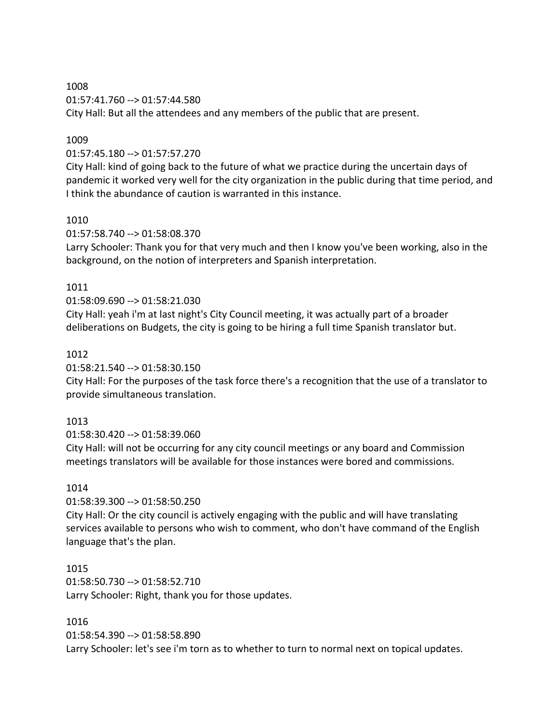1008 01:57:41.760 --> 01:57:44.580 City Hall: But all the attendees and any members of the public that are present.

### 1009

01:57:45.180 --> 01:57:57.270

City Hall: kind of going back to the future of what we practice during the uncertain days of pandemic it worked very well for the city organization in the public during that time period, and I think the abundance of caution is warranted in this instance.

#### 1010

01:57:58.740 --> 01:58:08.370

Larry Schooler: Thank you for that very much and then I know you've been working, also in the background, on the notion of interpreters and Spanish interpretation.

#### 1011

#### 01:58:09.690 --> 01:58:21.030

City Hall: yeah i'm at last night's City Council meeting, it was actually part of a broader deliberations on Budgets, the city is going to be hiring a full time Spanish translator but.

#### 1012

01:58:21.540 --> 01:58:30.150

City Hall: For the purposes of the task force there's a recognition that the use of a translator to provide simultaneous translation.

### 1013

01:58:30.420 --> 01:58:39.060

City Hall: will not be occurring for any city council meetings or any board and Commission meetings translators will be available for those instances were bored and commissions.

### 1014

01:58:39.300 --> 01:58:50.250

City Hall: Or the city council is actively engaging with the public and will have translating services available to persons who wish to comment, who don't have command of the English language that's the plan.

### 1015

01:58:50.730 --> 01:58:52.710 Larry Schooler: Right, thank you for those updates.

#### 1016

01:58:54.390 --> 01:58:58.890 Larry Schooler: let's see i'm torn as to whether to turn to normal next on topical updates.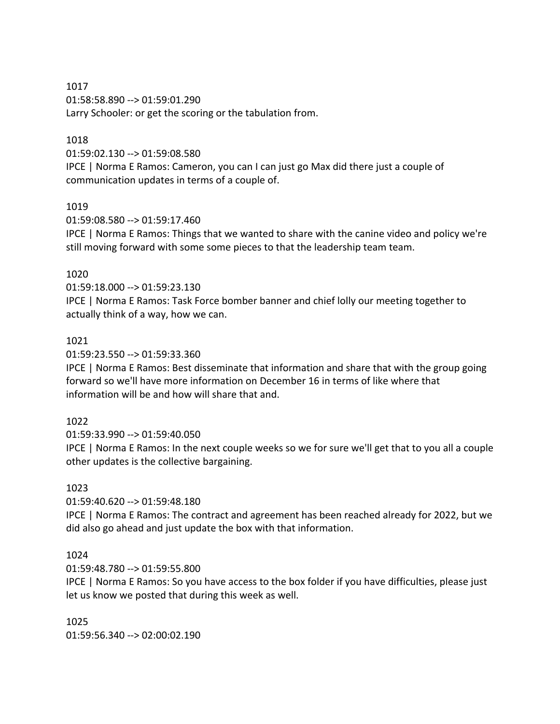1017 01:58:58.890 --> 01:59:01.290 Larry Schooler: or get the scoring or the tabulation from.

### 1018

01:59:02.130 --> 01:59:08.580 IPCE | Norma E Ramos: Cameron, you can I can just go Max did there just a couple of communication updates in terms of a couple of.

### 1019

01:59:08.580 --> 01:59:17.460

IPCE | Norma E Ramos: Things that we wanted to share with the canine video and policy we're still moving forward with some some pieces to that the leadership team team.

### 1020

01:59:18.000 --> 01:59:23.130

IPCE | Norma E Ramos: Task Force bomber banner and chief lolly our meeting together to actually think of a way, how we can.

### 1021

01:59:23.550 --> 01:59:33.360

IPCE | Norma E Ramos: Best disseminate that information and share that with the group going forward so we'll have more information on December 16 in terms of like where that information will be and how will share that and.

### 1022

01:59:33.990 --> 01:59:40.050

IPCE | Norma E Ramos: In the next couple weeks so we for sure we'll get that to you all a couple other updates is the collective bargaining.

### 1023

01:59:40.620 --> 01:59:48.180

IPCE | Norma E Ramos: The contract and agreement has been reached already for 2022, but we did also go ahead and just update the box with that information.

### 1024

01:59:48.780 --> 01:59:55.800

IPCE | Norma E Ramos: So you have access to the box folder if you have difficulties, please just let us know we posted that during this week as well.

1025 01:59:56.340 --> 02:00:02.190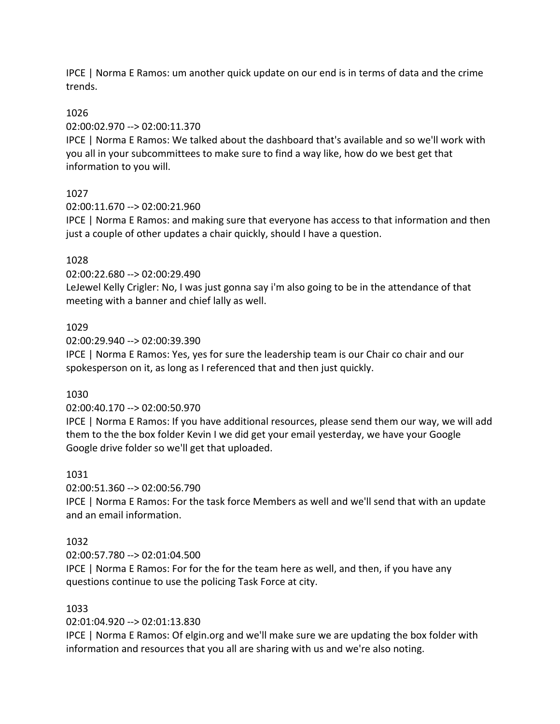IPCE | Norma E Ramos: um another quick update on our end is in terms of data and the crime trends.

### 1026

02:00:02.970 --> 02:00:11.370

IPCE | Norma E Ramos: We talked about the dashboard that's available and so we'll work with you all in your subcommittees to make sure to find a way like, how do we best get that information to you will.

### 1027

02:00:11.670 --> 02:00:21.960

IPCE | Norma E Ramos: and making sure that everyone has access to that information and then just a couple of other updates a chair quickly, should I have a question.

### 1028

02:00:22.680 --> 02:00:29.490

LeJewel Kelly Crigler: No, I was just gonna say i'm also going to be in the attendance of that meeting with a banner and chief lally as well.

### 1029

02:00:29.940 --> 02:00:39.390

IPCE | Norma E Ramos: Yes, yes for sure the leadership team is our Chair co chair and our spokesperson on it, as long as I referenced that and then just quickly.

### 1030

02:00:40.170 --> 02:00:50.970

IPCE | Norma E Ramos: If you have additional resources, please send them our way, we will add them to the the box folder Kevin I we did get your email yesterday, we have your Google Google drive folder so we'll get that uploaded.

### 1031

02:00:51.360 --> 02:00:56.790

IPCE | Norma E Ramos: For the task force Members as well and we'll send that with an update and an email information.

### 1032

02:00:57.780 --> 02:01:04.500

IPCE | Norma E Ramos: For for the for the team here as well, and then, if you have any questions continue to use the policing Task Force at city.

### 1033

### 02:01:04.920 --> 02:01:13.830

IPCE | Norma E Ramos: Of elgin.org and we'll make sure we are updating the box folder with information and resources that you all are sharing with us and we're also noting.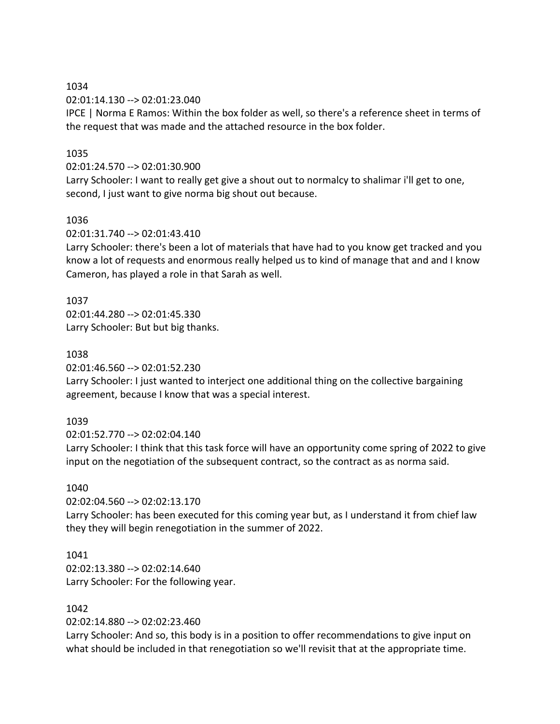02:01:14.130 --> 02:01:23.040

IPCE | Norma E Ramos: Within the box folder as well, so there's a reference sheet in terms of the request that was made and the attached resource in the box folder.

### 1035

#### 02:01:24.570 --> 02:01:30.900

Larry Schooler: I want to really get give a shout out to normalcy to shalimar i'll get to one, second, I just want to give norma big shout out because.

### 1036

02:01:31.740 --> 02:01:43.410

Larry Schooler: there's been a lot of materials that have had to you know get tracked and you know a lot of requests and enormous really helped us to kind of manage that and and I know Cameron, has played a role in that Sarah as well.

### 1037

02:01:44.280 --> 02:01:45.330 Larry Schooler: But but big thanks.

### 1038

02:01:46.560 --> 02:01:52.230

Larry Schooler: I just wanted to interject one additional thing on the collective bargaining agreement, because I know that was a special interest.

### 1039

02:01:52.770 --> 02:02:04.140

Larry Schooler: I think that this task force will have an opportunity come spring of 2022 to give input on the negotiation of the subsequent contract, so the contract as as norma said.

### 1040

02:02:04.560 --> 02:02:13.170

Larry Schooler: has been executed for this coming year but, as I understand it from chief law they they will begin renegotiation in the summer of 2022.

### 1041

02:02:13.380 --> 02:02:14.640 Larry Schooler: For the following year.

### 1042

02:02:14.880 --> 02:02:23.460

Larry Schooler: And so, this body is in a position to offer recommendations to give input on what should be included in that renegotiation so we'll revisit that at the appropriate time.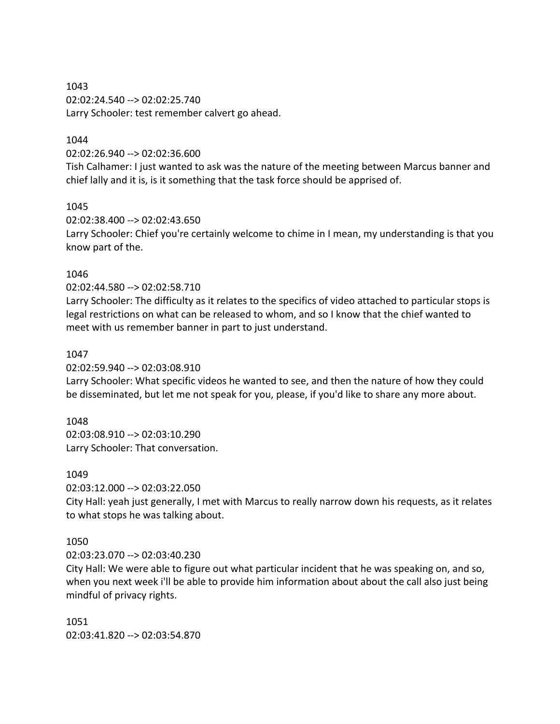1043 02:02:24.540 --> 02:02:25.740 Larry Schooler: test remember calvert go ahead.

## 1044

02:02:26.940 --> 02:02:36.600

Tish Calhamer: I just wanted to ask was the nature of the meeting between Marcus banner and chief lally and it is, is it something that the task force should be apprised of.

### 1045

02:02:38.400 --> 02:02:43.650 Larry Schooler: Chief you're certainly welcome to chime in I mean, my understanding is that you know part of the.

### 1046

### 02:02:44.580 --> 02:02:58.710

Larry Schooler: The difficulty as it relates to the specifics of video attached to particular stops is legal restrictions on what can be released to whom, and so I know that the chief wanted to meet with us remember banner in part to just understand.

### 1047

02:02:59.940 --> 02:03:08.910

Larry Schooler: What specific videos he wanted to see, and then the nature of how they could be disseminated, but let me not speak for you, please, if you'd like to share any more about.

### 1048

02:03:08.910 --> 02:03:10.290 Larry Schooler: That conversation.

### 1049

02:03:12.000 --> 02:03:22.050

City Hall: yeah just generally, I met with Marcus to really narrow down his requests, as it relates to what stops he was talking about.

### 1050

02:03:23.070 --> 02:03:40.230

City Hall: We were able to figure out what particular incident that he was speaking on, and so, when you next week i'll be able to provide him information about about the call also just being mindful of privacy rights.

1051 02:03:41.820 --> 02:03:54.870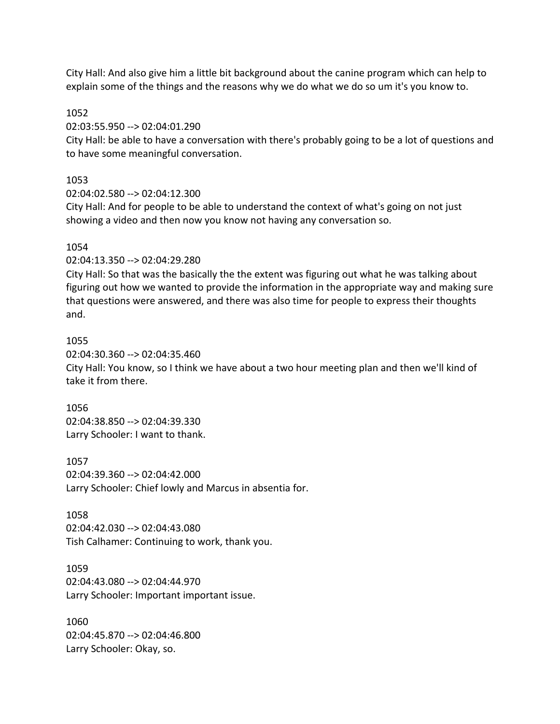City Hall: And also give him a little bit background about the canine program which can help to explain some of the things and the reasons why we do what we do so um it's you know to.

#### 1052

02:03:55.950 --> 02:04:01.290

City Hall: be able to have a conversation with there's probably going to be a lot of questions and to have some meaningful conversation.

#### 1053

02:04:02.580 --> 02:04:12.300

City Hall: And for people to be able to understand the context of what's going on not just showing a video and then now you know not having any conversation so.

### 1054

02:04:13.350 --> 02:04:29.280

City Hall: So that was the basically the the extent was figuring out what he was talking about figuring out how we wanted to provide the information in the appropriate way and making sure that questions were answered, and there was also time for people to express their thoughts and.

#### 1055

02:04:30.360 --> 02:04:35.460 City Hall: You know, so I think we have about a two hour meeting plan and then we'll kind of take it from there.

# 1056 02:04:38.850 --> 02:04:39.330 Larry Schooler: I want to thank.

1057 02:04:39.360 --> 02:04:42.000 Larry Schooler: Chief lowly and Marcus in absentia for.

### 1058

02:04:42.030 --> 02:04:43.080 Tish Calhamer: Continuing to work, thank you.

### 1059

02:04:43.080 --> 02:04:44.970 Larry Schooler: Important important issue.

1060 02:04:45.870 --> 02:04:46.800 Larry Schooler: Okay, so.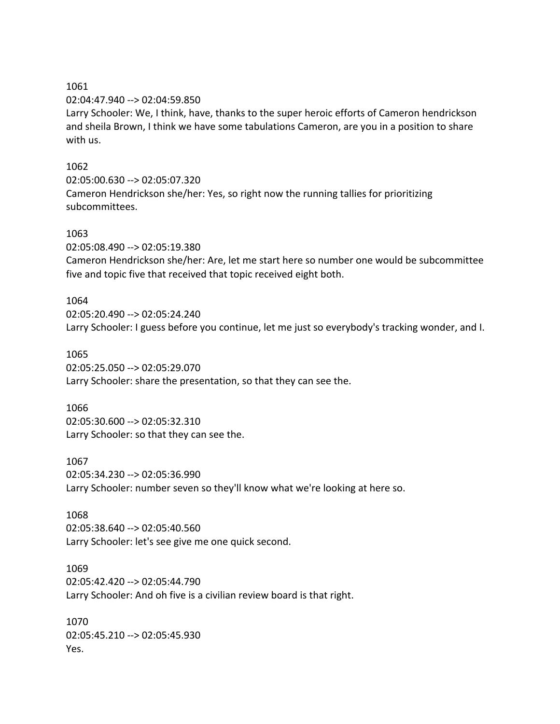1061

02:04:47.940 --> 02:04:59.850

Larry Schooler: We, I think, have, thanks to the super heroic efforts of Cameron hendrickson and sheila Brown, I think we have some tabulations Cameron, are you in a position to share with us.

## 1062

02:05:00.630 --> 02:05:07.320 Cameron Hendrickson she/her: Yes, so right now the running tallies for prioritizing subcommittees.

## 1063

02:05:08.490 --> 02:05:19.380

Cameron Hendrickson she/her: Are, let me start here so number one would be subcommittee five and topic five that received that topic received eight both.

## 1064

02:05:20.490 --> 02:05:24.240 Larry Schooler: I guess before you continue, let me just so everybody's tracking wonder, and I.

### 1065

02:05:25.050 --> 02:05:29.070 Larry Schooler: share the presentation, so that they can see the.

### 1066

02:05:30.600 --> 02:05:32.310 Larry Schooler: so that they can see the.

### 1067

02:05:34.230 --> 02:05:36.990 Larry Schooler: number seven so they'll know what we're looking at here so.

# 1068

02:05:38.640 --> 02:05:40.560 Larry Schooler: let's see give me one quick second.

#### 1069

02:05:42.420 --> 02:05:44.790 Larry Schooler: And oh five is a civilian review board is that right.

1070 02:05:45.210 --> 02:05:45.930 Yes.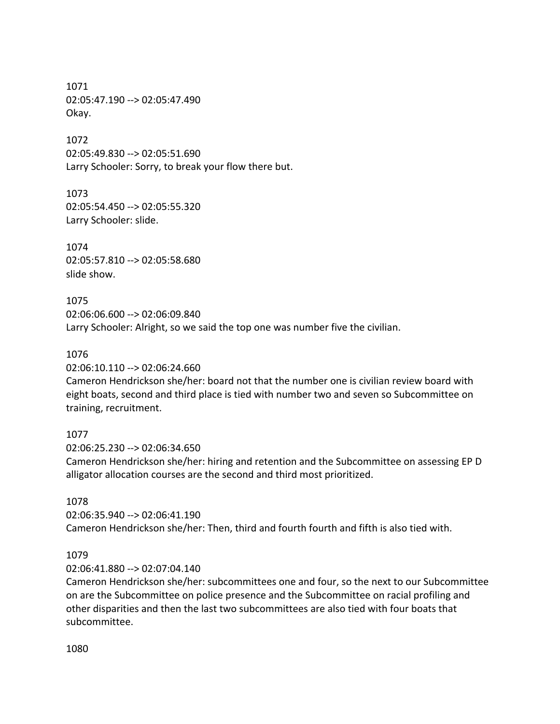1071 02:05:47.190 --> 02:05:47.490 Okay.

1072 02:05:49.830 --> 02:05:51.690 Larry Schooler: Sorry, to break your flow there but.

1073 02:05:54.450 --> 02:05:55.320 Larry Schooler: slide.

1074 02:05:57.810 --> 02:05:58.680 slide show.

1075 02:06:06.600 --> 02:06:09.840 Larry Schooler: Alright, so we said the top one was number five the civilian.

1076 02:06:10.110 --> 02:06:24.660

Cameron Hendrickson she/her: board not that the number one is civilian review board with eight boats, second and third place is tied with number two and seven so Subcommittee on training, recruitment.

1077

02:06:25.230 --> 02:06:34.650 Cameron Hendrickson she/her: hiring and retention and the Subcommittee on assessing EP D alligator allocation courses are the second and third most prioritized.

1078

02:06:35.940 --> 02:06:41.190 Cameron Hendrickson she/her: Then, third and fourth fourth and fifth is also tied with.

1079

02:06:41.880 --> 02:07:04.140

Cameron Hendrickson she/her: subcommittees one and four, so the next to our Subcommittee on are the Subcommittee on police presence and the Subcommittee on racial profiling and other disparities and then the last two subcommittees are also tied with four boats that subcommittee.

1080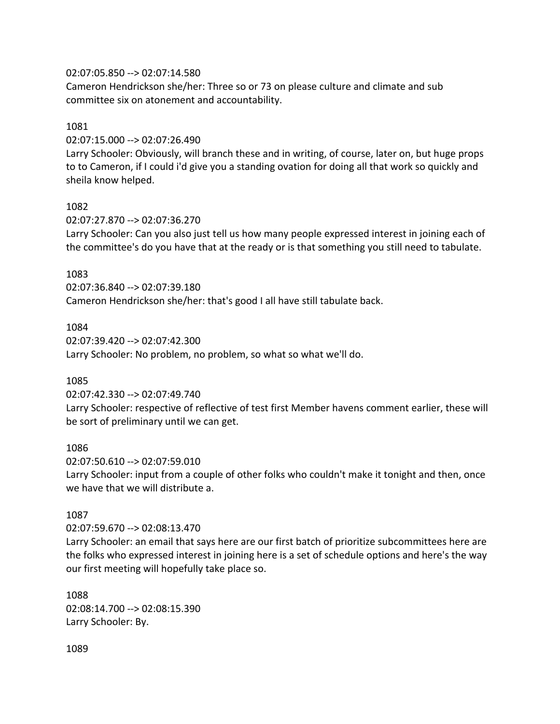### 02:07:05.850 --> 02:07:14.580

Cameron Hendrickson she/her: Three so or 73 on please culture and climate and sub committee six on atonement and accountability.

#### 1081

02:07:15.000 --> 02:07:26.490

Larry Schooler: Obviously, will branch these and in writing, of course, later on, but huge props to to Cameron, if I could i'd give you a standing ovation for doing all that work so quickly and sheila know helped.

#### 1082

02:07:27.870 --> 02:07:36.270

Larry Schooler: Can you also just tell us how many people expressed interest in joining each of the committee's do you have that at the ready or is that something you still need to tabulate.

### 1083

02:07:36.840 --> 02:07:39.180 Cameron Hendrickson she/her: that's good I all have still tabulate back.

#### 1084

02:07:39.420 --> 02:07:42.300 Larry Schooler: No problem, no problem, so what so what we'll do.

### 1085

02:07:42.330 --> 02:07:49.740

Larry Schooler: respective of reflective of test first Member havens comment earlier, these will be sort of preliminary until we can get.

### 1086

02:07:50.610 --> 02:07:59.010

Larry Schooler: input from a couple of other folks who couldn't make it tonight and then, once we have that we will distribute a.

### 1087

02:07:59.670 --> 02:08:13.470

Larry Schooler: an email that says here are our first batch of prioritize subcommittees here are the folks who expressed interest in joining here is a set of schedule options and here's the way our first meeting will hopefully take place so.

1088 02:08:14.700 --> 02:08:15.390 Larry Schooler: By.

1089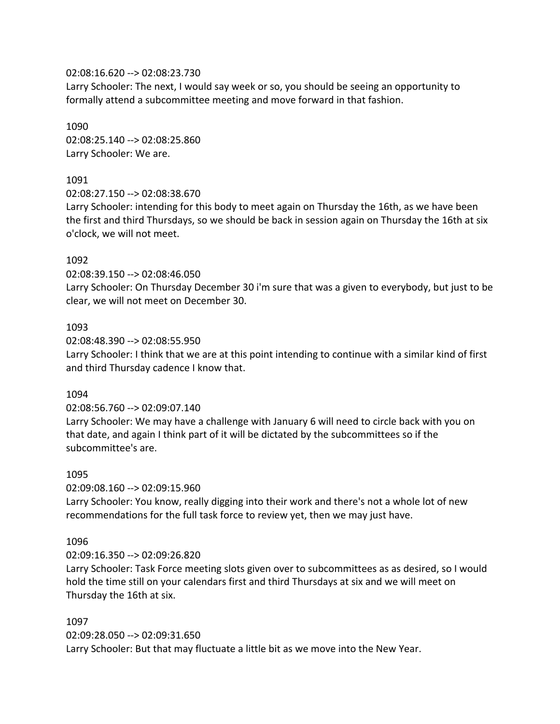### 02:08:16.620 --> 02:08:23.730

Larry Schooler: The next, I would say week or so, you should be seeing an opportunity to formally attend a subcommittee meeting and move forward in that fashion.

1090 02:08:25.140 --> 02:08:25.860 Larry Schooler: We are.

## 1091

02:08:27.150 --> 02:08:38.670

Larry Schooler: intending for this body to meet again on Thursday the 16th, as we have been the first and third Thursdays, so we should be back in session again on Thursday the 16th at six o'clock, we will not meet.

## 1092

02:08:39.150 --> 02:08:46.050

Larry Schooler: On Thursday December 30 i'm sure that was a given to everybody, but just to be clear, we will not meet on December 30.

### 1093

02:08:48.390 --> 02:08:55.950

Larry Schooler: I think that we are at this point intending to continue with a similar kind of first and third Thursday cadence I know that.

### 1094

02:08:56.760 --> 02:09:07.140

Larry Schooler: We may have a challenge with January 6 will need to circle back with you on that date, and again I think part of it will be dictated by the subcommittees so if the subcommittee's are.

### 1095

02:09:08.160 --> 02:09:15.960

Larry Schooler: You know, really digging into their work and there's not a whole lot of new recommendations for the full task force to review yet, then we may just have.

### 1096

02:09:16.350 --> 02:09:26.820

Larry Schooler: Task Force meeting slots given over to subcommittees as as desired, so I would hold the time still on your calendars first and third Thursdays at six and we will meet on Thursday the 16th at six.

### 1097

02:09:28.050 --> 02:09:31.650 Larry Schooler: But that may fluctuate a little bit as we move into the New Year.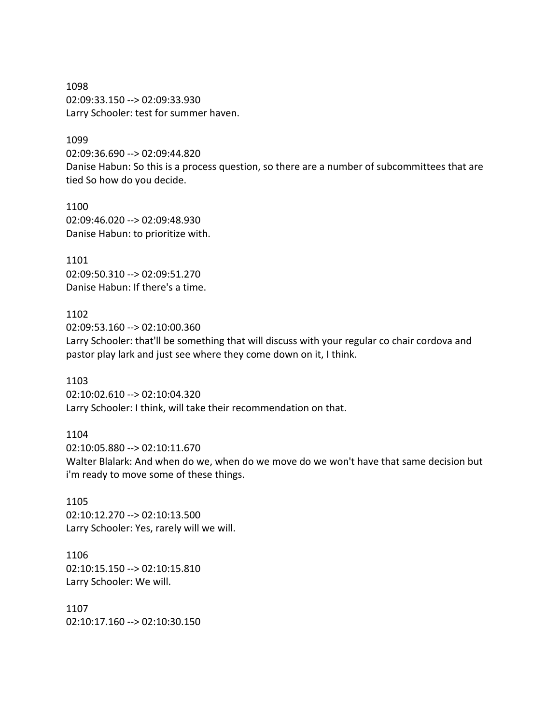1098 02:09:33.150 --> 02:09:33.930 Larry Schooler: test for summer haven.

#### 1099

02:09:36.690 --> 02:09:44.820 Danise Habun: So this is a process question, so there are a number of subcommittees that are tied So how do you decide.

1100 02:09:46.020 --> 02:09:48.930 Danise Habun: to prioritize with.

1101 02:09:50.310 --> 02:09:51.270 Danise Habun: If there's a time.

1102 02:09:53.160 --> 02:10:00.360 Larry Schooler: that'll be something that will discuss with your regular co chair cordova and pastor play lark and just see where they come down on it, I think.

1103 02:10:02.610 --> 02:10:04.320 Larry Schooler: I think, will take their recommendation on that.

1104 02:10:05.880 --> 02:10:11.670 Walter Blalark: And when do we, when do we move do we won't have that same decision but i'm ready to move some of these things.

1105 02:10:12.270 --> 02:10:13.500 Larry Schooler: Yes, rarely will we will.

1106 02:10:15.150 --> 02:10:15.810 Larry Schooler: We will.

1107 02:10:17.160 --> 02:10:30.150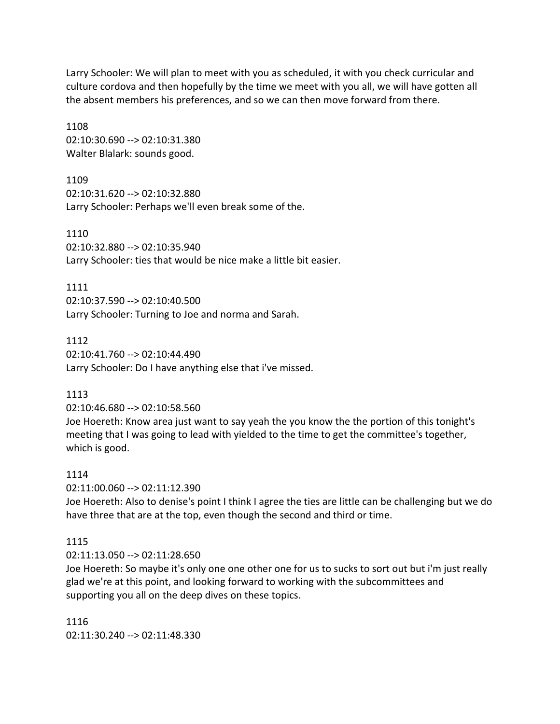Larry Schooler: We will plan to meet with you as scheduled, it with you check curricular and culture cordova and then hopefully by the time we meet with you all, we will have gotten all the absent members his preferences, and so we can then move forward from there.

1108 02:10:30.690 --> 02:10:31.380 Walter Blalark: sounds good.

1109 02:10:31.620 --> 02:10:32.880 Larry Schooler: Perhaps we'll even break some of the.

1110 02:10:32.880 --> 02:10:35.940 Larry Schooler: ties that would be nice make a little bit easier.

1111 02:10:37.590 --> 02:10:40.500 Larry Schooler: Turning to Joe and norma and Sarah.

1112 02:10:41.760 --> 02:10:44.490 Larry Schooler: Do I have anything else that i've missed.

# 1113

02:10:46.680 --> 02:10:58.560

Joe Hoereth: Know area just want to say yeah the you know the the portion of this tonight's meeting that I was going to lead with yielded to the time to get the committee's together, which is good.

# 1114

02:11:00.060 --> 02:11:12.390

Joe Hoereth: Also to denise's point I think I agree the ties are little can be challenging but we do have three that are at the top, even though the second and third or time.

# 1115

02:11:13.050 --> 02:11:28.650

Joe Hoereth: So maybe it's only one one other one for us to sucks to sort out but i'm just really glad we're at this point, and looking forward to working with the subcommittees and supporting you all on the deep dives on these topics.

1116 02:11:30.240 --> 02:11:48.330